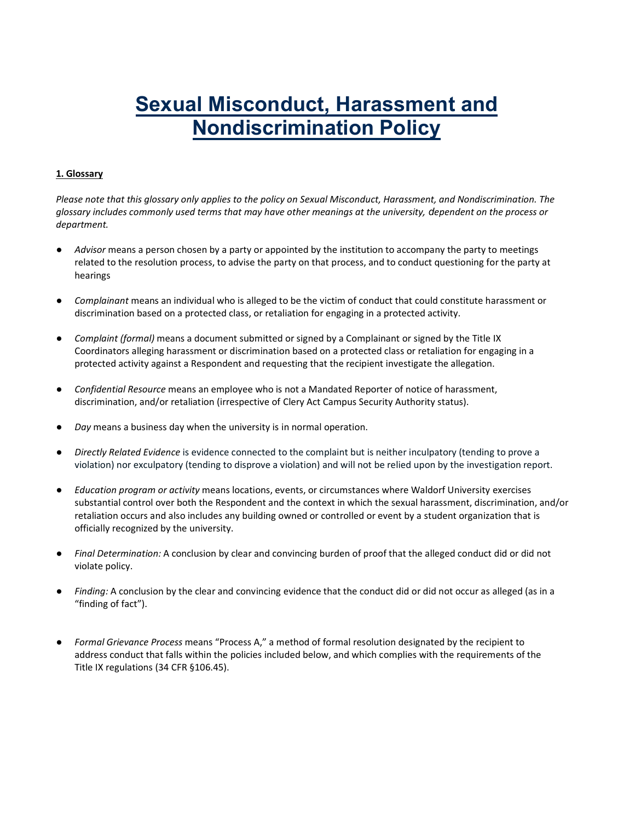# **Sexual Misconduct, Harassment and Nondiscrimination Policy**

# **1. Glossary**

*Please note that this glossary only applies to the policy on Sexual Misconduct, Harassment, and Nondiscrimination. The glossary includes commonly used terms that may have other meanings at the university, dependent on the process or department.* 

- Advisor means a person chosen by a party or appointed by the institution to accompany the party to meetings related to the resolution process, to advise the party on that process, and to conduct questioning for the party at hearings
- *Complainant* means an individual who is alleged to be the victim of conduct that could constitute harassment or discrimination based on a protected class, or retaliation for engaging in a protected activity.
- *Complaint (formal)* means a document submitted or signed by a Complainant or signed by the Title IX Coordinators alleging harassment or discrimination based on a protected class or retaliation for engaging in a protected activity against a Respondent and requesting that the recipient investigate the allegation.
- *Confidential Resource* means an employee who is not a Mandated Reporter of notice of harassment, discrimination, and/or retaliation (irrespective of Clery Act Campus Security Authority status).
- Day means a business day when the university is in normal operation.
- *Directly Related Evidence* is evidence connected to the complaint but is neither inculpatory (tending to prove a violation) nor exculpatory (tending to disprove a violation) and will not be relied upon by the investigation report.
- *Education program or activity* means locations, events, or circumstances where Waldorf University exercises substantial control over both the Respondent and the context in which the sexual harassment, discrimination, and/or retaliation occurs and also includes any building owned or controlled or event by a student organization that is officially recognized by the university.
- *Final Determination:* A conclusion by clear and convincing burden of proof that the alleged conduct did or did not violate policy.
- Finding: A conclusion by the clear and convincing evidence that the conduct did or did not occur as alleged (as in a "finding of fact").
- *Formal Grievance Process* means "Process A," a method of formal resolution designated by the recipient to address conduct that falls within the policies included below, and which complies with the requirements of the Title IX regulations (34 CFR §106.45).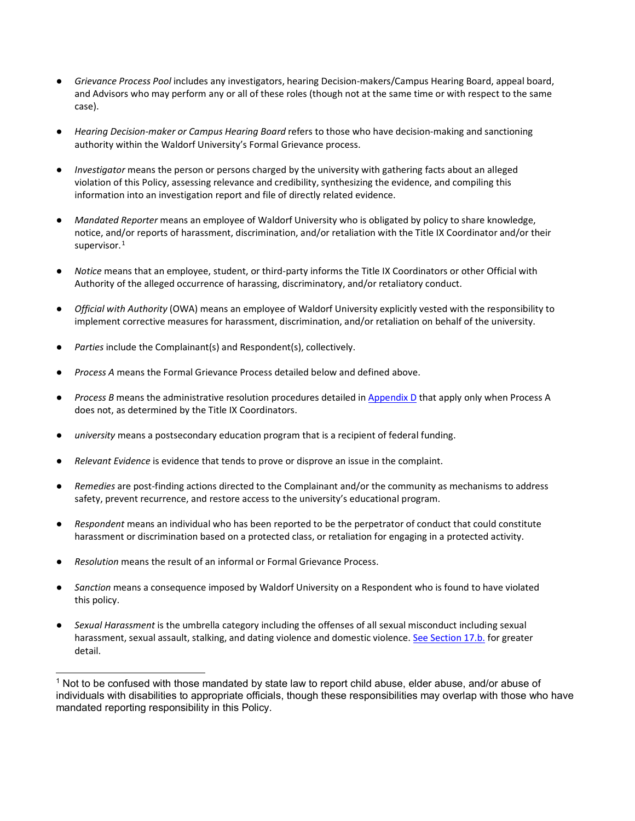- *Grievance Process Pool* includes any investigators, hearing Decision-makers/Campus Hearing Board, appeal board, and Advisors who may perform any or all of these roles (though not at the same time or with respect to the same case).
- *Hearing Decision-maker or Campus Hearing Board* refers to those who have decision-making and sanctioning authority within the Waldorf University's Formal Grievance process.
- Investigator means the person or persons charged by the university with gathering facts about an alleged violation of this Policy, assessing relevance and credibility, synthesizing the evidence, and compiling this information into an investigation report and file of directly related evidence.
- *Mandated Reporter* means an employee of Waldorf University who is obligated by policy to share knowledge, notice, and/or reports of harassment, discrimination, and/or retaliation with the Title IX Coordinator and/or their supervisor. $^1$  $^1$
- *Notice* means that an employee, student, or third-party informs the Title IX Coordinators or other Official with Authority of the alleged occurrence of harassing, discriminatory, and/or retaliatory conduct.
- *Official with Authority* (OWA) means an employee of Waldorf University explicitly vested with the responsibility to implement corrective measures for harassment, discrimination, and/or retaliation on behalf of the university.
- Parties include the Complainant(s) and Respondent(s), collectively.
- *Process A* means the Formal Grievance Process detailed below and defined above.
- Process B means the administrative resolution procedures detailed in Appendix D that apply only when Process A does not, as determined by the Title IX Coordinators.
- university means a postsecondary education program that is a recipient of federal funding.
- Relevant Evidence is evidence that tends to prove or disprove an issue in the complaint.
- Remedies are post-finding actions directed to the Complainant and/or the community as mechanisms to address safety, prevent recurrence, and restore access to the university's educational program.
- *Respondent* means an individual who has been reported to be the perpetrator of conduct that could constitute harassment or discrimination based on a protected class, or retaliation for engaging in a protected activity.
- *Resolution* means the result of an informal or Formal Grievance Process.
- Sanction means a consequence imposed by Waldorf University on a Respondent who is found to have violated this policy.
- Sexual Harassment is the umbrella category including the offenses of all sexual misconduct including sexual harassment, sexual assault, stalking, and dating violence and domestic violence[. See Section 17.b.](#page-11-0) for greater detail.

<span id="page-1-0"></span> $1$  Not to be confused with those mandated by state law to report child abuse, elder abuse, and/or abuse of individuals with disabilities to appropriate officials, though these responsibilities may overlap with those who have mandated reporting responsibility in this Policy.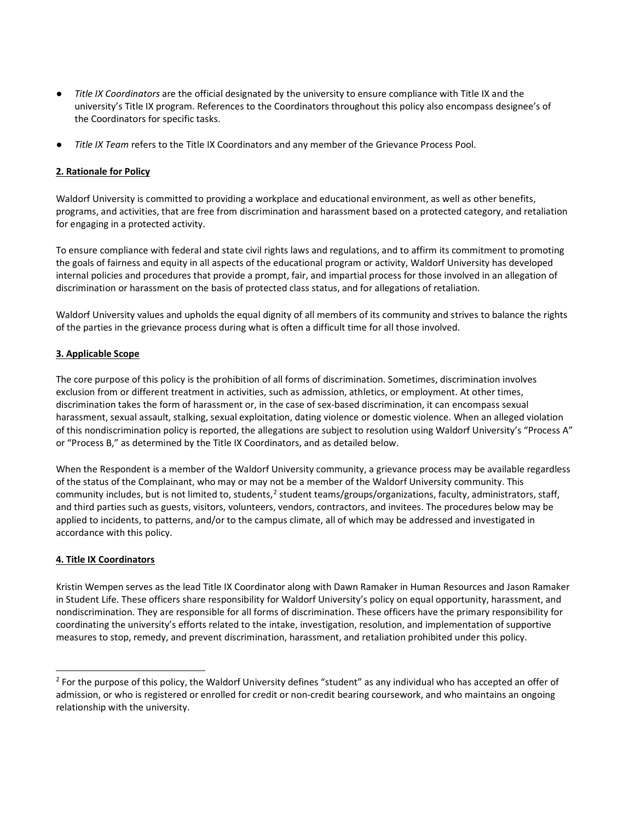- *Title IX Coordinators* are the official designated by the university to ensure compliance with Title IX and the university's Title IX program. References to the Coordinators throughout this policy also encompass designee's of the Coordinators for specific tasks.
- *Title IX Team* refers to the Title IX Coordinators and any member of the Grievance Process Pool.

#### **2. Rationale for Policy**

Waldorf University is committed to providing a workplace and educational environment, as well as other benefits, programs, and activities, that are free from discrimination and harassment based on a protected category, and retaliation for engaging in a protected activity.

To ensure compliance with federal and state civil rights laws and regulations, and to affirm its commitment to promoting the goals of fairness and equity in all aspects of the educational program or activity, Waldorf University has developed internal policies and procedures that provide a prompt, fair, and impartial process for those involved in an allegation of discrimination or harassment on the basis of protected class status, and for allegations of retaliation.

Waldorf University values and upholds the equal dignity of all members of its community and strives to balance the rights of the parties in the grievance process during what is often a difficult time for all those involved.

#### **3. Applicable Scope**

The core purpose of this policy is the prohibition of all forms of discrimination. Sometimes, discrimination involves exclusion from or different treatment in activities, such as admission, athletics, or employment. At other times, discrimination takes the form of harassment or, in the case of sex-based discrimination, it can encompass sexual harassment, sexual assault, stalking, sexual exploitation, dating violence or domestic violence. When an alleged violation of this nondiscrimination policy is reported, the allegations are subject to resolution using Waldorf University's "Process A" or "Process B," as determined by the Title IX Coordinators, and as detailed below.

When the Respondent is a member of the Waldorf University community, a grievance process may be available regardless of the status of the Complainant, who may or may not be a member of the Waldorf University community. This community includes, but is not limited to, students,<sup>[2](#page-2-0)</sup> student teams/groups/organizations, faculty, administrators, staff, and third parties such as guests, visitors, volunteers, vendors, contractors, and invitees. The procedures below may be applied to incidents, to patterns, and/or to the campus climate, all of which may be addressed and investigated in accordance with this policy.

#### **4. Title IX Coordinators**

-

Kristin Wempen serves as the lead Title IX Coordinator along with Dawn Ramaker in Human Resources and Jason Ramaker in Student Life. These officers share responsibility for Waldorf University's policy on equal opportunity, harassment, and nondiscrimination. They are responsible for all forms of discrimination. These officers have the primary responsibility for coordinating the university's efforts related to the intake, investigation, resolution, and implementation of supportive measures to stop, remedy, and prevent discrimination, harassment, and retaliation prohibited under this policy.

<span id="page-2-0"></span><sup>&</sup>lt;sup>2</sup> For the purpose of this policy, the Waldorf University defines "student" as any individual who has accepted an offer of admission, or who is registered or enrolled for credit or non-credit bearing coursework, and who maintains an ongoing relationship with the university.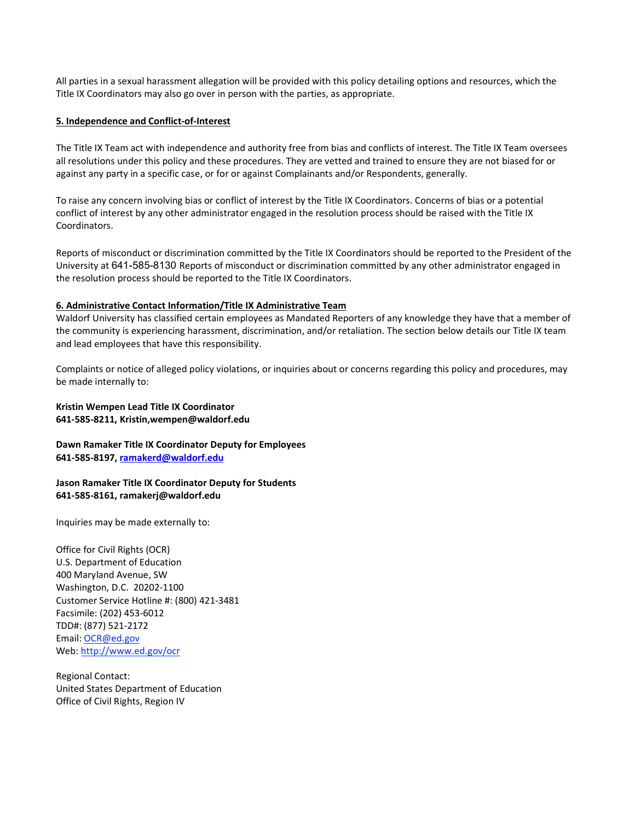All parties in a sexual harassment allegation will be provided with this policy detailing options and resources, which the Title IX Coordinators may also go over in person with the parties, as appropriate.

#### **5. Independence and Conflict-of-Interest**

The Title IX Team act with independence and authority free from bias and conflicts of interest. The Title IX Team oversees all resolutions under this policy and these procedures. They are vetted and trained to ensure they are not biased for or against any party in a specific case, or for or against Complainants and/or Respondents, generally.

To raise any concern involving bias or conflict of interest by the Title IX Coordinators. Concerns of bias or a potential conflict of interest by any other administrator engaged in the resolution process should be raised with the Title IX Coordinators.

Reports of misconduct or discrimination committed by the Title IX Coordinators should be reported to the President of the University at 641-585-8130 Reports of misconduct or discrimination committed by any other administrator engaged in the resolution process should be reported to the Title IX Coordinators.

#### **6. Administrative Contact Information/Title IX Administrative Team**

Waldorf University has classified certain employees as Mandated Reporters of any knowledge they have that a member of the community is experiencing harassment, discrimination, and/or retaliation. The section below details our Title IX team and lead employees that have this responsibility.

Complaints or notice of alleged policy violations, or inquiries about or concerns regarding this policy and procedures, may be made internally to:

#### **Kristin Wempen Lead Title IX Coordinator 641-585-8211, Kristin,wempen@waldorf.edu**

**Dawn Ramaker Title IX Coordinator Deputy for Employees 641-585-8197[, ramakerd@waldorf.edu](mailto:ramakerd@waldorf.edu)**

## **Jason Ramaker Title IX Coordinator Deputy for Students 641-585-8161, ramakerj@waldorf.edu**

Inquiries may be made externally to:

Office for Civil Rights (OCR) U.S. Department of Education 400 Maryland Avenue, SW Washington, D.C. 20202-1100 Customer Service Hotline #: (800) 421-3481 Facsimile: (202) 453-6012 TDD#: (877) 521-2172 Email: [OCR@ed.gov](mailto:OCR@ed.gov) Web: [http://www.ed.gov/ocr](http://www2.ed.gov/about/offices/list/ocr/index.html)

Regional Contact: United States Department of Education Office of Civil Rights, Region IV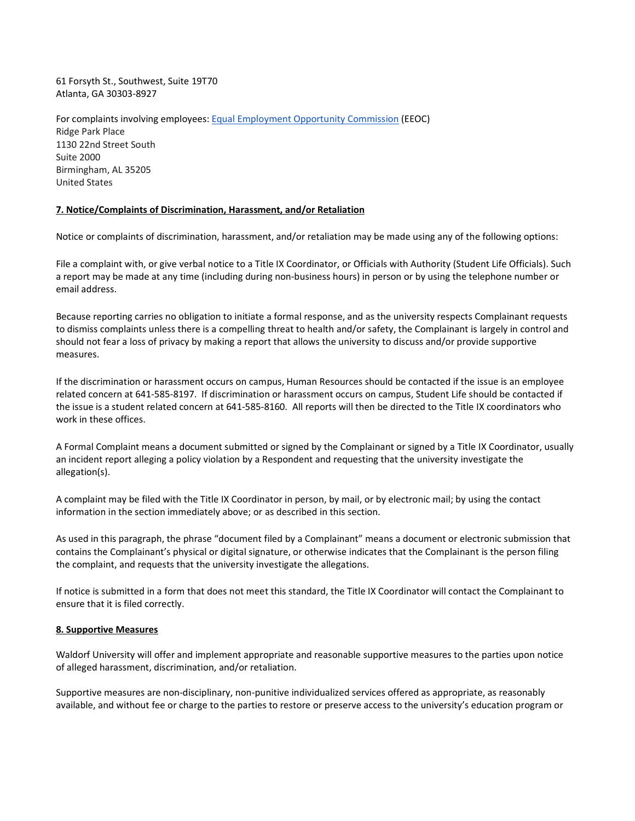61 Forsyth St., Southwest, Suite 19T70 Atlanta, GA 30303-8927

For complaints involving employees[: Equal Employment Opportunity Commission](http://www.eeoc.gov/contact/) [\(](http://www.eeoc.gov/contact/)EEOC) Ridge Park Place 1130 22nd Street South Suite 2000 Birmingham, AL 35205 United States

#### **7. Notice/Complaints of Discrimination, Harassment, and/or Retaliation**

Notice or complaints of discrimination, harassment, and/or retaliation may be made using any of the following options:

File a complaint with, or give verbal notice to a Title IX Coordinator, or Officials with Authority (Student Life Officials). Such a report may be made at any time (including during non-business hours) in person or by using the telephone number or email address.

Because reporting carries no obligation to initiate a formal response, and as the university respects Complainant requests to dismiss complaints unless there is a compelling threat to health and/or safety, the Complainant is largely in control and should not fear a loss of privacy by making a report that allows the university to discuss and/or provide supportive measures.

If the discrimination or harassment occurs on campus, Human Resources should be contacted if the issue is an employee related concern at 641-585-8197. If discrimination or harassment occurs on campus, Student Life should be contacted if the issue is a student related concern at 641-585-8160. All reports will then be directed to the Title IX coordinators who work in these offices.

A Formal Complaint means a document submitted or signed by the Complainant or signed by a Title IX Coordinator, usually an incident report alleging a policy violation by a Respondent and requesting that the university investigate the allegation(s).

A complaint may be filed with the Title IX Coordinator in person, by mail, or by electronic mail; by using the contact information in the section immediately above; or as described in this section.

As used in this paragraph, the phrase "document filed by a Complainant" means a document or electronic submission that contains the Complainant's physical or digital signature, or otherwise indicates that the Complainant is the person filing the complaint, and requests that the university investigate the allegations.

If notice is submitted in a form that does not meet this standard, the Title IX Coordinator will contact the Complainant to ensure that it is filed correctly.

#### **8. Supportive Measures**

Waldorf University will offer and implement appropriate and reasonable supportive measures to the parties upon notice of alleged harassment, discrimination, and/or retaliation.

Supportive measures are non-disciplinary, non-punitive individualized services offered as appropriate, as reasonably available, and without fee or charge to the parties to restore or preserve access to the university's education program or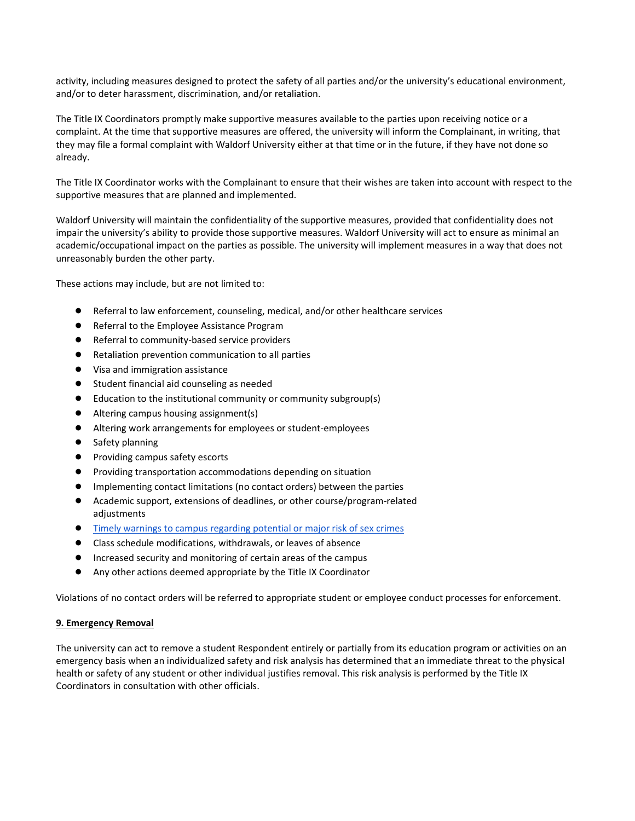activity, including measures designed to protect the safety of all parties and/or the university's educational environment, and/or to deter harassment, discrimination, and/or retaliation.

The Title IX Coordinators promptly make supportive measures available to the parties upon receiving notice or a complaint. At the time that supportive measures are offered, the university will inform the Complainant, in writing, that they may file a formal complaint with Waldorf University either at that time or in the future, if they have not done so already.

The Title IX Coordinator works with the Complainant to ensure that their wishes are taken into account with respect to the supportive measures that are planned and implemented.

Waldorf University will maintain the confidentiality of the supportive measures, provided that confidentiality does not impair the university's ability to provide those supportive measures. Waldorf University will act to ensure as minimal an academic/occupational impact on the parties as possible. The university will implement measures in a way that does not unreasonably burden the other party.

These actions may include, but are not limited to:

- Referral to law enforcement, counseling, medical, and/or other healthcare services
- Referral to the Employee Assistance Program
- Referral to community-based service providers
- Retaliation prevention communication to all parties
- Visa and immigration assistance
- Student financial aid counseling as needed
- Education to the institutional community or community subgroup(s)
- Altering campus housing assignment(s)
- Altering work arrangements for employees or student-employees
- Safety planning
- Providing campus safety escorts
- Providing transportation accommodations depending on situation
- Implementing contact limitations (no contact orders) between the parties
- Academic support, extensions of deadlines, or other course/program-related adjustments
- [Timely warnings](http://ncsam.clerycenter.org/wp-content/uploads/NCSAM18_Timely-Warning-Guide.pdf) to campus regarding potential or major risk of sex crimes
- Class schedule modifications, withdrawals, or leaves of absence
- Increased security and monitoring of certain areas of the campus
- Any other actions deemed appropriate by the Title IX Coordinator

Violations of no contact orders will be referred to appropriate student or employee conduct processes for enforcement.

#### **9. Emergency Removal**

The university can act to remove a student Respondent entirely or partially from its education program or activities on an emergency basis when an individualized safety and risk analysis has determined that an immediate threat to the physical health or safety of any student or other individual justifies removal. This risk analysis is performed by the Title IX Coordinators in consultation with other officials.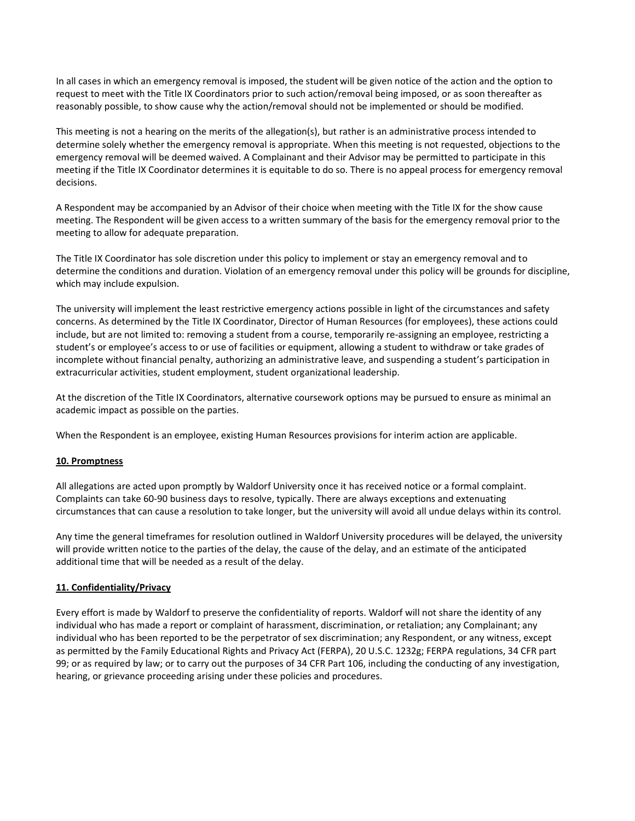In all cases in which an emergency removal is imposed, the student will be given notice of the action and the option to request to meet with the Title IX Coordinators prior to such action/removal being imposed, or as soon thereafter as reasonably possible, to show cause why the action/removal should not be implemented or should be modified.

This meeting is not a hearing on the merits of the allegation(s), but rather is an administrative process intended to determine solely whether the emergency removal is appropriate. When this meeting is not requested, objections to the emergency removal will be deemed waived. A Complainant and their Advisor may be permitted to participate in this meeting if the Title IX Coordinator determines it is equitable to do so. There is no appeal process for emergency removal decisions.

A Respondent may be accompanied by an Advisor of their choice when meeting with the Title IX for the show cause meeting. The Respondent will be given access to a written summary of the basis for the emergency removal prior to the meeting to allow for adequate preparation.

The Title IX Coordinator has sole discretion under this policy to implement or stay an emergency removal and to determine the conditions and duration. Violation of an emergency removal under this policy will be grounds for discipline, which may include expulsion.

The university will implement the least restrictive emergency actions possible in light of the circumstances and safety concerns. As determined by the Title IX Coordinator, Director of Human Resources (for employees), these actions could include, but are not limited to: removing a student from a course, temporarily re-assigning an employee, restricting a student's or employee's access to or use of facilities or equipment, allowing a student to withdraw or take grades of incomplete without financial penalty, authorizing an administrative leave, and suspending a student's participation in extracurricular activities, student employment, student organizational leadership.

At the discretion of the Title IX Coordinators, alternative coursework options may be pursued to ensure as minimal an academic impact as possible on the parties.

When the Respondent is an employee, existing Human Resources provisions for interim action are applicable.

#### **10. Promptness**

All allegations are acted upon promptly by Waldorf University once it has received notice or a formal complaint. Complaints can take 60-90 business days to resolve, typically. There are always exceptions and extenuating circumstances that can cause a resolution to take longer, but the university will avoid all undue delays within its control.

Any time the general timeframes for resolution outlined in Waldorf University procedures will be delayed, the university will provide written notice to the parties of the delay, the cause of the delay, and an estimate of the anticipated additional time that will be needed as a result of the delay.

#### **11. Confidentiality/Privacy**

Every effort is made by Waldorf to preserve the confidentiality of reports. Waldorf will not share the identity of any individual who has made a report or complaint of harassment, discrimination, or retaliation; any Complainant; any individual who has been reported to be the perpetrator of sex discrimination; any Respondent, or any witness, except as permitted by the Family Educational Rights and Privacy Act (FERPA), 20 U.S.C. 1232g; FERPA regulations, 34 CFR part 99; or as required by law; or to carry out the purposes of 34 CFR Part 106, including the conducting of any investigation, hearing, or grievance proceeding arising under these policies and procedures.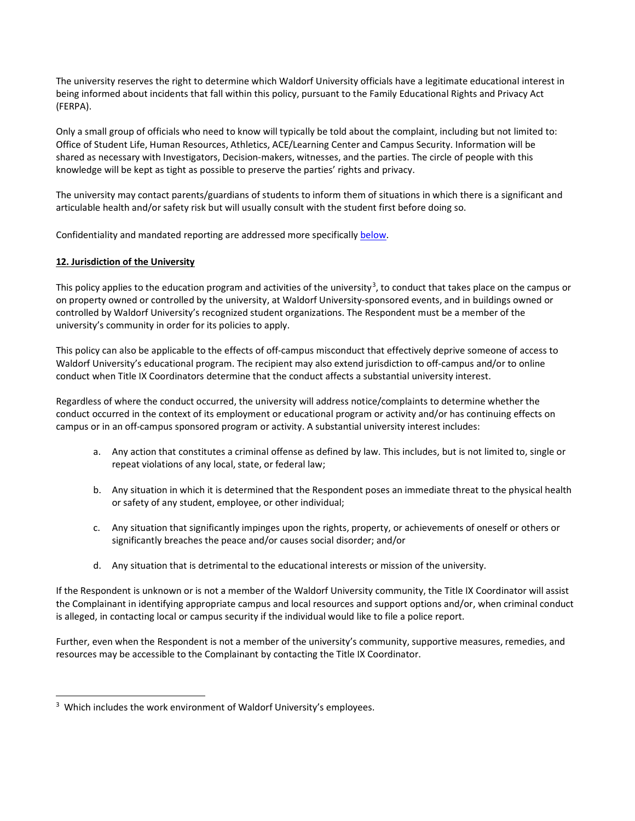The university reserves the right to determine which Waldorf University officials have a legitimate educational interest in being informed about incidents that fall within this policy, pursuant to the Family Educational Rights and Privacy Act (FERPA).

Only a small group of officials who need to know will typically be told about the complaint, including but not limited to: Office of Student Life, Human Resources, Athletics, ACE/Learning Center and Campus Security. Information will be shared as necessary with Investigators, Decision-makers, witnesses, and the parties. The circle of people with this knowledge will be kept as tight as possible to preserve the parties' rights and privacy.

The university may contact parents/guardians of students to inform them of situations in which there is a significant and articulable health and/or safety risk but will usually consult with the student first before doing so.

Confidentiality and mandated reporting are addressed more specificall[y below.](#page-17-0)

# **12. Jurisdiction of the University**

This policy applies to the education program and activities of the university<sup>[3](#page-7-0)</sup>, to conduct that takes place on the campus or on property owned or controlled by the university, at Waldorf University-sponsored events, and in buildings owned or controlled by Waldorf University's recognized student organizations. The Respondent must be a member of the university's community in order for its policies to apply.

This policy can also be applicable to the effects of off-campus misconduct that effectively deprive someone of access to Waldorf University's educational program. The recipient may also extend jurisdiction to off-campus and/or to online conduct when Title IX Coordinators determine that the conduct affects a substantial university interest.

Regardless of where the conduct occurred, the university will address notice/complaints to determine whether the conduct occurred in the context of its employment or educational program or activity and/or has continuing effects on campus or in an off-campus sponsored program or activity. A substantial university interest includes:

- a. Any action that constitutes a criminal offense as defined by law. This includes, but is not limited to, single or repeat violations of any local, state, or federal law;
- b. Any situation in which it is determined that the Respondent poses an immediate threat to the physical health or safety of any student, employee, or other individual;
- c. Any situation that significantly impinges upon the rights, property, or achievements of oneself or others or significantly breaches the peace and/or causes social disorder; and/or
- d. Any situation that is detrimental to the educational interests or mission of the university.

If the Respondent is unknown or is not a member of the Waldorf University community, the Title IX Coordinator will assist the Complainant in identifying appropriate campus and local resources and support options and/or, when criminal conduct is alleged, in contacting local or campus security if the individual would like to file a police report.

Further, even when the Respondent is not a member of the university's community, supportive measures, remedies, and resources may be accessible to the Complainant by contacting the Title IX Coordinator.

<span id="page-7-0"></span><sup>-</sup><sup>3</sup> Which includes the work environment of Waldorf University's employees.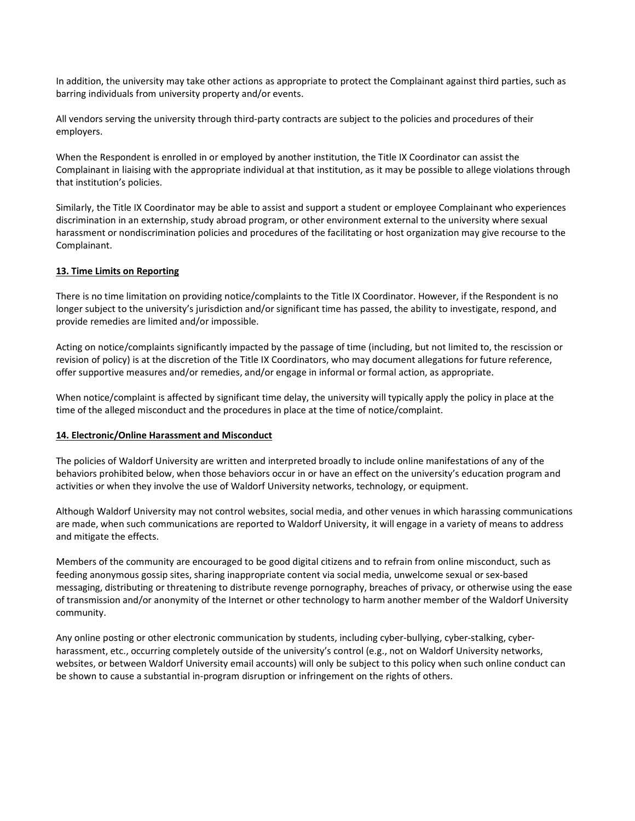In addition, the university may take other actions as appropriate to protect the Complainant against third parties, such as barring individuals from university property and/or events.

All vendors serving the university through third-party contracts are subject to the policies and procedures of their employers.

When the Respondent is enrolled in or employed by another institution, the Title IX Coordinator can assist the Complainant in liaising with the appropriate individual at that institution, as it may be possible to allege violations through that institution's policies.

Similarly, the Title IX Coordinator may be able to assist and support a student or employee Complainant who experiences discrimination in an externship, study abroad program, or other environment external to the university where sexual harassment or nondiscrimination policies and procedures of the facilitating or host organization may give recourse to the Complainant.

#### **13. Time Limits on Reporting**

There is no time limitation on providing notice/complaints to the Title IX Coordinator. However, if the Respondent is no longer subject to the university's jurisdiction and/or significant time has passed, the ability to investigate, respond, and provide remedies are limited and/or impossible.

Acting on notice/complaints significantly impacted by the passage of time (including, but not limited to, the rescission or revision of policy) is at the discretion of the Title IX Coordinators, who may document allegations for future reference, offer supportive measures and/or remedies, and/or engage in informal or formal action, as appropriate.

When notice/complaint is affected by significant time delay, the university will typically apply the policy in place at the time of the alleged misconduct and the procedures in place at the time of notice/complaint.

#### **14. Electronic/Online Harassment and Misconduct**

The policies of Waldorf University are written and interpreted broadly to include online manifestations of any of the behaviors prohibited below, when those behaviors occur in or have an effect on the university's education program and activities or when they involve the use of Waldorf University networks, technology, or equipment.

Although Waldorf University may not control websites, social media, and other venues in which harassing communications are made, when such communications are reported to Waldorf University, it will engage in a variety of means to address and mitigate the effects.

Members of the community are encouraged to be good digital citizens and to refrain from online misconduct, such as feeding anonymous gossip sites, sharing inappropriate content via social media, unwelcome sexual or sex-based messaging, distributing or threatening to distribute revenge pornography, breaches of privacy, or otherwise using the ease of transmission and/or anonymity of the Internet or other technology to harm another member of the Waldorf University community.

Any online posting or other electronic communication by students, including cyber-bullying, cyber-stalking, cyberharassment, etc., occurring completely outside of the university's control (e.g., not on Waldorf University networks, websites, or between Waldorf University email accounts) will only be subject to this policy when such online conduct can be shown to cause a substantial in-program disruption or infringement on the rights of others.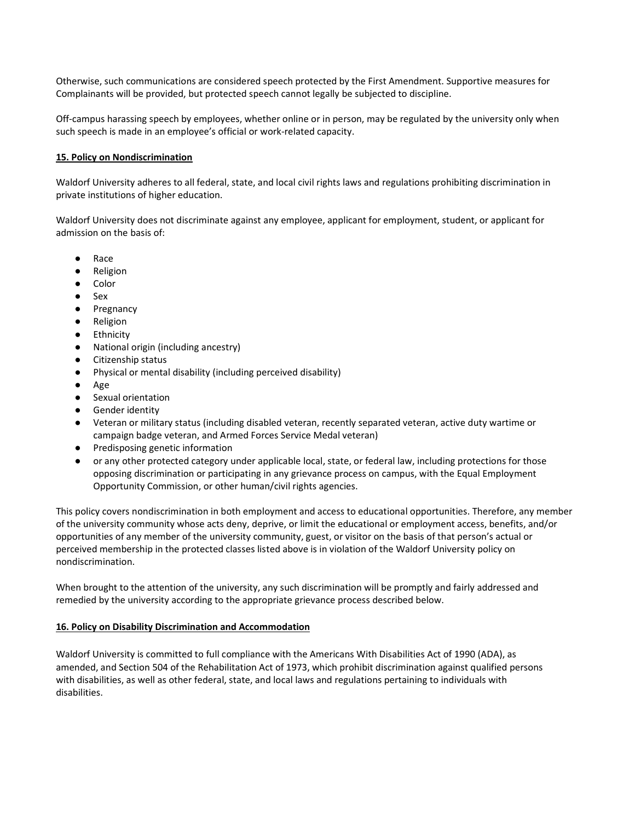Otherwise, such communications are considered speech protected by the First Amendment. Supportive measures for Complainants will be provided, but protected speech cannot legally be subjected to discipline.

Off-campus harassing speech by employees, whether online or in person, may be regulated by the university only when such speech is made in an employee's official or work-related capacity.

## **15. Policy on Nondiscrimination**

Waldorf University adheres to all federal, state, and local civil rights laws and regulations prohibiting discrimination in private institutions of higher education.

Waldorf University does not discriminate against any employee, applicant for employment, student, or applicant for admission on the basis of:

- Race
- Religion
- Color
- Sex
- Pregnancy
- Religion
- Ethnicity
- National origin (including ancestry)
- Citizenship status
- Physical or mental disability (including perceived disability)
- Age
- Sexual orientation
- **Gender identity**
- Veteran or military status (including disabled veteran, recently separated veteran, active duty wartime or campaign badge veteran, and Armed Forces Service Medal veteran)
- Predisposing genetic information
- or any other protected category under applicable local, state, or federal law, including protections for those opposing discrimination or participating in any grievance process on campus, with the Equal Employment Opportunity Commission, or other human/civil rights agencies.

This policy covers nondiscrimination in both employment and access to educational opportunities. Therefore, any member of the university community whose acts deny, deprive, or limit the educational or employment access, benefits, and/or opportunities of any member of the university community, guest, or visitor on the basis of that person's actual or perceived membership in the protected classes listed above is in violation of the Waldorf University policy on nondiscrimination.

When brought to the attention of the university, any such discrimination will be promptly and fairly addressed and remedied by the university according to the appropriate grievance process described below.

## **16. Policy on Disability Discrimination and Accommodation**

Waldorf University is committed to full compliance with the Americans With Disabilities Act of 1990 (ADA), as amended, and Section 504 of the Rehabilitation Act of 1973, which prohibit discrimination against qualified persons with disabilities, as well as other federal, state, and local laws and regulations pertaining to individuals with disabilities.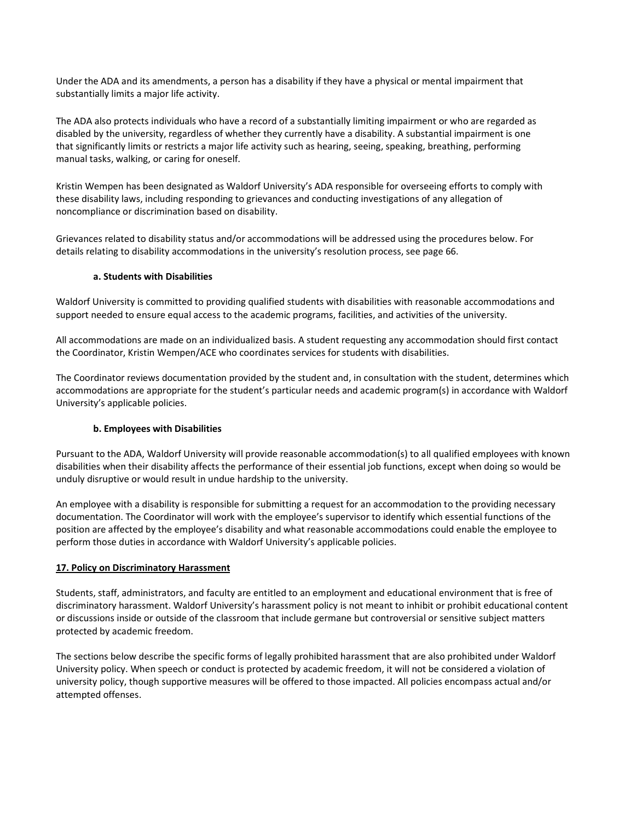Under the ADA and its amendments, a person has a disability if they have a physical or mental impairment that substantially limits a major life activity.

The ADA also protects individuals who have a record of a substantially limiting impairment or who are regarded as disabled by the university, regardless of whether they currently have a disability. A substantial impairment is one that significantly limits or restricts a major life activity such as hearing, seeing, speaking, breathing, performing manual tasks, walking, or caring for oneself.

Kristin Wempen has been designated as Waldorf University's ADA responsible for overseeing efforts to comply with these disability laws, including responding to grievances and conducting investigations of any allegation of noncompliance or discrimination based on disability.

Grievances related to disability status and/or accommodations will be addressed using the procedures below. For details relating to disability accommodations in the university's resolution process, see page 66.

#### **a. Students with Disabilities**

Waldorf University is committed to providing qualified students with disabilities with reasonable accommodations and support needed to ensure equal access to the academic programs, facilities, and activities of the university.

All accommodations are made on an individualized basis. A student requesting any accommodation should first contact the Coordinator, Kristin Wempen/ACE who coordinates services for students with disabilities.

The Coordinator reviews documentation provided by the student and, in consultation with the student, determines which accommodations are appropriate for the student's particular needs and academic program(s) in accordance with Waldorf University's applicable policies.

## **b. Employees with Disabilities**

Pursuant to the ADA, Waldorf University will provide reasonable accommodation(s) to all qualified employees with known disabilities when their disability affects the performance of their essential job functions, except when doing so would be unduly disruptive or would result in undue hardship to the university.

An employee with a disability is responsible for submitting a request for an accommodation to the providing necessary documentation. The Coordinator will work with the employee's supervisor to identify which essential functions of the position are affected by the employee's disability and what reasonable accommodations could enable the employee to perform those duties in accordance with Waldorf University's applicable policies.

## **17. Policy on Discriminatory Harassment**

Students, staff, administrators, and faculty are entitled to an employment and educational environment that is free of discriminatory harassment. Waldorf University's harassment policy is not meant to inhibit or prohibit educational content or discussions inside or outside of the classroom that include germane but controversial or sensitive subject matters protected by academic freedom.

The sections below describe the specific forms of legally prohibited harassment that are also prohibited under Waldorf University policy. When speech or conduct is protected by academic freedom, it will not be considered a violation of university policy, though supportive measures will be offered to those impacted. All policies encompass actual and/or attempted offenses.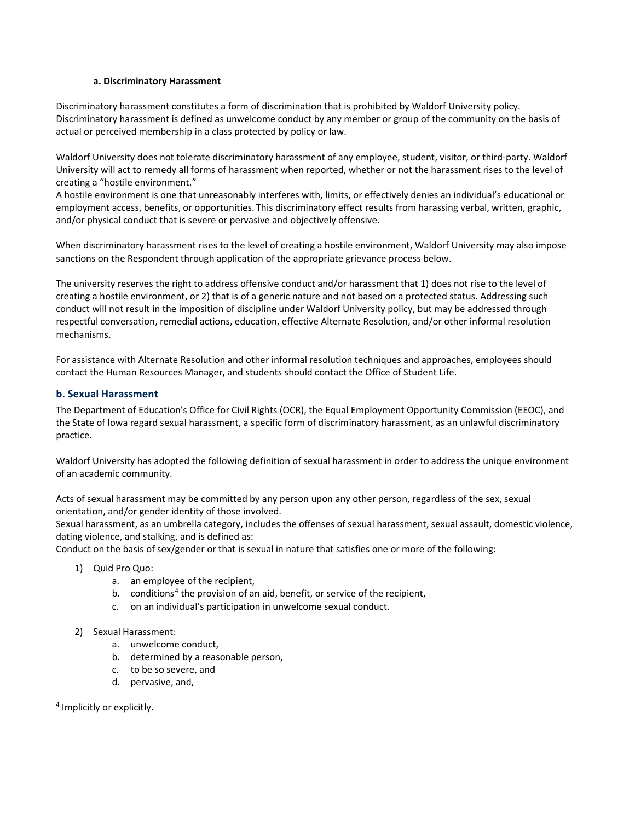#### **a. Discriminatory Harassment**

Discriminatory harassment constitutes a form of discrimination that is prohibited by Waldorf University policy. Discriminatory harassment is defined as unwelcome conduct by any member or group of the community on the basis of actual or perceived membership in a class protected by policy or law.

Waldorf University does not tolerate discriminatory harassment of any employee, student, visitor, or third-party. Waldorf University will act to remedy all forms of harassment when reported, whether or not the harassment rises to the level of creating a "hostile environment."

A hostile environment is one that unreasonably interferes with, limits, or effectively denies an individual's educational or employment access, benefits, or opportunities. This discriminatory effect results from harassing verbal, written, graphic, and/or physical conduct that is severe or pervasive and objectively offensive.

When discriminatory harassment rises to the level of creating a hostile environment, Waldorf University may also impose sanctions on the Respondent through application of the appropriate grievance process below.

The university reserves the right to address offensive conduct and/or harassment that 1) does not rise to the level of creating a hostile environment, or 2) that is of a generic nature and not based on a protected status. Addressing such conduct will not result in the imposition of discipline under Waldorf University policy, but may be addressed through respectful conversation, remedial actions, education, effective Alternate Resolution, and/or other informal resolution mechanisms.

For assistance with Alternate Resolution and other informal resolution techniques and approaches, employees should contact the Human Resources Manager, and students should contact the Office of Student Life.

# <span id="page-11-0"></span>**b. Sexual Harassment**

The Department of Education's Office for Civil Rights (OCR), the Equal Employment Opportunity Commission (EEOC), and the State of Iowa regard sexual harassment, a specific form of discriminatory harassment, as an unlawful discriminatory practice.

Waldorf University has adopted the following definition of sexual harassment in order to address the unique environment of an academic community.

Acts of sexual harassment may be committed by any person upon any other person, regardless of the sex, sexual orientation, and/or gender identity of those involved.

Sexual harassment, as an umbrella category, includes the offenses of sexual harassment, sexual assault, domestic violence, dating violence, and stalking, and is defined as:

Conduct on the basis of sex/gender or that is sexual in nature that satisfies one or more of the following:

- 1) Quid Pro Quo:
	- a. an employee of the recipient,
	- b. conditions<sup>[4](#page-11-1)</sup> the provision of an aid, benefit, or service of the recipient,
	- c. on an individual's participation in unwelcome sexual conduct.

## 2) Sexual Harassment:

- a. unwelcome conduct,
- b. determined by a reasonable person,
- c. to be so severe, and
- d. pervasive, and,

-

<span id="page-11-1"></span><sup>4</sup> Implicitly or explicitly.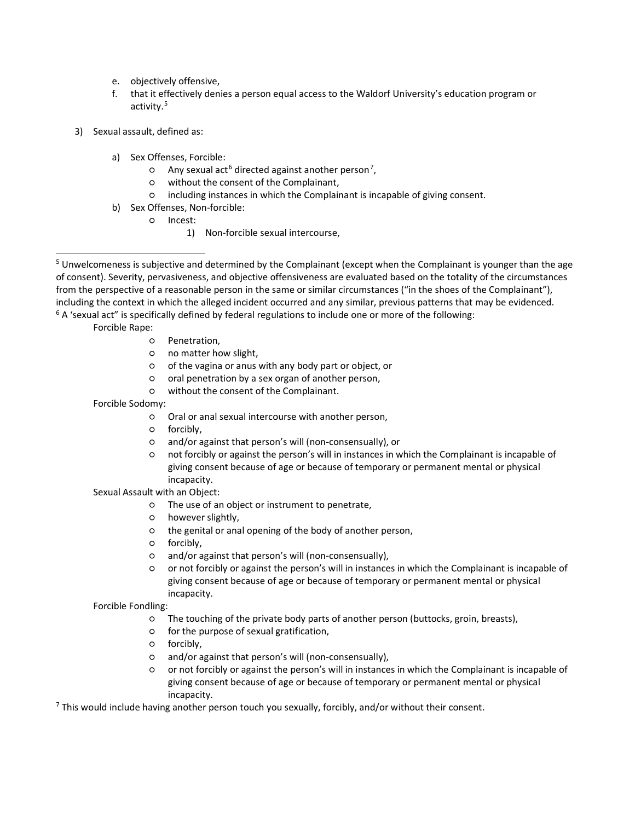- e. objectively offensive,
- f. that it effectively denies a person equal access to the Waldorf University's education program or activity.[5](#page-12-0)
- 3) Sexual assault, defined as:
	- a) Sex Offenses, Forcible:
		- o Any sexual act<sup>[6](#page-12-1)</sup> directed against another person<sup>[7](#page-12-2)</sup>,
		- without the consent of the Complainant,
		- including instances in which the Complainant is incapable of giving consent.
	- b) Sex Offenses, Non-forcible:
		- Incest:
			- 1) Non-forcible sexual intercourse,

<span id="page-12-1"></span><span id="page-12-0"></span><sup>5</sup> Unwelcomeness is subjective and determined by the Complainant (except when the Complainant is younger than the age of consent). Severity, pervasiveness, and objective offensiveness are evaluated based on the totality of the circumstances from the perspective of a reasonable person in the same or similar circumstances ("in the shoes of the Complainant"), including the context in which the alleged incident occurred and any similar, previous patterns that may be evidenced.<br> $6$  A 'sexual act" is specifically defined by federal regulations to include one or more of the follow

Forcible Rape:

j

- Penetration,
- no matter how slight,
- of the vagina or anus with any body part or object, or
- oral penetration by a sex organ of another person,
- without the consent of the Complainant.

Forcible Sodomy:

- Oral or anal sexual intercourse with another person,
- forcibly,
- and/or against that person's will (non-consensually), or
- not forcibly or against the person's will in instances in which the Complainant is incapable of giving consent because of age or because of temporary or permanent mental or physical incapacity.

Sexual Assault with an Object:

- The use of an object or instrument to penetrate,
- however slightly,
- the genital or anal opening of the body of another person,
- forcibly,
- and/or against that person's will (non-consensually),
- or not forcibly or against the person's will in instances in which the Complainant is incapable of giving consent because of age or because of temporary or permanent mental or physical incapacity.

Forcible Fondling:

- The touching of the private body parts of another person (buttocks, groin, breasts),
- for the purpose of sexual gratification,
- o forcibly,
- and/or against that person's will (non-consensually),
- or not forcibly or against the person's will in instances in which the Complainant is incapable of giving consent because of age or because of temporary or permanent mental or physical incapacity.

<span id="page-12-2"></span> $7$  This would include having another person touch you sexually, forcibly, and/or without their consent.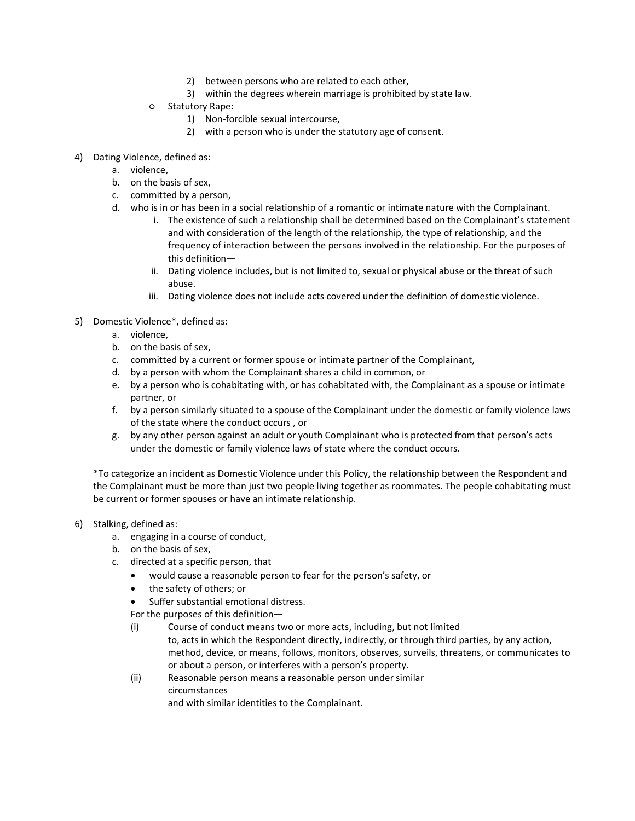- 2) between persons who are related to each other,
- 3) within the degrees wherein marriage is prohibited by state law.
- Statutory Rape:
	- 1) Non-forcible sexual intercourse,
	- 2) with a person who is under the statutory age of consent.
- 4) Dating Violence, defined as:
	- a. violence,
	- b. on the basis of sex,
	- c. committed by a person,
	- d. who is in or has been in a social relationship of a romantic or intimate nature with the Complainant.
		- i. The existence of such a relationship shall be determined based on the Complainant's statement and with consideration of the length of the relationship, the type of relationship, and the frequency of interaction between the persons involved in the relationship. For the purposes of this definition—
		- ii. Dating violence includes, but is not limited to, sexual or physical abuse or the threat of such abuse.
		- iii. Dating violence does not include acts covered under the definition of domestic violence.
- 5) Domestic Violence\*, defined as:
	- a. violence,
	- b. on the basis of sex,
	- c. committed by a current or former spouse or intimate partner of the Complainant,
	- d. by a person with whom the Complainant shares a child in common, or
	- e. by a person who is cohabitating with, or has cohabitated with, the Complainant as a spouse or intimate partner, or
	- f. by a person similarly situated to a spouse of the Complainant under the domestic or family violence laws of the state where the conduct occurs , or
	- g. by any other person against an adult or youth Complainant who is protected from that person's acts under the domestic or family violence laws of state where the conduct occurs.

\*To categorize an incident as Domestic Violence under this Policy, the relationship between the Respondent and the Complainant must be more than just two people living together as roommates. The people cohabitating must be current or former spouses or have an intimate relationship.

- 6) Stalking, defined as:
	- a. engaging in a course of conduct,
	- b. on the basis of sex,
	- c. directed at a specific person, that
		- would cause a reasonable person to fear for the person's safety, or
		- the safety of others; or
		- Suffer substantial emotional distress.
		- For the purposes of this definition—
		- (i) Course of conduct means two or more acts, including, but not limited to, acts in which the Respondent directly, indirectly, or through third parties, by any action, method, device, or means, follows, monitors, observes, surveils, threatens, or communicates to or about a person, or interferes with a person's property.
		- (ii) Reasonable person means a reasonable person under similar circumstances and with similar identities to the Complainant.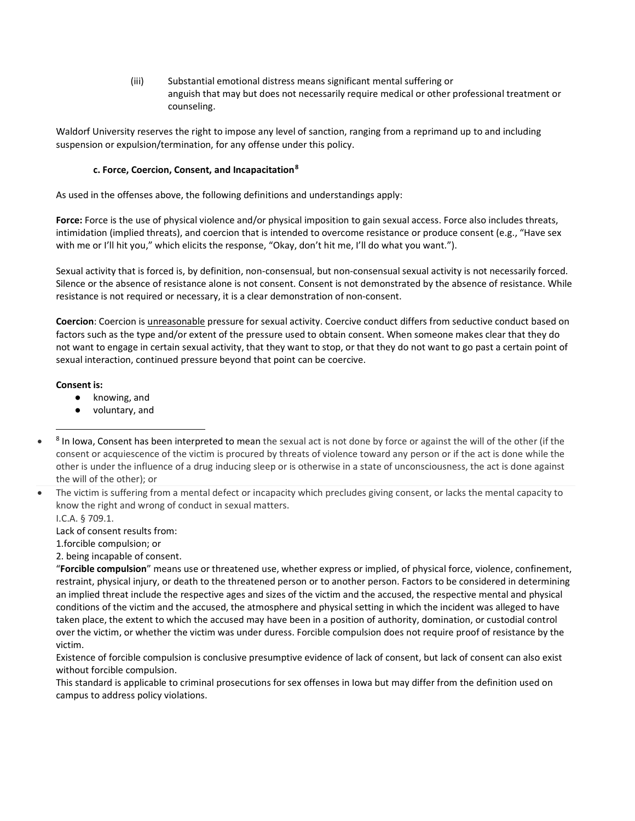(iii) Substantial emotional distress means significant mental suffering or anguish that may but does not necessarily require medical or other professional treatment or counseling.

Waldorf University reserves the right to impose any level of sanction, ranging from a reprimand up to and including suspension or expulsion/termination, for any offense under this policy.

## **c. Force, Coercion, Consent, and Incapacitation[8](#page-14-0)**

As used in the offenses above, the following definitions and understandings apply:

**Force:** Force is the use of physical violence and/or physical imposition to gain sexual access. Force also includes threats, intimidation (implied threats), and coercion that is intended to overcome resistance or produce consent (e.g., "Have sex with me or I'll hit you," which elicits the response, "Okay, don't hit me, I'll do what you want.").

Sexual activity that is forced is, by definition, non-consensual, but non-consensual sexual activity is not necessarily forced. Silence or the absence of resistance alone is not consent. Consent is not demonstrated by the absence of resistance. While resistance is not required or necessary, it is a clear demonstration of non-consent.

**Coercion**: Coercion is unreasonable pressure for sexual activity. Coercive conduct differs from seductive conduct based on factors such as the type and/or extent of the pressure used to obtain consent. When someone makes clear that they do not want to engage in certain sexual activity, that they want to stop, or that they do not want to go past a certain point of sexual interaction, continued pressure beyond that point can be coercive.

# **Consent is:**

j

- knowing, and
- voluntary, and
- <span id="page-14-0"></span>• <sup>8</sup> In Iowa, Consent has been interpreted to mean the sexual act is not done by force or against the will of the other (if the consent or acquiescence of the victim is procured by threats of violence toward any person or if the act is done while the other is under the influence of a drug inducing sleep or is otherwise in a state of unconsciousness, the act is done against the will of the other); or

I.C.A. § 709.1.

Lack of consent results from:

1.forcible compulsion; or

2. being incapable of consent.

"**Forcible compulsion**" means use or threatened use, whether express or implied, of physical force, violence, confinement, restraint, physical injury, or death to the threatened person or to another person. Factors to be considered in determining an implied threat include the respective ages and sizes of the victim and the accused, the respective mental and physical conditions of the victim and the accused, the atmosphere and physical setting in which the incident was alleged to have taken place, the extent to which the accused may have been in a position of authority, domination, or custodial control over the victim, or whether the victim was under duress. Forcible compulsion does not require proof of resistance by the victim.

Existence of forcible compulsion is conclusive presumptive evidence of lack of consent, but lack of consent can also exist without forcible compulsion.

This standard is applicable to criminal prosecutions for sex offenses in Iowa but may differ from the definition used on campus to address policy violations.

<sup>•</sup> The victim is suffering from a mental defect or incapacity which precludes giving consent, or lacks the mental capacity to know the right and wrong of conduct in sexual matters.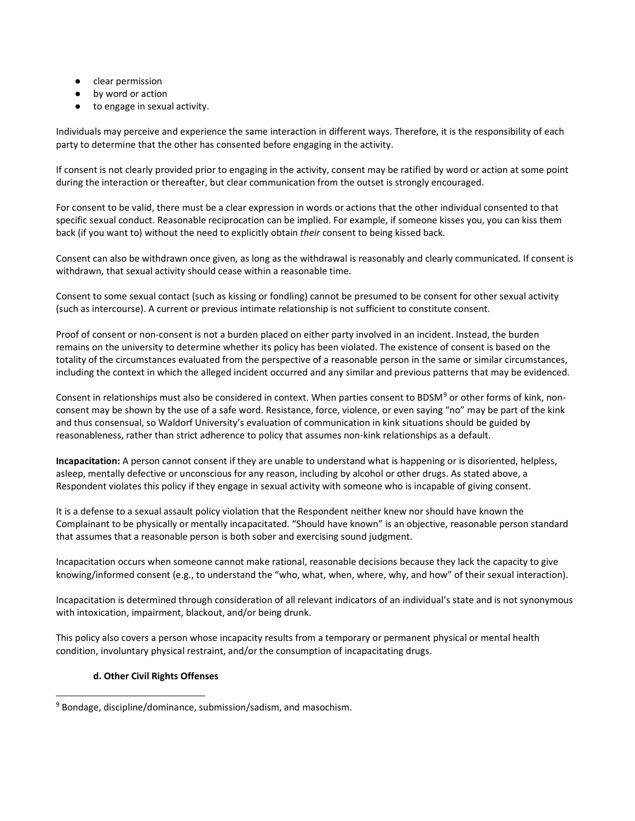- clear permission
- by word or action
- to engage in sexual activity.

Individuals may perceive and experience the same interaction in different ways. Therefore, it is the responsibility of each party to determine that the other has consented before engaging in the activity.

If consent is not clearly provided prior to engaging in the activity, consent may be ratified by word or action at some point during the interaction or thereafter, but clear communication from the outset is strongly encouraged.

For consent to be valid, there must be a clear expression in words or actions that the other individual consented to that specific sexual conduct. Reasonable reciprocation can be implied. For example, if someone kisses you, you can kiss them back (if you want to) without the need to explicitly obtain *their* consent to being kissed back.

Consent can also be withdrawn once given, as long as the withdrawal is reasonably and clearly communicated. If consent is withdrawn, that sexual activity should cease within a reasonable time.

Consent to some sexual contact (such as kissing or fondling) cannot be presumed to be consent for other sexual activity (such as intercourse). A current or previous intimate relationship is not sufficient to constitute consent.

Proof of consent or non-consent is not a burden placed on either party involved in an incident. Instead, the burden remains on the university to determine whether its policy has been violated. The existence of consent is based on the totality of the circumstances evaluated from the perspective of a reasonable person in the same or similar circumstances, including the context in which the alleged incident occurred and any similar and previous patterns that may be evidenced.

Consent in relationships must also be considered in context. When parties consent to BDSM<sup>[9](#page-15-0)</sup> or other forms of kink, nonconsent may be shown by the use of a safe word. Resistance, force, violence, or even saying "no" may be part of the kink and thus consensual, so Waldorf University's evaluation of communication in kink situations should be guided by reasonableness, rather than strict adherence to policy that assumes non-kink relationships as a default.

**Incapacitation:** A person cannot consent if they are unable to understand what is happening or is disoriented, helpless, asleep, mentally defective or unconscious for any reason, including by alcohol or other drugs. As stated above, a Respondent violates this policy if they engage in sexual activity with someone who is incapable of giving consent.

It is a defense to a sexual assault policy violation that the Respondent neither knew nor should have known the Complainant to be physically or mentally incapacitated. "Should have known" is an objective, reasonable person standard that assumes that a reasonable person is both sober and exercising sound judgment.

Incapacitation occurs when someone cannot make rational, reasonable decisions because they lack the capacity to give knowing/informed consent (e.g., to understand the "who, what, when, where, why, and how" of their sexual interaction).

Incapacitation is determined through consideration of all relevant indicators of an individual's state and is not synonymous with intoxication, impairment, blackout, and/or being drunk.

This policy also covers a person whose incapacity results from a temporary or permanent physical or mental health condition, involuntary physical restraint, and/or the consumption of incapacitating drugs.

## **d. Other Civil Rights Offenses**

<span id="page-15-0"></span><sup>-</sup><sup>9</sup> Bondage, discipline/dominance, submission/sadism, and masochism.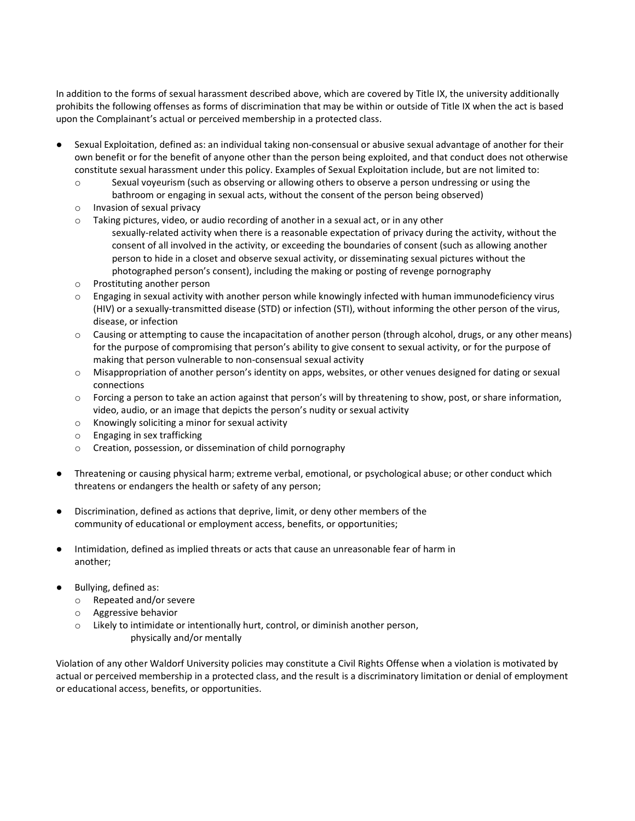In addition to the forms of sexual harassment described above, which are covered by Title IX, the university additionally prohibits the following offenses as forms of discrimination that may be within or outside of Title IX when the act is based upon the Complainant's actual or perceived membership in a protected class.

- Sexual Exploitation, defined as: an individual taking non-consensual or abusive sexual advantage of another for their own benefit or for the benefit of anyone other than the person being exploited, and that conduct does not otherwise constitute sexual harassment under this policy. Examples of Sexual Exploitation include, but are not limited to:
	- o Sexual voyeurism (such as observing or allowing others to observe a person undressing or using the bathroom or engaging in sexual acts, without the consent of the person being observed)
	- o Invasion of sexual privacy
	- o Taking pictures, video, or audio recording of another in a sexual act, or in any other
		- sexually-related activity when there is a reasonable expectation of privacy during the activity, without the consent of all involved in the activity, or exceeding the boundaries of consent (such as allowing another person to hide in a closet and observe sexual activity, or disseminating sexual pictures without the photographed person's consent), including the making or posting of revenge pornography
	- o Prostituting another person
	- o Engaging in sexual activity with another person while knowingly infected with human immunodeficiency virus (HIV) or a sexually-transmitted disease (STD) or infection (STI), without informing the other person of the virus, disease, or infection
	- $\circ$  Causing or attempting to cause the incapacitation of another person (through alcohol, drugs, or any other means) for the purpose of compromising that person's ability to give consent to sexual activity, or for the purpose of making that person vulnerable to non-consensual sexual activity
	- o Misappropriation of another person's identity on apps, websites, or other venues designed for dating or sexual connections
	- o Forcing a person to take an action against that person's will by threatening to show, post, or share information, video, audio, or an image that depicts the person's nudity or sexual activity
	- o Knowingly soliciting a minor for sexual activity
	- o Engaging in sex trafficking
	- o Creation, possession, or dissemination of child pornography
- Threatening or causing physical harm; extreme verbal, emotional, or psychological abuse; or other conduct which threatens or endangers the health or safety of any person;
- Discrimination, defined as actions that deprive, limit, or deny other members of the community of educational or employment access, benefits, or opportunities;
- Intimidation, defined as implied threats or acts that cause an unreasonable fear of harm in another;
- Bullying, defined as:
	- o Repeated and/or severe
	- o Aggressive behavior
	- o Likely to intimidate or intentionally hurt, control, or diminish another person, physically and/or mentally

Violation of any other Waldorf University policies may constitute a Civil Rights Offense when a violation is motivated by actual or perceived membership in a protected class, and the result is a discriminatory limitation or denial of employment or educational access, benefits, or opportunities.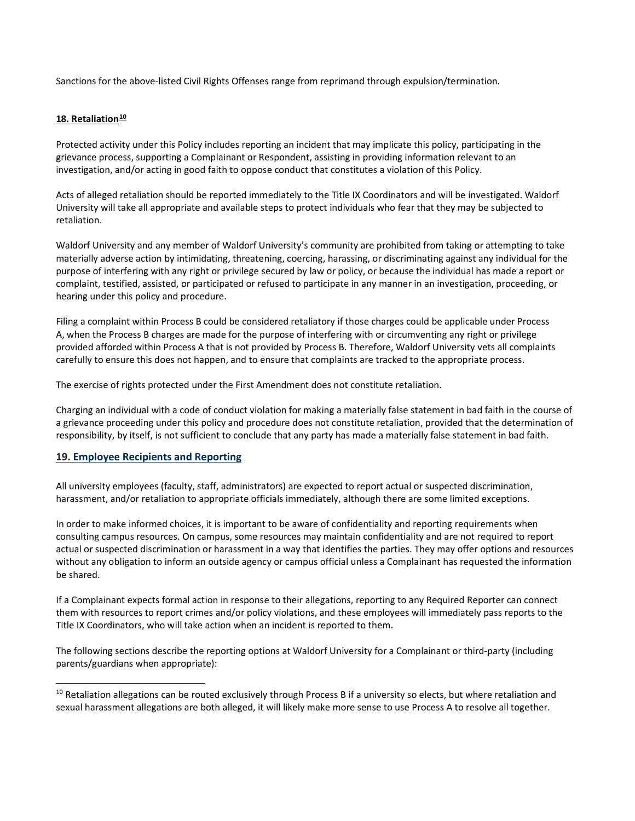Sanctions for the above-listed Civil Rights Offenses range from reprimand through expulsion/termination.

# **18. Retaliation[10](#page-17-1)**

Protected activity under this Policy includes reporting an incident that may implicate this policy, participating in the grievance process, supporting a Complainant or Respondent, assisting in providing information relevant to an investigation, and/or acting in good faith to oppose conduct that constitutes a violation of this Policy.

Acts of alleged retaliation should be reported immediately to the Title IX Coordinators and will be investigated. Waldorf University will take all appropriate and available steps to protect individuals who fear that they may be subjected to retaliation.

Waldorf University and any member of Waldorf University's community are prohibited from taking or attempting to take materially adverse action by intimidating, threatening, coercing, harassing, or discriminating against any individual for the purpose of interfering with any right or privilege secured by law or policy, or because the individual has made a report or complaint, testified, assisted, or participated or refused to participate in any manner in an investigation, proceeding, or hearing under this policy and procedure.

Filing a complaint within Process B could be considered retaliatory if those charges could be applicable under Process A, when the Process B charges are made for the purpose of interfering with or circumventing any right or privilege provided afforded within Process A that is not provided by Process B. Therefore, Waldorf University vets all complaints carefully to ensure this does not happen, and to ensure that complaints are tracked to the appropriate process.

The exercise of rights protected under the First Amendment does not constitute retaliation.

Charging an individual with a code of conduct violation for making a materially false statement in bad faith in the course of a grievance proceeding under this policy and procedure does not constitute retaliation, provided that the determination of responsibility, by itself, is not sufficient to conclude that any party has made a materially false statement in bad faith.

# <span id="page-17-0"></span>**19. Employee Recipients and Reporting**

-

All university employees (faculty, staff, administrators) are expected to report actual or suspected discrimination, harassment, and/or retaliation to appropriate officials immediately, although there are some limited exceptions.

In order to make informed choices, it is important to be aware of confidentiality and reporting requirements when consulting campus resources. On campus, some resources may maintain confidentiality and are not required to report actual or suspected discrimination or harassment in a way that identifies the parties. They may offer options and resources without any obligation to inform an outside agency or campus official unless a Complainant has requested the information be shared.

If a Complainant expects formal action in response to their allegations, reporting to any Required Reporter can connect them with resources to report crimes and/or policy violations, and these employees will immediately pass reports to the Title IX Coordinators, who will take action when an incident is reported to them.

The following sections describe the reporting options at Waldorf University for a Complainant or third-party (including parents/guardians when appropriate):

<span id="page-17-1"></span><sup>&</sup>lt;sup>10</sup> Retaliation allegations can be routed exclusively through Process B if a university so elects, but where retaliation and sexual harassment allegations are both alleged, it will likely make more sense to use Process A to resolve all together.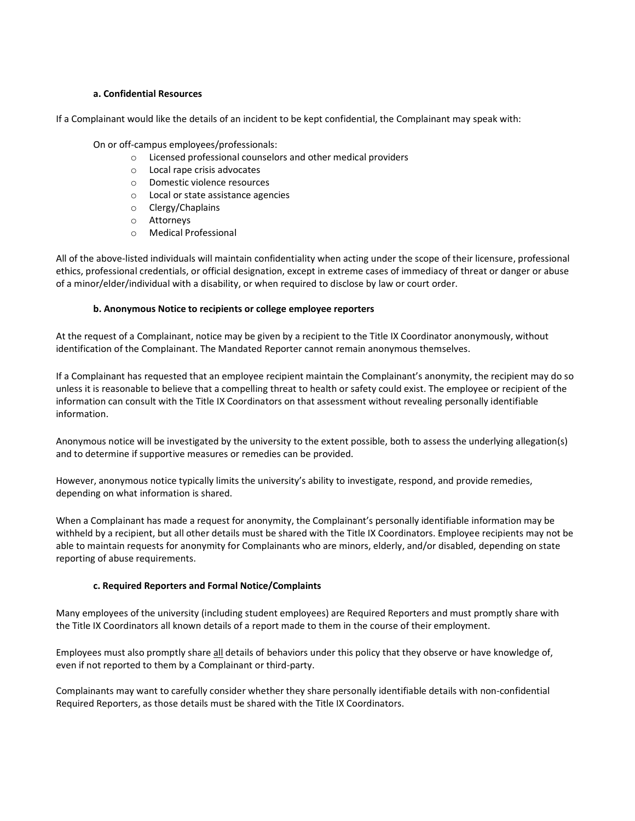#### **a. Confidential Resources**

If a Complainant would like the details of an incident to be kept confidential, the Complainant may speak with:

On or off-campus employees/professionals:

- o Licensed professional counselors and other medical providers
- o Local rape crisis advocates
- o Domestic violence resources
- o Local or state assistance agencies
- o Clergy/Chaplains
- o Attorneys<br>○ Medical Pr
- **Medical Professional**

All of the above-listed individuals will maintain confidentiality when acting under the scope of their licensure, professional ethics, professional credentials, or official designation, except in extreme cases of immediacy of threat or danger or abuse of a minor/elder/individual with a disability, or when required to disclose by law or court order.

#### **b. Anonymous Notice to recipients or college employee reporters**

At the request of a Complainant, notice may be given by a recipient to the Title IX Coordinator anonymously, without identification of the Complainant. The Mandated Reporter cannot remain anonymous themselves.

If a Complainant has requested that an employee recipient maintain the Complainant's anonymity, the recipient may do so unless it is reasonable to believe that a compelling threat to health or safety could exist. The employee or recipient of the information can consult with the Title IX Coordinators on that assessment without revealing personally identifiable information.

Anonymous notice will be investigated by the university to the extent possible, both to assess the underlying allegation(s) and to determine if supportive measures or remedies can be provided.

However, anonymous notice typically limits the university's ability to investigate, respond, and provide remedies, depending on what information is shared.

When a Complainant has made a request for anonymity, the Complainant's personally identifiable information may be withheld by a recipient, but all other details must be shared with the Title IX Coordinators. Employee recipients may not be able to maintain requests for anonymity for Complainants who are minors, elderly, and/or disabled, depending on state reporting of abuse requirements.

## **c. Required Reporters and Formal Notice/Complaints**

Many employees of the university (including student employees) are Required Reporters and must promptly share with the Title IX Coordinators all known details of a report made to them in the course of their employment.

Employees must also promptly share all details of behaviors under this policy that they observe or have knowledge of, even if not reported to them by a Complainant or third-party.

Complainants may want to carefully consider whether they share personally identifiable details with non-confidential Required Reporters, as those details must be shared with the Title IX Coordinators.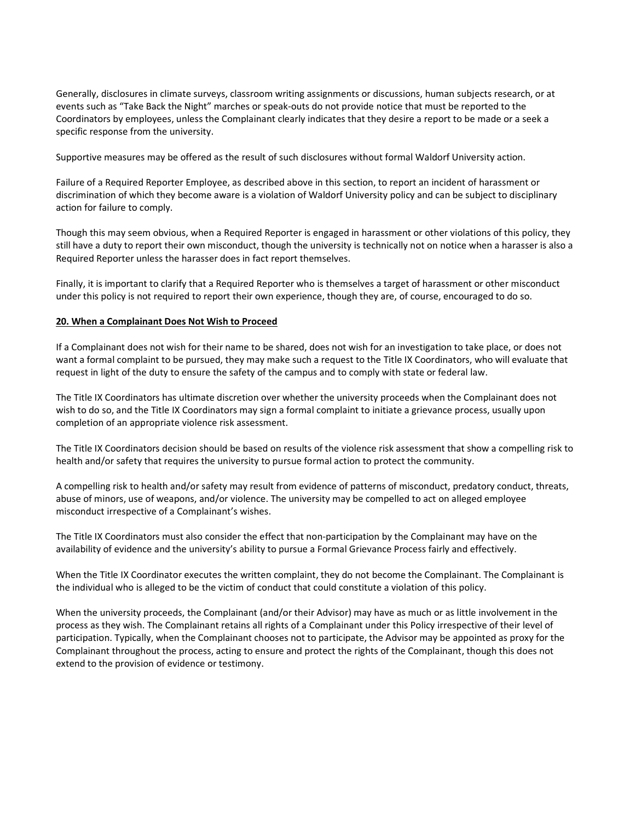Generally, disclosures in climate surveys, classroom writing assignments or discussions, human subjects research, or at events such as "Take Back the Night" marches or speak-outs do not provide notice that must be reported to the Coordinators by employees, unless the Complainant clearly indicates that they desire a report to be made or a seek a specific response from the university.

Supportive measures may be offered as the result of such disclosures without formal Waldorf University action.

Failure of a Required Reporter Employee, as described above in this section, to report an incident of harassment or discrimination of which they become aware is a violation of Waldorf University policy and can be subject to disciplinary action for failure to comply.

Though this may seem obvious, when a Required Reporter is engaged in harassment or other violations of this policy, they still have a duty to report their own misconduct, though the university is technically not on notice when a harasser is also a Required Reporter unless the harasser does in fact report themselves.

Finally, it is important to clarify that a Required Reporter who is themselves a target of harassment or other misconduct under this policy is not required to report their own experience, though they are, of course, encouraged to do so.

#### **20. When a Complainant Does Not Wish to Proceed**

If a Complainant does not wish for their name to be shared, does not wish for an investigation to take place, or does not want a formal complaint to be pursued, they may make such a request to the Title IX Coordinators, who will evaluate that request in light of the duty to ensure the safety of the campus and to comply with state or federal law.

The Title IX Coordinators has ultimate discretion over whether the university proceeds when the Complainant does not wish to do so, and the Title IX Coordinators may sign a formal complaint to initiate a grievance process, usually upon completion of an appropriate violence risk assessment.

The Title IX Coordinators decision should be based on results of the violence risk assessment that show a compelling risk to health and/or safety that requires the university to pursue formal action to protect the community.

A compelling risk to health and/or safety may result from evidence of patterns of misconduct, predatory conduct, threats, abuse of minors, use of weapons, and/or violence. The university may be compelled to act on alleged employee misconduct irrespective of a Complainant's wishes.

The Title IX Coordinators must also consider the effect that non-participation by the Complainant may have on the availability of evidence and the university's ability to pursue a Formal Grievance Process fairly and effectively.

When the Title IX Coordinator executes the written complaint, they do not become the Complainant. The Complainant is the individual who is alleged to be the victim of conduct that could constitute a violation of this policy.

When the university proceeds, the Complainant (and/or their Advisor) may have as much or as little involvement in the process as they wish. The Complainant retains all rights of a Complainant under this Policy irrespective of their level of participation. Typically, when the Complainant chooses not to participate, the Advisor may be appointed as proxy for the Complainant throughout the process, acting to ensure and protect the rights of the Complainant, though this does not extend to the provision of evidence or testimony.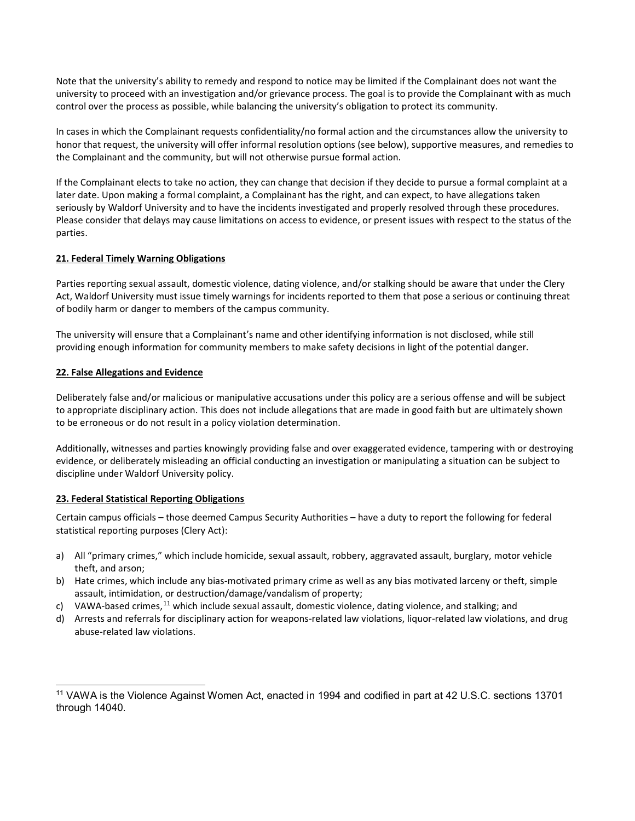Note that the university's ability to remedy and respond to notice may be limited if the Complainant does not want the university to proceed with an investigation and/or grievance process. The goal is to provide the Complainant with as much control over the process as possible, while balancing the university's obligation to protect its community.

In cases in which the Complainant requests confidentiality/no formal action and the circumstances allow the university to honor that request, the university will offer informal resolution options (see below), supportive measures, and remedies to the Complainant and the community, but will not otherwise pursue formal action.

If the Complainant elects to take no action, they can change that decision if they decide to pursue a formal complaint at a later date. Upon making a formal complaint, a Complainant has the right, and can expect, to have allegations taken seriously by Waldorf University and to have the incidents investigated and properly resolved through these procedures. Please consider that delays may cause limitations on access to evidence, or present issues with respect to the status of the parties.

# **21. Federal Timely Warning Obligations**

Parties reporting sexual assault, domestic violence, dating violence, and/or stalking should be aware that under the Clery Act, Waldorf University must issue timely warnings for incidents reported to them that pose a serious or continuing threat of bodily harm or danger to members of the campus community.

The university will ensure that a Complainant's name and other identifying information is not disclosed, while still providing enough information for community members to make safety decisions in light of the potential danger.

## **22. False Allegations and Evidence**

Deliberately false and/or malicious or manipulative accusations under this policy are a serious offense and will be subject to appropriate disciplinary action. This does not include allegations that are made in good faith but are ultimately shown to be erroneous or do not result in a policy violation determination.

Additionally, witnesses and parties knowingly providing false and over exaggerated evidence, tampering with or destroying evidence, or deliberately misleading an official conducting an investigation or manipulating a situation can be subject to discipline under Waldorf University policy.

# **23. Federal Statistical Reporting Obligations**

Certain campus officials – those deemed Campus Security Authorities – have a duty to report the following for federal statistical reporting purposes (Clery Act):

- a) All "primary crimes," which include homicide, sexual assault, robbery, aggravated assault, burglary, motor vehicle theft, and arson;
- b) Hate crimes, which include any bias-motivated primary crime as well as any bias motivated larceny or theft, simple assault, intimidation, or destruction/damage/vandalism of property;
- c) VAWA-based crimes,  $^{11}$  $^{11}$  $^{11}$  which include sexual assault, domestic violence, dating violence, and stalking; and
- d) Arrests and referrals for disciplinary action for weapons-related law violations, liquor-related law violations, and drug abuse-related law violations.

<span id="page-20-0"></span><sup>&</sup>lt;sup>11</sup> VAWA is the Violence Against Women Act, enacted in 1994 and codified in part at 42 U.S.C. sections 13701 through 14040.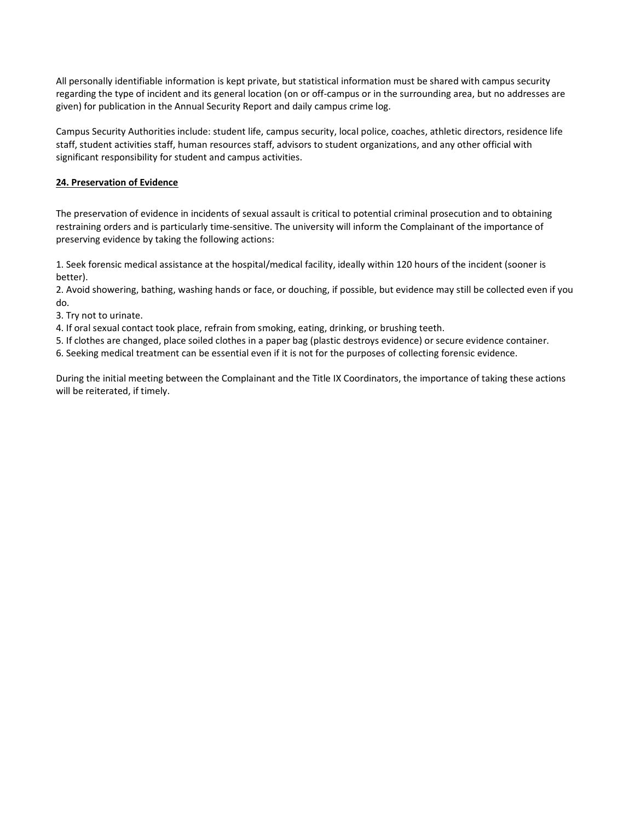All personally identifiable information is kept private, but statistical information must be shared with campus security regarding the type of incident and its general location (on or off-campus or in the surrounding area, but no addresses are given) for publication in the Annual Security Report and daily campus crime log.

Campus Security Authorities include: student life, campus security, local police, coaches, athletic directors, residence life staff, student activities staff, human resources staff, advisors to student organizations, and any other official with significant responsibility for student and campus activities.

## **24. Preservation of Evidence**

The preservation of evidence in incidents of sexual assault is critical to potential criminal prosecution and to obtaining restraining orders and is particularly time-sensitive. The university will inform the Complainant of the importance of preserving evidence by taking the following actions:

1. Seek forensic medical assistance at the hospital/medical facility, ideally within 120 hours of the incident (sooner is better).

2. Avoid showering, bathing, washing hands or face, or douching, if possible, but evidence may still be collected even if you do.

3. Try not to urinate.

4. If oral sexual contact took place, refrain from smoking, eating, drinking, or brushing teeth.

5. If clothes are changed, place soiled clothes in a paper bag (plastic destroys evidence) or secure evidence container.

6. Seeking medical treatment can be essential even if it is not for the purposes of collecting forensic evidence.

During the initial meeting between the Complainant and the Title IX Coordinators, the importance of taking these actions will be reiterated, if timely.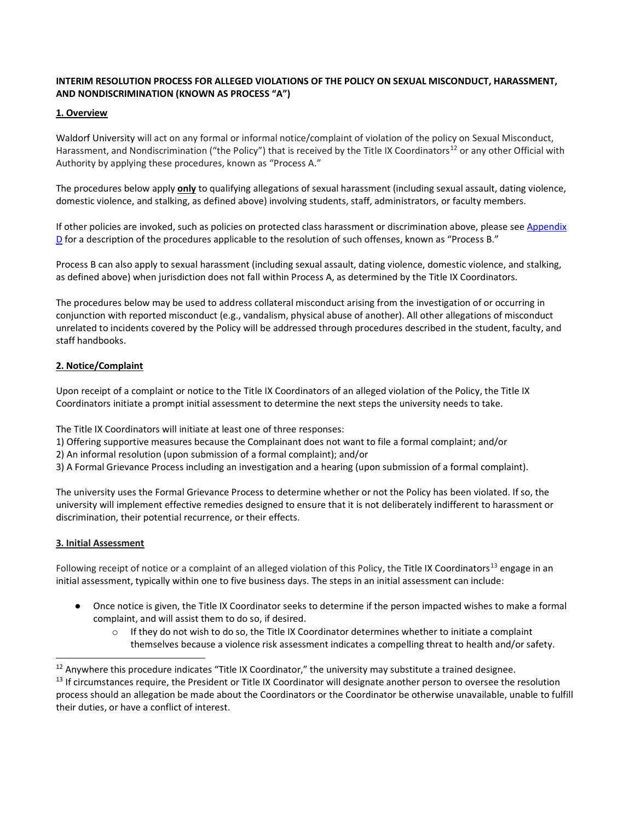# **INTERIM RESOLUTION PROCESS FOR ALLEGED VIOLATIONS OF THE POLICY ON SEXUAL MISCONDUCT, HARASSMENT, AND NONDISCRIMINATION (KNOWN AS PROCESS "A")**

## **1. Overview**

Waldorf University will act on any formal or informal notice/complaint of violation of the policy on Sexual Misconduct, Harassment, and Nondiscrimination ("the Policy") that is received by the Title IX Coordinators<sup>[12](#page-22-0)</sup> or any other Official with Authority by applying these procedures, known as "Process A."

The procedures below apply **only** to qualifying allegations of sexual harassment (including sexual assault, dating violence, domestic violence, and stalking, as defined above) involving students, staff, administrators, or faculty members.

If other policies are invoked, such as policies on protected class harassment or discrimination above, please see Appendix  $D$  for a description of the procedures applicable to the resolution of such offenses, known as "Process B."

Process B can also apply to sexual harassment (including sexual assault, dating violence, domestic violence, and stalking, as defined above) when jurisdiction does not fall within Process A, as determined by the Title IX Coordinators.

The procedures below may be used to address collateral misconduct arising from the investigation of or occurring in conjunction with reported misconduct (e.g., vandalism, physical abuse of another). All other allegations of misconduct unrelated to incidents covered by the Policy will be addressed through procedures described in the student, faculty, and staff handbooks.

# **2. Notice/Complaint**

Upon receipt of a complaint or notice to the Title IX Coordinators of an alleged violation of the Policy, the Title IX Coordinators initiate a prompt initial assessment to determine the next steps the university needs to take.

The Title IX Coordinators will initiate at least one of three responses:

- 1) Offering supportive measures because the Complainant does not want to file a formal complaint; and/or
- 2) An informal resolution (upon submission of a formal complaint); and/or
- 3) A Formal Grievance Process including an investigation and a hearing (upon submission of a formal complaint).

The university uses the Formal Grievance Process to determine whether or not the Policy has been violated. If so, the university will implement effective remedies designed to ensure that it is not deliberately indifferent to harassment or discrimination, their potential recurrence, or their effects.

## **3. Initial Assessment**

-

Following receipt of notice or a complaint of an alleged violation of this Policy, the Title IX Coordinators<sup>[13](#page-22-1)</sup> engage in an initial assessment, typically within one to five business days. The steps in an initial assessment can include:

- Once notice is given, the Title IX Coordinator seeks to determine if the person impacted wishes to make a formal complaint, and will assist them to do so, if desired.
	- $\circ$  If they do not wish to do so, the Title IX Coordinator determines whether to initiate a complaint themselves because a violence risk assessment indicates a compelling threat to health and/or safety.

<span id="page-22-0"></span> $12$  Anywhere this procedure indicates "Title IX Coordinator," the university may substitute a trained designee.

<span id="page-22-1"></span><sup>&</sup>lt;sup>13</sup> If circumstances require, the President or Title IX Coordinator will designate another person to oversee the resolution process should an allegation be made about the Coordinators or the Coordinator be otherwise unavailable, unable to fulfill their duties, or have a conflict of interest.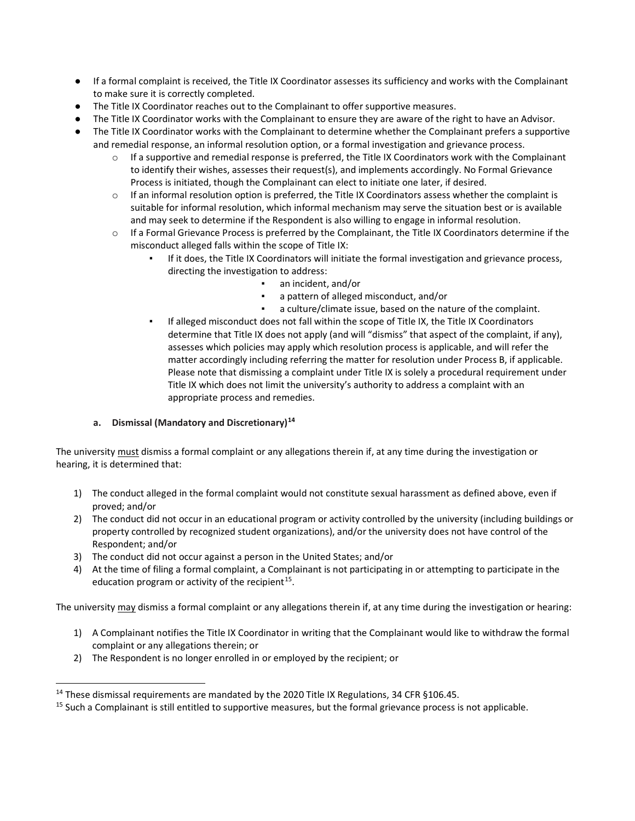- If a formal complaint is received, the Title IX Coordinator assesses its sufficiency and works with the Complainant to make sure it is correctly completed.
- The Title IX Coordinator reaches out to the Complainant to offer supportive measures.
- The Title IX Coordinator works with the Complainant to ensure they are aware of the right to have an Advisor.
- The Title IX Coordinator works with the Complainant to determine whether the Complainant prefers a supportive and remedial response, an informal resolution option, or a formal investigation and grievance process.
	- o If a supportive and remedial response is preferred, the Title IX Coordinators work with the Complainant to identify their wishes, assesses their request(s), and implements accordingly. No Formal Grievance Process is initiated, though the Complainant can elect to initiate one later, if desired.
	- $\circ$  If an informal resolution option is preferred, the Title IX Coordinators assess whether the complaint is suitable for informal resolution, which informal mechanism may serve the situation best or is available and may seek to determine if the Respondent is also willing to engage in informal resolution.
	- o If a Formal Grievance Process is preferred by the Complainant, the Title IX Coordinators determine if the misconduct alleged falls within the scope of Title IX:
		- If it does, the Title IX Coordinators will initiate the formal investigation and grievance process, directing the investigation to address:
			- an incident, and/or
			- a pattern of alleged misconduct, and/or
			- a culture/climate issue, based on the nature of the complaint.
		- If alleged misconduct does not fall within the scope of Title IX, the Title IX Coordinators determine that Title IX does not apply (and will "dismiss" that aspect of the complaint, if any), assesses which policies may apply which resolution process is applicable, and will refer the matter accordingly including referring the matter for resolution under Process B, if applicable. Please note that dismissing a complaint under Title IX is solely a procedural requirement under Title IX which does not limit the university's authority to address a complaint with an appropriate process and remedies.

# **a. Dismissal (Mandatory and Discretionary)[14](#page-23-0)**

The university must dismiss a formal complaint or any allegations therein if, at any time during the investigation or hearing, it is determined that:

- 1) The conduct alleged in the formal complaint would not constitute sexual harassment as defined above, even if proved; and/or
- 2) The conduct did not occur in an educational program or activity controlled by the university (including buildings or property controlled by recognized student organizations), and/or the university does not have control of the Respondent; and/or
- 3) The conduct did not occur against a person in the United States; and/or
- 4) At the time of filing a formal complaint, a Complainant is not participating in or attempting to participate in the education program or activity of the recipient<sup>15</sup>.

The university may dismiss a formal complaint or any allegations therein if, at any time during the investigation or hearing:

- 1) A Complainant notifies the Title IX Coordinator in writing that the Complainant would like to withdraw the formal complaint or any allegations therein; or
- 2) The Respondent is no longer enrolled in or employed by the recipient; or

-

<span id="page-23-1"></span><span id="page-23-0"></span><sup>&</sup>lt;sup>14</sup> These dismissal requirements are mandated by the 2020 Title IX Regulations, 34 CFR §106.45.<br><sup>15</sup> Such a Complainant is still entitled to supportive measures, but the formal grievance process is not applicable.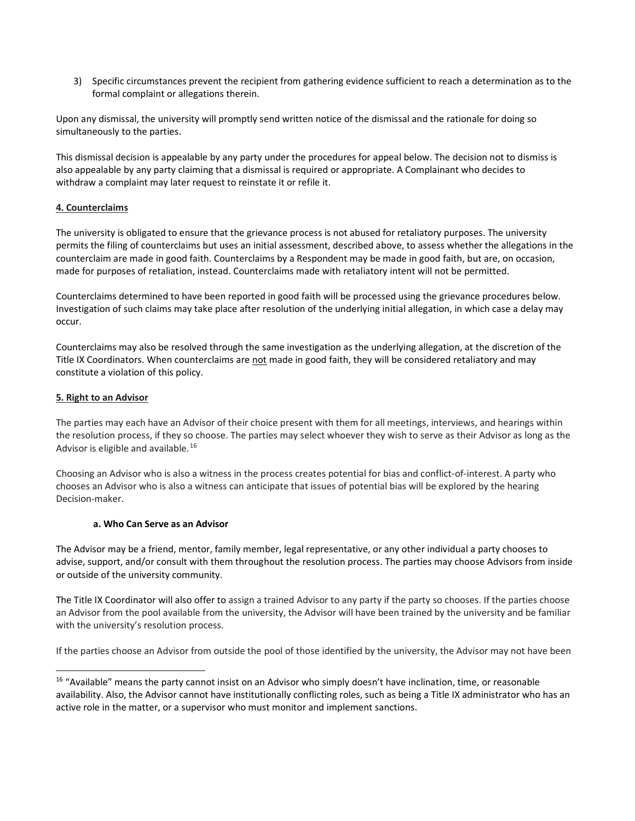3) Specific circumstances prevent the recipient from gathering evidence sufficient to reach a determination as to the formal complaint or allegations therein.

Upon any dismissal, the university will promptly send written notice of the dismissal and the rationale for doing so simultaneously to the parties.

This dismissal decision is appealable by any party under the procedures for appeal below. The decision not to dismiss is also appealable by any party claiming that a dismissal is required or appropriate. A Complainant who decides to withdraw a complaint may later request to reinstate it or refile it.

# **4. Counterclaims**

The university is obligated to ensure that the grievance process is not abused for retaliatory purposes. The university permits the filing of counterclaims but uses an initial assessment, described above, to assess whether the allegations in the counterclaim are made in good faith. Counterclaims by a Respondent may be made in good faith, but are, on occasion, made for purposes of retaliation, instead. Counterclaims made with retaliatory intent will not be permitted.

Counterclaims determined to have been reported in good faith will be processed using the grievance procedures below. Investigation of such claims may take place after resolution of the underlying initial allegation, in which case a delay may occur.

Counterclaims may also be resolved through the same investigation as the underlying allegation, at the discretion of the Title IX Coordinators. When counterclaims are not made in good faith, they will be considered retaliatory and may constitute a violation of this policy.

## **5. Right to an Advisor**

-

The parties may each have an Advisor of their choice present with them for all meetings, interviews, and hearings within the resolution process, if they so choose. The parties may select whoever they wish to serve as their Advisor as long as the Advisor is eligible and available.<sup>[16](#page-24-0)</sup>

Choosing an Advisor who is also a witness in the process creates potential for bias and conflict-of-interest. A party who chooses an Advisor who is also a witness can anticipate that issues of potential bias will be explored by the hearing Decision-maker.

## **a. Who Can Serve as an Advisor**

The Advisor may be a friend, mentor, family member, legal representative, or any other individual a party chooses to advise, support, and/or consult with them throughout the resolution process. The parties may choose Advisors from inside or outside of the university community.

The Title IX Coordinator will also offer to assign a trained Advisor to any party if the party so chooses. If the parties choose an Advisor from the pool available from the university, the Advisor will have been trained by the university and be familiar with the university's resolution process.

If the parties choose an Advisor from outside the pool of those identified by the university, the Advisor may not have been

<span id="page-24-0"></span><sup>&</sup>lt;sup>16</sup> "Available" means the party cannot insist on an Advisor who simply doesn't have inclination, time, or reasonable availability. Also, the Advisor cannot have institutionally conflicting roles, such as being a Title IX administrator who has an active role in the matter, or a supervisor who must monitor and implement sanctions.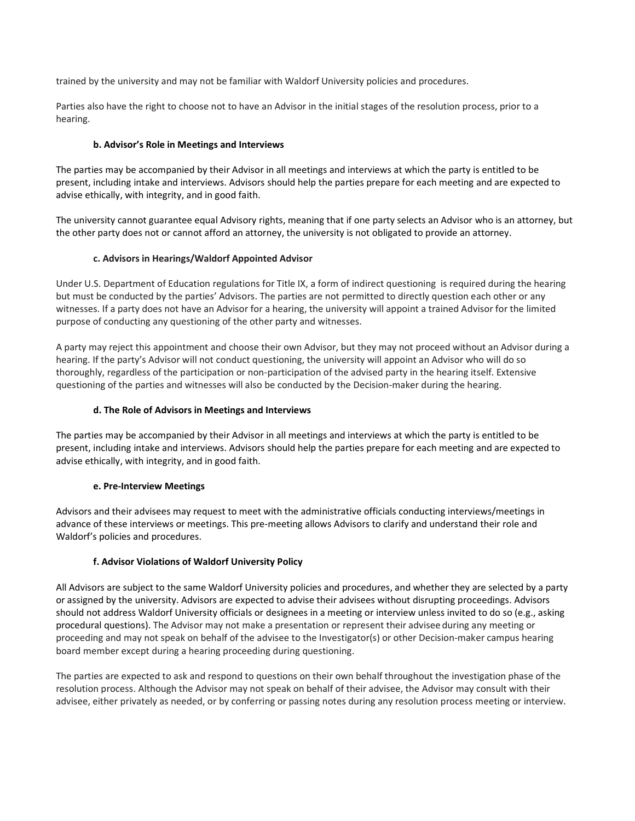trained by the university and may not be familiar with Waldorf University policies and procedures.

Parties also have the right to choose not to have an Advisor in the initial stages of the resolution process, prior to a hearing.

## **b. Advisor's Role in Meetings and Interviews**

The parties may be accompanied by their Advisor in all meetings and interviews at which the party is entitled to be present, including intake and interviews. Advisors should help the parties prepare for each meeting and are expected to advise ethically, with integrity, and in good faith.

The university cannot guarantee equal Advisory rights, meaning that if one party selects an Advisor who is an attorney, but the other party does not or cannot afford an attorney, the university is not obligated to provide an attorney.

# **c. Advisors in Hearings/Waldorf Appointed Advisor**

Under U.S. Department of Education regulations for Title IX, a form of indirect questioning is required during the hearing but must be conducted by the parties' Advisors. The parties are not permitted to directly question each other or any witnesses. If a party does not have an Advisor for a hearing, the university will appoint a trained Advisor for the limited purpose of conducting any questioning of the other party and witnesses.

A party may reject this appointment and choose their own Advisor, but they may not proceed without an Advisor during a hearing. If the party's Advisor will not conduct questioning, the university will appoint an Advisor who will do so thoroughly, regardless of the participation or non-participation of the advised party in the hearing itself. Extensive questioning of the parties and witnesses will also be conducted by the Decision-maker during the hearing.

# **d. The Role of Advisors in Meetings and Interviews**

The parties may be accompanied by their Advisor in all meetings and interviews at which the party is entitled to be present, including intake and interviews. Advisors should help the parties prepare for each meeting and are expected to advise ethically, with integrity, and in good faith.

## **e. Pre-Interview Meetings**

Advisors and their advisees may request to meet with the administrative officials conducting interviews/meetings in advance of these interviews or meetings. This pre-meeting allows Advisors to clarify and understand their role and Waldorf's policies and procedures.

# **f. Advisor Violations of Waldorf University Policy**

All Advisors are subject to the same Waldorf University policies and procedures, and whether they are selected by a party or assigned by the university. Advisors are expected to advise their advisees without disrupting proceedings. Advisors should not address Waldorf University officials or designees in a meeting or interview unless invited to do so (e.g., asking procedural questions). The Advisor may not make a presentation or represent their advisee during any meeting or proceeding and may not speak on behalf of the advisee to the Investigator(s) or other Decision-maker campus hearing board member except during a hearing proceeding during questioning.

The parties are expected to ask and respond to questions on their own behalf throughout the investigation phase of the resolution process. Although the Advisor may not speak on behalf of their advisee, the Advisor may consult with their advisee, either privately as needed, or by conferring or passing notes during any resolution process meeting or interview.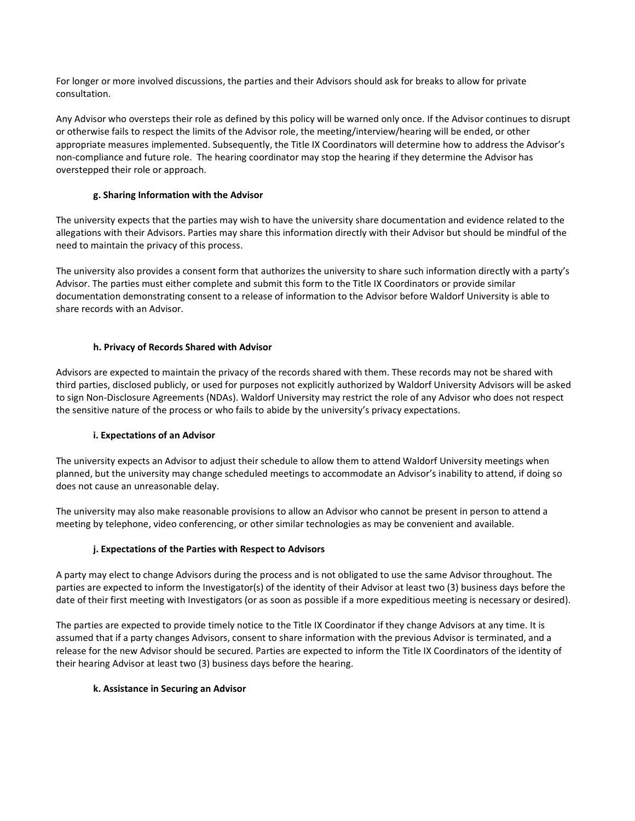For longer or more involved discussions, the parties and their Advisors should ask for breaks to allow for private consultation.

Any Advisor who oversteps their role as defined by this policy will be warned only once. If the Advisor continues to disrupt or otherwise fails to respect the limits of the Advisor role, the meeting/interview/hearing will be ended, or other appropriate measures implemented. Subsequently, the Title IX Coordinators will determine how to address the Advisor's non-compliance and future role. The hearing coordinator may stop the hearing if they determine the Advisor has overstepped their role or approach.

# **g. Sharing Information with the Advisor**

The university expects that the parties may wish to have the university share documentation and evidence related to the allegations with their Advisors. Parties may share this information directly with their Advisor but should be mindful of the need to maintain the privacy of this process.

The university also provides a consent form that authorizes the university to share such information directly with a party's Advisor. The parties must either complete and submit this form to the Title IX Coordinators or provide similar documentation demonstrating consent to a release of information to the Advisor before Waldorf University is able to share records with an Advisor.

# **h. Privacy of Records Shared with Advisor**

Advisors are expected to maintain the privacy of the records shared with them. These records may not be shared with third parties, disclosed publicly, or used for purposes not explicitly authorized by Waldorf University Advisors will be asked to sign Non-Disclosure Agreements (NDAs). Waldorf University may restrict the role of any Advisor who does not respect the sensitive nature of the process or who fails to abide by the university's privacy expectations.

## **i. Expectations of an Advisor**

The university expects an Advisor to adjust their schedule to allow them to attend Waldorf University meetings when planned, but the university may change scheduled meetings to accommodate an Advisor's inability to attend, if doing so does not cause an unreasonable delay.

The university may also make reasonable provisions to allow an Advisor who cannot be present in person to attend a meeting by telephone, video conferencing, or other similar technologies as may be convenient and available.

## **j. Expectations of the Parties with Respect to Advisors**

A party may elect to change Advisors during the process and is not obligated to use the same Advisor throughout. The parties are expected to inform the Investigator(s) of the identity of their Advisor at least two (3) business days before the date of their first meeting with Investigators (or as soon as possible if a more expeditious meeting is necessary or desired).

The parties are expected to provide timely notice to the Title IX Coordinator if they change Advisors at any time. It is assumed that if a party changes Advisors, consent to share information with the previous Advisor is terminated, and a release for the new Advisor should be secured. Parties are expected to inform the Title IX Coordinators of the identity of their hearing Advisor at least two (3) business days before the hearing.

## **k. Assistance in Securing an Advisor**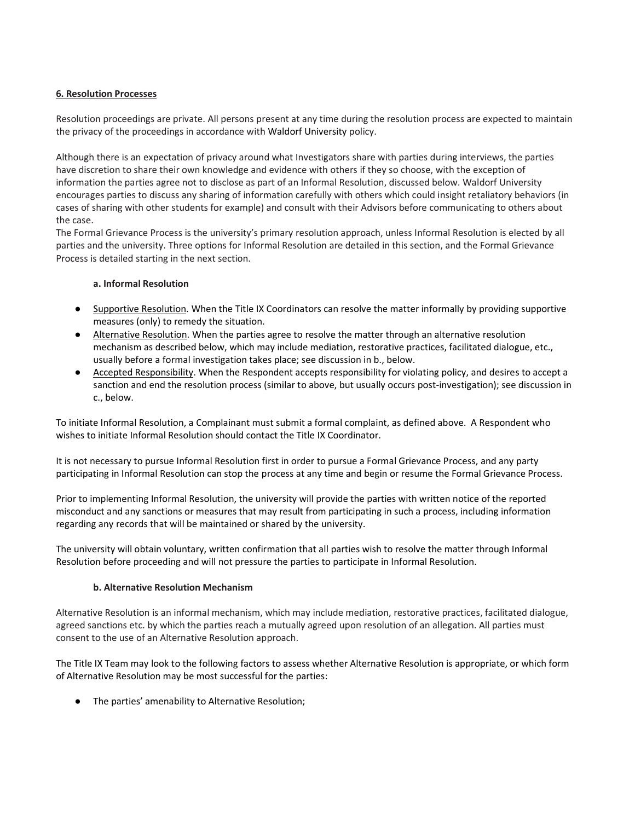## **6. Resolution Processes**

Resolution proceedings are private. All persons present at any time during the resolution process are expected to maintain the privacy of the proceedings in accordance with Waldorf University policy.

Although there is an expectation of privacy around what Investigators share with parties during interviews, the parties have discretion to share their own knowledge and evidence with others if they so choose, with the exception of information the parties agree not to disclose as part of an Informal Resolution, discussed below. Waldorf University encourages parties to discuss any sharing of information carefully with others which could insight retaliatory behaviors (in cases of sharing with other students for example) and consult with their Advisors before communicating to others about the case.

The Formal Grievance Process is the university's primary resolution approach, unless Informal Resolution is elected by all parties and the university. Three options for Informal Resolution are detailed in this section, and the Formal Grievance Process is detailed starting in the next section.

## **a. Informal Resolution**

- Supportive Resolution. When the Title IX Coordinators can resolve the matter informally by providing supportive measures (only) to remedy the situation.
- Alternative Resolution. When the parties agree to resolve the matter through an alternative resolution mechanism as described below, which may include mediation, restorative practices, facilitated dialogue, etc., usually before a formal investigation takes place; see discussion in b., below.
- Accepted Responsibility. When the Respondent accepts responsibility for violating policy, and desires to accept a sanction and end the resolution process (similar to above, but usually occurs post-investigation); see discussion in c., below.

To initiate Informal Resolution, a Complainant must submit a formal complaint, as defined above. A Respondent who wishes to initiate Informal Resolution should contact the Title IX Coordinator.

It is not necessary to pursue Informal Resolution first in order to pursue a Formal Grievance Process, and any party participating in Informal Resolution can stop the process at any time and begin or resume the Formal Grievance Process.

Prior to implementing Informal Resolution, the university will provide the parties with written notice of the reported misconduct and any sanctions or measures that may result from participating in such a process, including information regarding any records that will be maintained or shared by the university.

The university will obtain voluntary, written confirmation that all parties wish to resolve the matter through Informal Resolution before proceeding and will not pressure the parties to participate in Informal Resolution.

## **b. Alternative Resolution Mechanism**

Alternative Resolution is an informal mechanism, which may include mediation, restorative practices, facilitated dialogue, agreed sanctions etc. by which the parties reach a mutually agreed upon resolution of an allegation. All parties must consent to the use of an Alternative Resolution approach.

The Title IX Team may look to the following factors to assess whether Alternative Resolution is appropriate, or which form of Alternative Resolution may be most successful for the parties:

● The parties' amenability to Alternative Resolution;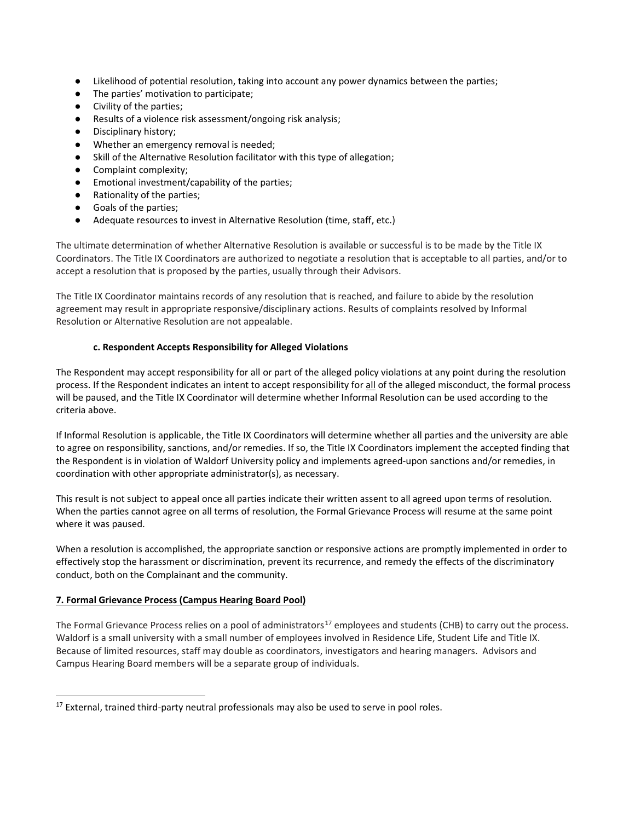- Likelihood of potential resolution, taking into account any power dynamics between the parties;
- The parties' motivation to participate;
- Civility of the parties;
- Results of a violence risk assessment/ongoing risk analysis;
- Disciplinary history;
- Whether an emergency removal is needed;
- Skill of the Alternative Resolution facilitator with this type of allegation;
- Complaint complexity;
- Emotional investment/capability of the parties;
- Rationality of the parties;
- Goals of the parties;
- Adequate resources to invest in Alternative Resolution (time, staff, etc.)

The ultimate determination of whether Alternative Resolution is available or successful is to be made by the Title IX Coordinators. The Title IX Coordinators are authorized to negotiate a resolution that is acceptable to all parties, and/or to accept a resolution that is proposed by the parties, usually through their Advisors.

The Title IX Coordinator maintains records of any resolution that is reached, and failure to abide by the resolution agreement may result in appropriate responsive/disciplinary actions. Results of complaints resolved by Informal Resolution or Alternative Resolution are not appealable.

## **c. Respondent Accepts Responsibility for Alleged Violations**

The Respondent may accept responsibility for all or part of the alleged policy violations at any point during the resolution process. If the Respondent indicates an intent to accept responsibility for all of the alleged misconduct, the formal process will be paused, and the Title IX Coordinator will determine whether Informal Resolution can be used according to the criteria above.

If Informal Resolution is applicable, the Title IX Coordinators will determine whether all parties and the university are able to agree on responsibility, sanctions, and/or remedies. If so, the Title IX Coordinators implement the accepted finding that the Respondent is in violation of Waldorf University policy and implements agreed-upon sanctions and/or remedies, in coordination with other appropriate administrator(s), as necessary.

This result is not subject to appeal once all parties indicate their written assent to all agreed upon terms of resolution. When the parties cannot agree on all terms of resolution, the Formal Grievance Process will resume at the same point where it was paused.

When a resolution is accomplished, the appropriate sanction or responsive actions are promptly implemented in order to effectively stop the harassment or discrimination, prevent its recurrence, and remedy the effects of the discriminatory conduct, both on the Complainant and the community.

## **7. Formal Grievance Process (Campus Hearing Board Pool)**

The Formal Grievance Process relies on a pool of administrators<sup>[17](#page-28-0)</sup> employees and students (CHB) to carry out the process. Waldorf is a small university with a small number of employees involved in Residence Life, Student Life and Title IX. Because of limited resources, staff may double as coordinators, investigators and hearing managers. Advisors and Campus Hearing Board members will be a separate group of individuals.

<span id="page-28-0"></span><sup>-</sup><sup>17</sup> External, trained third-party neutral professionals may also be used to serve in pool roles.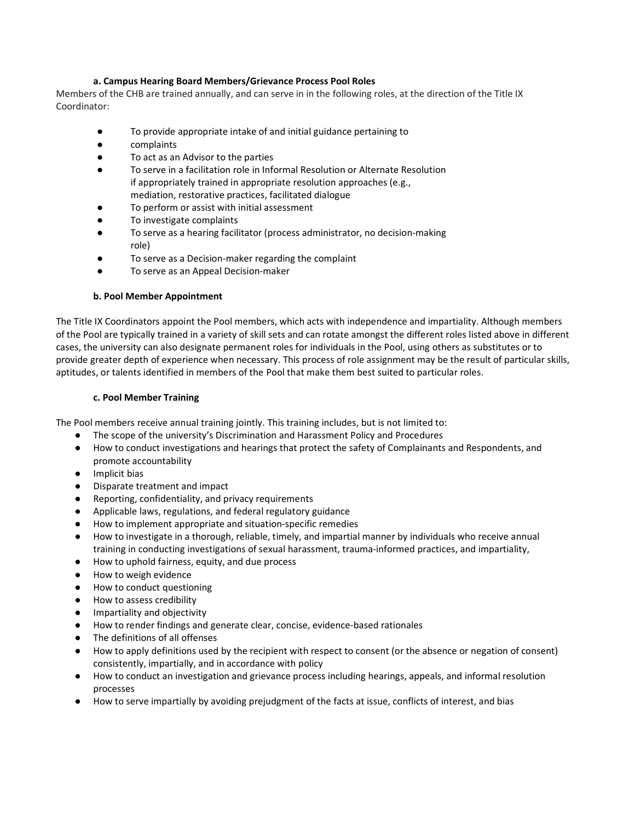## **a. Campus Hearing Board Members/Grievance Process Pool Roles**

Members of the CHB are trained annually, and can serve in in the following roles, at the direction of the Title IX Coordinator:

- To provide appropriate intake of and initial guidance pertaining to
- complaints
- To act as an Advisor to the parties
- To serve in a facilitation role in Informal Resolution or Alternate Resolution if appropriately trained in appropriate resolution approaches (e.g., mediation, restorative practices, facilitated dialogue
- To perform or assist with initial assessment
- To investigate complaints
- To serve as a hearing facilitator (process administrator, no decision-making role)
- To serve as a Decision-maker regarding the complaint
- To serve as an Appeal Decision-maker

## **b. Pool Member Appointment**

The Title IX Coordinators appoint the Pool members, which acts with independence and impartiality. Although members of the Pool are typically trained in a variety of skill sets and can rotate amongst the different roles listed above in different cases, the university can also designate permanent roles for individuals in the Pool, using others as substitutes or to provide greater depth of experience when necessary. This process of role assignment may be the result of particular skills, aptitudes, or talents identified in members of the Pool that make them best suited to particular roles.

#### **c. Pool Member Training**

The Pool members receive annual training jointly. This training includes, but is not limited to:

- The scope of the university's Discrimination and Harassment Policy and Procedures
- How to conduct investigations and hearings that protect the safety of Complainants and Respondents, and promote accountability
- Implicit bias
- Disparate treatment and impact
- Reporting, confidentiality, and privacy requirements
- Applicable laws, regulations, and federal regulatory guidance
- How to implement appropriate and situation-specific remedies
- How to investigate in a thorough, reliable, timely, and impartial manner by individuals who receive annual training in conducting investigations of sexual harassment, trauma-informed practices, and impartiality,
- How to uphold fairness, equity, and due process
- How to weigh evidence
- How to conduct questioning
- How to assess credibility
- Impartiality and objectivity
- How to render findings and generate clear, concise, evidence-based rationales
- The definitions of all offenses
- How to apply definitions used by the recipient with respect to consent (or the absence or negation of consent) consistently, impartially, and in accordance with policy
- How to conduct an investigation and grievance process including hearings, appeals, and informal resolution processes
- How to serve impartially by avoiding prejudgment of the facts at issue, conflicts of interest, and bias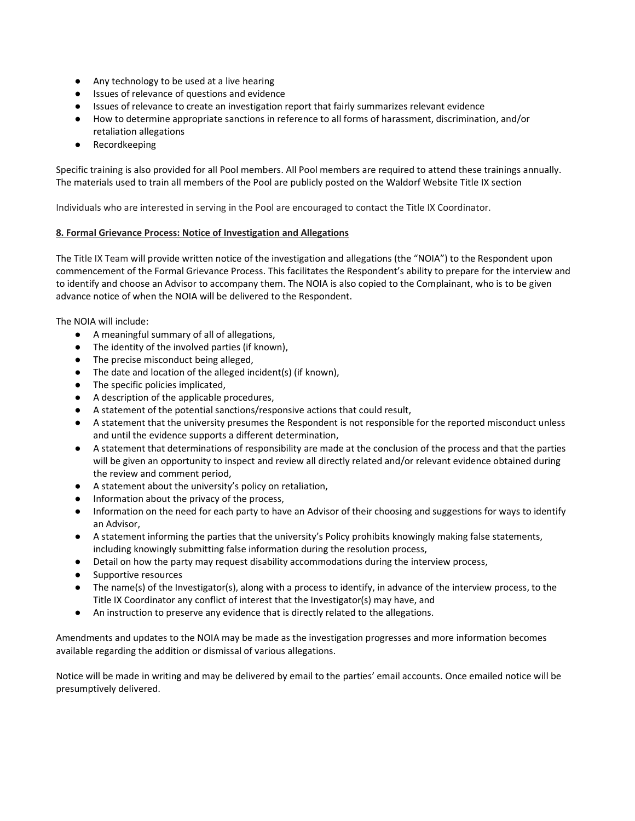- Any technology to be used at a live hearing
- Issues of relevance of questions and evidence
- Issues of relevance to create an investigation report that fairly summarizes relevant evidence
- How to determine appropriate sanctions in reference to all forms of harassment, discrimination, and/or retaliation allegations
- Recordkeeping

Specific training is also provided for all Pool members. All Pool members are required to attend these trainings annually. The materials used to train all members of the Pool are publicly posted on the Waldorf Website Title IX section

Individuals who are interested in serving in the Pool are encouraged to contact the Title IX Coordinator.

#### **8. Formal Grievance Process: Notice of Investigation and Allegations**

The Title IX Team will provide written notice of the investigation and allegations (the "NOIA") to the Respondent upon commencement of the Formal Grievance Process. This facilitates the Respondent's ability to prepare for the interview and to identify and choose an Advisor to accompany them. The NOIA is also copied to the Complainant, who is to be given advance notice of when the NOIA will be delivered to the Respondent.

The NOIA will include:

- A meaningful summary of all of allegations,
- The identity of the involved parties (if known),
- The precise misconduct being alleged,
- The date and location of the alleged incident(s) (if known),
- The specific policies implicated,
- A description of the applicable procedures,
- A statement of the potential sanctions/responsive actions that could result,
- A statement that the university presumes the Respondent is not responsible for the reported misconduct unless and until the evidence supports a different determination,
- A statement that determinations of responsibility are made at the conclusion of the process and that the parties will be given an opportunity to inspect and review all directly related and/or relevant evidence obtained during the review and comment period,
- A statement about the university's policy on retaliation,
- Information about the privacy of the process,
- Information on the need for each party to have an Advisor of their choosing and suggestions for ways to identify an Advisor,
- A statement informing the parties that the university's Policy prohibits knowingly making false statements, including knowingly submitting false information during the resolution process,
- Detail on how the party may request disability accommodations during the interview process,
- Supportive resources
- The name(s) of the Investigator(s), along with a process to identify, in advance of the interview process, to the Title IX Coordinator any conflict of interest that the Investigator(s) may have, and
- An instruction to preserve any evidence that is directly related to the allegations.

Amendments and updates to the NOIA may be made as the investigation progresses and more information becomes available regarding the addition or dismissal of various allegations.

Notice will be made in writing and may be delivered by email to the parties' email accounts. Once emailed notice will be presumptively delivered.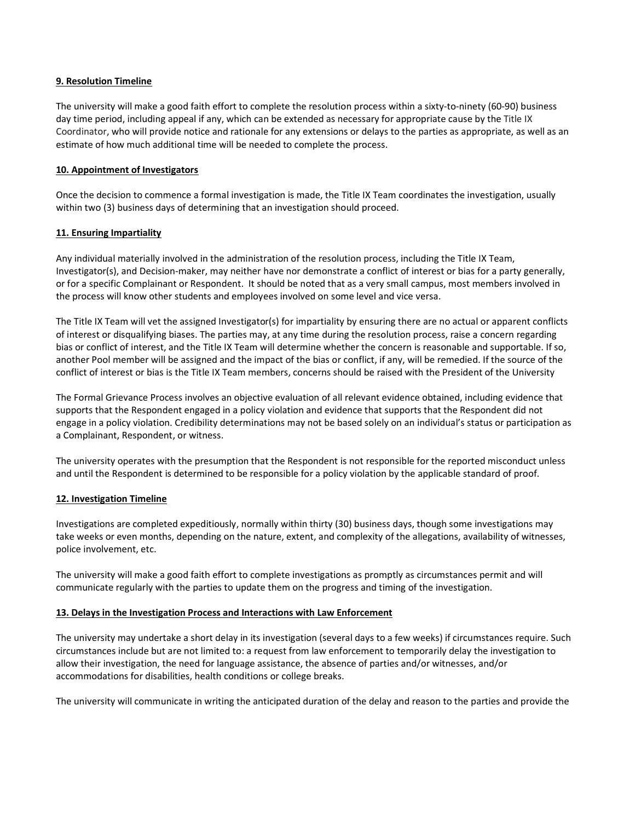#### **9. Resolution Timeline**

The university will make a good faith effort to complete the resolution process within a sixty-to-ninety (60-90) business day time period, including appeal if any, which can be extended as necessary for appropriate cause by the Title IX Coordinator, who will provide notice and rationale for any extensions or delays to the parties as appropriate, as well as an estimate of how much additional time will be needed to complete the process.

## **10. Appointment of Investigators**

Once the decision to commence a formal investigation is made, the Title IX Team coordinates the investigation, usually within two (3) business days of determining that an investigation should proceed.

# **11. Ensuring Impartiality**

Any individual materially involved in the administration of the resolution process, including the Title IX Team, Investigator(s), and Decision-maker, may neither have nor demonstrate a conflict of interest or bias for a party generally, or for a specific Complainant or Respondent. It should be noted that as a very small campus, most members involved in the process will know other students and employees involved on some level and vice versa.

The Title IX Team will vet the assigned Investigator(s) for impartiality by ensuring there are no actual or apparent conflicts of interest or disqualifying biases. The parties may, at any time during the resolution process, raise a concern regarding bias or conflict of interest, and the Title IX Team will determine whether the concern is reasonable and supportable. If so, another Pool member will be assigned and the impact of the bias or conflict, if any, will be remedied. If the source of the conflict of interest or bias is the Title IX Team members, concerns should be raised with the President of the University

The Formal Grievance Process involves an objective evaluation of all relevant evidence obtained, including evidence that supports that the Respondent engaged in a policy violation and evidence that supports that the Respondent did not engage in a policy violation. Credibility determinations may not be based solely on an individual's status or participation as a Complainant, Respondent, or witness.

The university operates with the presumption that the Respondent is not responsible for the reported misconduct unless and until the Respondent is determined to be responsible for a policy violation by the applicable standard of proof.

## **12. Investigation Timeline**

Investigations are completed expeditiously, normally within thirty (30) business days, though some investigations may take weeks or even months, depending on the nature, extent, and complexity of the allegations, availability of witnesses, police involvement, etc.

The university will make a good faith effort to complete investigations as promptly as circumstances permit and will communicate regularly with the parties to update them on the progress and timing of the investigation.

## **13. Delays in the Investigation Process and Interactions with Law Enforcement**

The university may undertake a short delay in its investigation (several days to a few weeks) if circumstances require. Such circumstances include but are not limited to: a request from law enforcement to temporarily delay the investigation to allow their investigation, the need for language assistance, the absence of parties and/or witnesses, and/or accommodations for disabilities, health conditions or college breaks.

The university will communicate in writing the anticipated duration of the delay and reason to the parties and provide the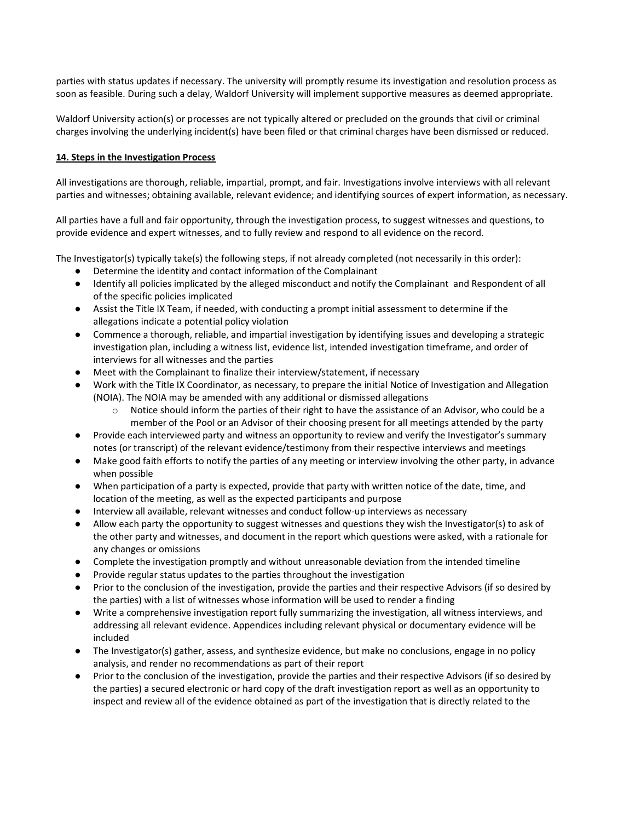parties with status updates if necessary. The university will promptly resume its investigation and resolution process as soon as feasible. During such a delay, Waldorf University will implement supportive measures as deemed appropriate.

Waldorf University action(s) or processes are not typically altered or precluded on the grounds that civil or criminal charges involving the underlying incident(s) have been filed or that criminal charges have been dismissed or reduced.

## **14. Steps in the Investigation Process**

All investigations are thorough, reliable, impartial, prompt, and fair. Investigations involve interviews with all relevant parties and witnesses; obtaining available, relevant evidence; and identifying sources of expert information, as necessary.

All parties have a full and fair opportunity, through the investigation process, to suggest witnesses and questions, to provide evidence and expert witnesses, and to fully review and respond to all evidence on the record.

The Investigator(s) typically take(s) the following steps, if not already completed (not necessarily in this order):

- Determine the identity and contact information of the Complainant
- Identify all policies implicated by the alleged misconduct and notify the Complainant and Respondent of all of the specific policies implicated
- Assist the Title IX Team, if needed, with conducting a prompt initial assessment to determine if the allegations indicate a potential policy violation
- Commence a thorough, reliable, and impartial investigation by identifying issues and developing a strategic investigation plan, including a witness list, evidence list, intended investigation timeframe, and order of interviews for all witnesses and the parties
- Meet with the Complainant to finalize their interview/statement, if necessary
- Work with the Title IX Coordinator, as necessary, to prepare the initial Notice of Investigation and Allegation (NOIA). The NOIA may be amended with any additional or dismissed allegations
	- $\circ$  Notice should inform the parties of their right to have the assistance of an Advisor, who could be a member of the Pool or an Advisor of their choosing present for all meetings attended by the party
- Provide each interviewed party and witness an opportunity to review and verify the Investigator's summary notes (or transcript) of the relevant evidence/testimony from their respective interviews and meetings
- Make good faith efforts to notify the parties of any meeting or interview involving the other party, in advance when possible
- When participation of a party is expected, provide that party with written notice of the date, time, and location of the meeting, as well as the expected participants and purpose
- Interview all available, relevant witnesses and conduct follow-up interviews as necessary
- Allow each party the opportunity to suggest witnesses and questions they wish the Investigator(s) to ask of the other party and witnesses, and document in the report which questions were asked, with a rationale for any changes or omissions
- Complete the investigation promptly and without unreasonable deviation from the intended timeline
- Provide regular status updates to the parties throughout the investigation
- Prior to the conclusion of the investigation, provide the parties and their respective Advisors (if so desired by the parties) with a list of witnesses whose information will be used to render a finding
- Write a comprehensive investigation report fully summarizing the investigation, all witness interviews, and addressing all relevant evidence. Appendices including relevant physical or documentary evidence will be included
- The Investigator(s) gather, assess, and synthesize evidence, but make no conclusions, engage in no policy analysis, and render no recommendations as part of their report
- Prior to the conclusion of the investigation, provide the parties and their respective Advisors (if so desired by the parties) a secured electronic or hard copy of the draft investigation report as well as an opportunity to inspect and review all of the evidence obtained as part of the investigation that is directly related to the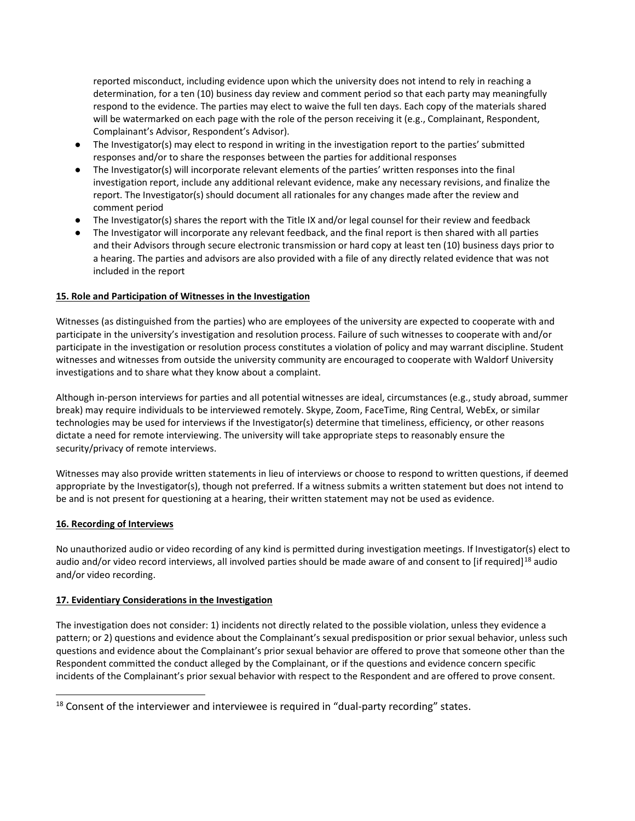reported misconduct, including evidence upon which the university does not intend to rely in reaching a determination, for a ten (10) business day review and comment period so that each party may meaningfully respond to the evidence. The parties may elect to waive the full ten days. Each copy of the materials shared will be watermarked on each page with the role of the person receiving it (e.g., Complainant, Respondent, Complainant's Advisor, Respondent's Advisor).

- The Investigator(s) may elect to respond in writing in the investigation report to the parties' submitted responses and/or to share the responses between the parties for additional responses
- The Investigator(s) will incorporate relevant elements of the parties' written responses into the final investigation report, include any additional relevant evidence, make any necessary revisions, and finalize the report. The Investigator(s) should document all rationales for any changes made after the review and comment period
- The Investigator(s) shares the report with the Title IX and/or legal counsel for their review and feedback
- The Investigator will incorporate any relevant feedback, and the final report is then shared with all parties and their Advisors through secure electronic transmission or hard copy at least ten (10) business days prior to a hearing. The parties and advisors are also provided with a file of any directly related evidence that was not included in the report

# **15. Role and Participation of Witnesses in the Investigation**

Witnesses (as distinguished from the parties) who are employees of the university are expected to cooperate with and participate in the university's investigation and resolution process. Failure of such witnesses to cooperate with and/or participate in the investigation or resolution process constitutes a violation of policy and may warrant discipline. Student witnesses and witnesses from outside the university community are encouraged to cooperate with Waldorf University investigations and to share what they know about a complaint.

Although in-person interviews for parties and all potential witnesses are ideal, circumstances (e.g., study abroad, summer break) may require individuals to be interviewed remotely. Skype, Zoom, FaceTime, Ring Central, WebEx, or similar technologies may be used for interviews if the Investigator(s) determine that timeliness, efficiency, or other reasons dictate a need for remote interviewing. The university will take appropriate steps to reasonably ensure the security/privacy of remote interviews.

Witnesses may also provide written statements in lieu of interviews or choose to respond to written questions, if deemed appropriate by the Investigator(s), though not preferred. If a witness submits a written statement but does not intend to be and is not present for questioning at a hearing, their written statement may not be used as evidence.

## **16. Recording of Interviews**

j

No unauthorized audio or video recording of any kind is permitted during investigation meetings. If Investigator(s) elect to audio and/or video record interviews, all involved parties should be made aware of and consent to [if required]<sup>[18](#page-33-0)</sup> audio and/or video recording.

## **17. Evidentiary Considerations in the Investigation**

The investigation does not consider: 1) incidents not directly related to the possible violation, unless they evidence a pattern; or 2) questions and evidence about the Complainant's sexual predisposition or prior sexual behavior, unless such questions and evidence about the Complainant's prior sexual behavior are offered to prove that someone other than the Respondent committed the conduct alleged by the Complainant, or if the questions and evidence concern specific incidents of the Complainant's prior sexual behavior with respect to the Respondent and are offered to prove consent.

<span id="page-33-0"></span> $18$  Consent of the interviewer and interviewee is required in "dual-party recording" states.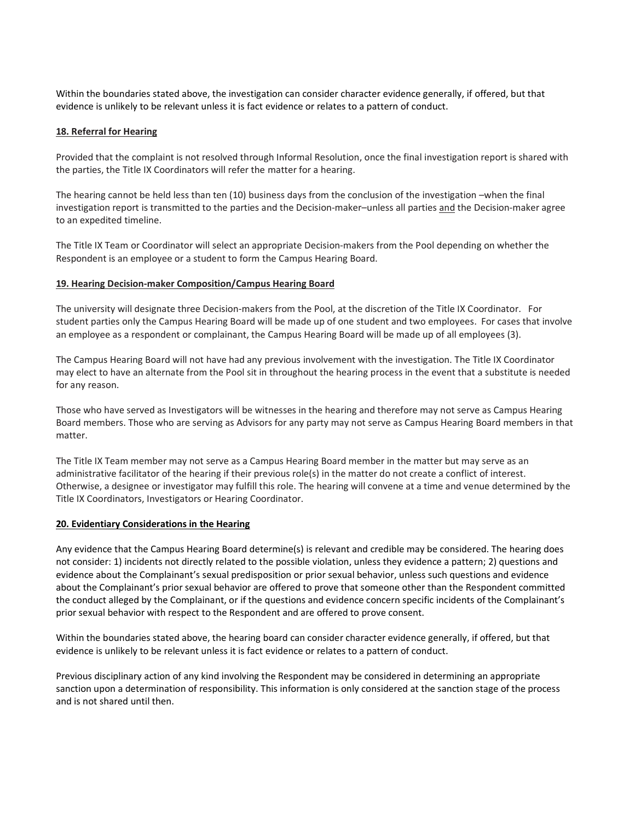Within the boundaries stated above, the investigation can consider character evidence generally, if offered, but that evidence is unlikely to be relevant unless it is fact evidence or relates to a pattern of conduct.

#### **18. Referral for Hearing**

Provided that the complaint is not resolved through Informal Resolution, once the final investigation report is shared with the parties, the Title IX Coordinators will refer the matter for a hearing.

The hearing cannot be held less than ten (10) business days from the conclusion of the investigation –when the final investigation report is transmitted to the parties and the Decision-maker–unless all parties and the Decision-maker agree to an expedited timeline.

The Title IX Team or Coordinator will select an appropriate Decision-makers from the Pool depending on whether the Respondent is an employee or a student to form the Campus Hearing Board.

#### **19. Hearing Decision-maker Composition/Campus Hearing Board**

The university will designate three Decision-makers from the Pool, at the discretion of the Title IX Coordinator. For student parties only the Campus Hearing Board will be made up of one student and two employees. For cases that involve an employee as a respondent or complainant, the Campus Hearing Board will be made up of all employees (3).

The Campus Hearing Board will not have had any previous involvement with the investigation. The Title IX Coordinator may elect to have an alternate from the Pool sit in throughout the hearing process in the event that a substitute is needed for any reason.

Those who have served as Investigators will be witnesses in the hearing and therefore may not serve as Campus Hearing Board members. Those who are serving as Advisors for any party may not serve as Campus Hearing Board members in that matter.

The Title IX Team member may not serve as a Campus Hearing Board member in the matter but may serve as an administrative facilitator of the hearing if their previous role(s) in the matter do not create a conflict of interest. Otherwise, a designee or investigator may fulfill this role. The hearing will convene at a time and venue determined by the Title IX Coordinators, Investigators or Hearing Coordinator.

#### **20. Evidentiary Considerations in the Hearing**

Any evidence that the Campus Hearing Board determine(s) is relevant and credible may be considered. The hearing does not consider: 1) incidents not directly related to the possible violation, unless they evidence a pattern; 2) questions and evidence about the Complainant's sexual predisposition or prior sexual behavior, unless such questions and evidence about the Complainant's prior sexual behavior are offered to prove that someone other than the Respondent committed the conduct alleged by the Complainant, or if the questions and evidence concern specific incidents of the Complainant's prior sexual behavior with respect to the Respondent and are offered to prove consent.

Within the boundaries stated above, the hearing board can consider character evidence generally, if offered, but that evidence is unlikely to be relevant unless it is fact evidence or relates to a pattern of conduct.

Previous disciplinary action of any kind involving the Respondent may be considered in determining an appropriate sanction upon a determination of responsibility. This information is only considered at the sanction stage of the process and is not shared until then.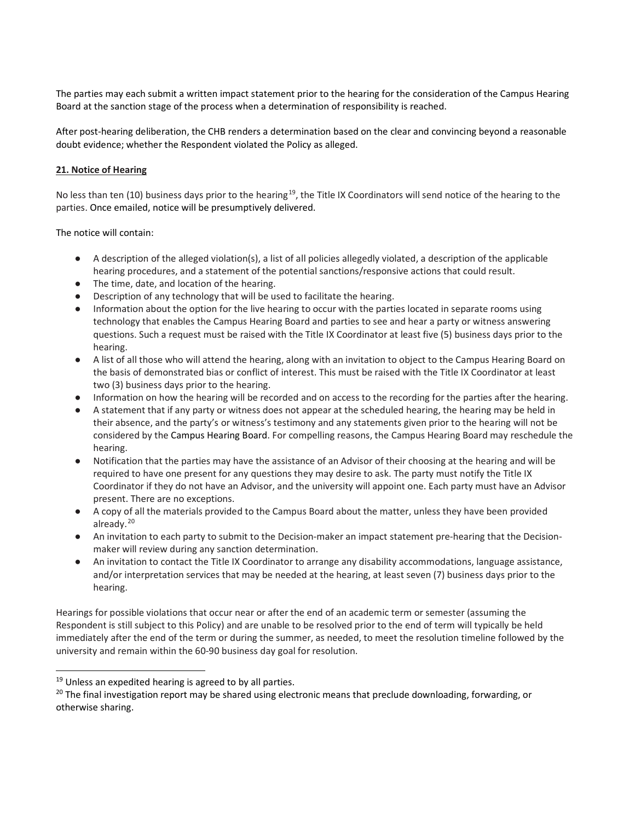The parties may each submit a written impact statement prior to the hearing for the consideration of the Campus Hearing Board at the sanction stage of the process when a determination of responsibility is reached.

After post-hearing deliberation, the CHB renders a determination based on the clear and convincing beyond a reasonable doubt evidence; whether the Respondent violated the Policy as alleged.

## **21. Notice of Hearing**

No less than ten (10) business days prior to the hearing<sup>[19](#page-35-0)</sup>, the Title IX Coordinators will send notice of the hearing to the parties. Once emailed, notice will be presumptively delivered.

The notice will contain:

- A description of the alleged violation(s), a list of all policies allegedly violated, a description of the applicable hearing procedures, and a statement of the potential sanctions/responsive actions that could result.
- The time, date, and location of the hearing.
- Description of any technology that will be used to facilitate the hearing.
- Information about the option for the live hearing to occur with the parties located in separate rooms using technology that enables the Campus Hearing Board and parties to see and hear a party or witness answering questions. Such a request must be raised with the Title IX Coordinator at least five (5) business days prior to the hearing.
- A list of all those who will attend the hearing, along with an invitation to object to the Campus Hearing Board on the basis of demonstrated bias or conflict of interest. This must be raised with the Title IX Coordinator at least two (3) business days prior to the hearing.
- Information on how the hearing will be recorded and on access to the recording for the parties after the hearing.
- A statement that if any party or witness does not appear at the scheduled hearing, the hearing may be held in their absence, and the party's or witness's testimony and any statements given prior to the hearing will not be considered by the Campus Hearing Board. For compelling reasons, the Campus Hearing Board may reschedule the hearing.
- Notification that the parties may have the assistance of an Advisor of their choosing at the hearing and will be required to have one present for any questions they may desire to ask. The party must notify the Title IX Coordinator if they do not have an Advisor, and the university will appoint one. Each party must have an Advisor present. There are no exceptions.
- A copy of all the materials provided to the Campus Board about the matter, unless they have been provided already.<sup>[20](#page-35-1)</sup>
- An invitation to each party to submit to the Decision-maker an impact statement pre-hearing that the Decisionmaker will review during any sanction determination.
- An invitation to contact the Title IX Coordinator to arrange any disability accommodations, language assistance, and/or interpretation services that may be needed at the hearing, at least seven (7) business days prior to the hearing.

Hearings for possible violations that occur near or after the end of an academic term or semester (assuming the Respondent is still subject to this Policy) and are unable to be resolved prior to the end of term will typically be held immediately after the end of the term or during the summer, as needed, to meet the resolution timeline followed by the university and remain within the 60-90 business day goal for resolution.

-

<span id="page-35-0"></span> $19$  Unless an expedited hearing is agreed to by all parties.

<span id="page-35-1"></span><sup>&</sup>lt;sup>20</sup> The final investigation report may be shared using electronic means that preclude downloading, forwarding, or otherwise sharing.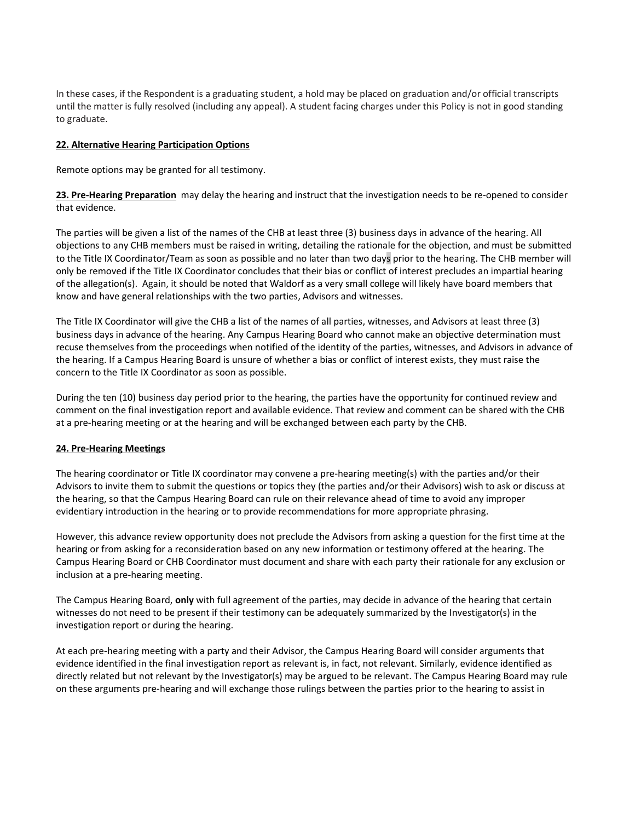In these cases, if the Respondent is a graduating student, a hold may be placed on graduation and/or official transcripts until the matter is fully resolved (including any appeal). A student facing charges under this Policy is not in good standing to graduate.

#### **22. Alternative Hearing Participation Options**

Remote options may be granted for all testimony.

**23. Pre-Hearing Preparation** may delay the hearing and instruct that the investigation needs to be re-opened to consider that evidence.

The parties will be given a list of the names of the CHB at least three (3) business days in advance of the hearing. All objections to any CHB members must be raised in writing, detailing the rationale for the objection, and must be submitted to the Title IX Coordinator/Team as soon as possible and no later than two days prior to the hearing. The CHB member will only be removed if the Title IX Coordinator concludes that their bias or conflict of interest precludes an impartial hearing of the allegation(s). Again, it should be noted that Waldorf as a very small college will likely have board members that know and have general relationships with the two parties, Advisors and witnesses.

The Title IX Coordinator will give the CHB a list of the names of all parties, witnesses, and Advisors at least three (3) business days in advance of the hearing. Any Campus Hearing Board who cannot make an objective determination must recuse themselves from the proceedings when notified of the identity of the parties, witnesses, and Advisors in advance of the hearing. If a Campus Hearing Board is unsure of whether a bias or conflict of interest exists, they must raise the concern to the Title IX Coordinator as soon as possible.

During the ten (10) business day period prior to the hearing, the parties have the opportunity for continued review and comment on the final investigation report and available evidence. That review and comment can be shared with the CHB at a pre-hearing meeting or at the hearing and will be exchanged between each party by the CHB.

## **24. Pre-Hearing Meetings**

The hearing coordinator or Title IX coordinator may convene a pre-hearing meeting(s) with the parties and/or their Advisors to invite them to submit the questions or topics they (the parties and/or their Advisors) wish to ask or discuss at the hearing, so that the Campus Hearing Board can rule on their relevance ahead of time to avoid any improper evidentiary introduction in the hearing or to provide recommendations for more appropriate phrasing.

However, this advance review opportunity does not preclude the Advisors from asking a question for the first time at the hearing or from asking for a reconsideration based on any new information or testimony offered at the hearing. The Campus Hearing Board or CHB Coordinator must document and share with each party their rationale for any exclusion or inclusion at a pre-hearing meeting.

The Campus Hearing Board, **only** with full agreement of the parties, may decide in advance of the hearing that certain witnesses do not need to be present if their testimony can be adequately summarized by the Investigator(s) in the investigation report or during the hearing.

At each pre-hearing meeting with a party and their Advisor, the Campus Hearing Board will consider arguments that evidence identified in the final investigation report as relevant is, in fact, not relevant. Similarly, evidence identified as directly related but not relevant by the Investigator(s) may be argued to be relevant. The Campus Hearing Board may rule on these arguments pre-hearing and will exchange those rulings between the parties prior to the hearing to assist in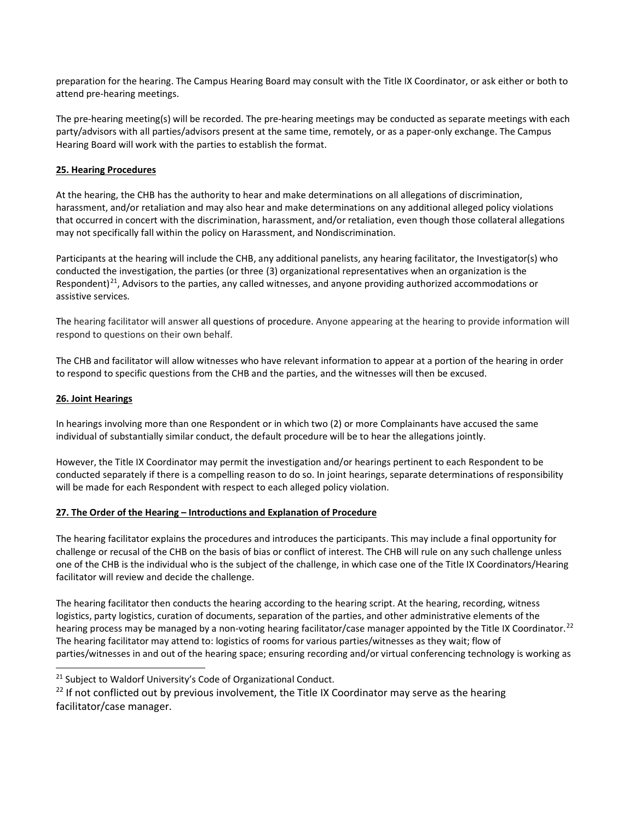preparation for the hearing. The Campus Hearing Board may consult with the Title IX Coordinator, or ask either or both to attend pre-hearing meetings.

The pre-hearing meeting(s) will be recorded. The pre-hearing meetings may be conducted as separate meetings with each party/advisors with all parties/advisors present at the same time, remotely, or as a paper-only exchange. The Campus Hearing Board will work with the parties to establish the format.

# **25. Hearing Procedures**

At the hearing, the CHB has the authority to hear and make determinations on all allegations of discrimination, harassment, and/or retaliation and may also hear and make determinations on any additional alleged policy violations that occurred in concert with the discrimination, harassment, and/or retaliation, even though those collateral allegations may not specifically fall within the policy on Harassment, and Nondiscrimination.

Participants at the hearing will include the CHB, any additional panelists, any hearing facilitator, the Investigator(s) who conducted the investigation, the parties (or three (3) organizational representatives when an organization is the Respondent)<sup>[21](#page-37-0)</sup>, Advisors to the parties, any called witnesses, and anyone providing authorized accommodations or assistive services.

The hearing facilitator will answer all questions of procedure. Anyone appearing at the hearing to provide information will respond to questions on their own behalf.

The CHB and facilitator will allow witnesses who have relevant information to appear at a portion of the hearing in order to respond to specific questions from the CHB and the parties, and the witnesses will then be excused.

# **26. Joint Hearings**

j

In hearings involving more than one Respondent or in which two (2) or more Complainants have accused the same individual of substantially similar conduct, the default procedure will be to hear the allegations jointly.

However, the Title IX Coordinator may permit the investigation and/or hearings pertinent to each Respondent to be conducted separately if there is a compelling reason to do so. In joint hearings, separate determinations of responsibility will be made for each Respondent with respect to each alleged policy violation.

## **27. The Order of the Hearing – Introductions and Explanation of Procedure**

The hearing facilitator explains the procedures and introduces the participants. This may include a final opportunity for challenge or recusal of the CHB on the basis of bias or conflict of interest. The CHB will rule on any such challenge unless one of the CHB is the individual who is the subject of the challenge, in which case one of the Title IX Coordinators/Hearing facilitator will review and decide the challenge.

The hearing facilitator then conducts the hearing according to the hearing script. At the hearing, recording, witness logistics, party logistics, curation of documents, separation of the parties, and other administrative elements of the hearing process may be managed by a non-voting hearing facilitator/case manager appointed by the Title IX Coordinator.<sup>[22](#page-37-1)</sup> The hearing facilitator may attend to: logistics of rooms for various parties/witnesses as they wait; flow of parties/witnesses in and out of the hearing space; ensuring recording and/or virtual conferencing technology is working as

<span id="page-37-0"></span><sup>&</sup>lt;sup>21</sup> Subject to Waldorf University's Code of Organizational Conduct.

<span id="page-37-1"></span><sup>&</sup>lt;sup>22</sup> If not conflicted out by previous involvement, the Title IX Coordinator may serve as the hearing facilitator/case manager.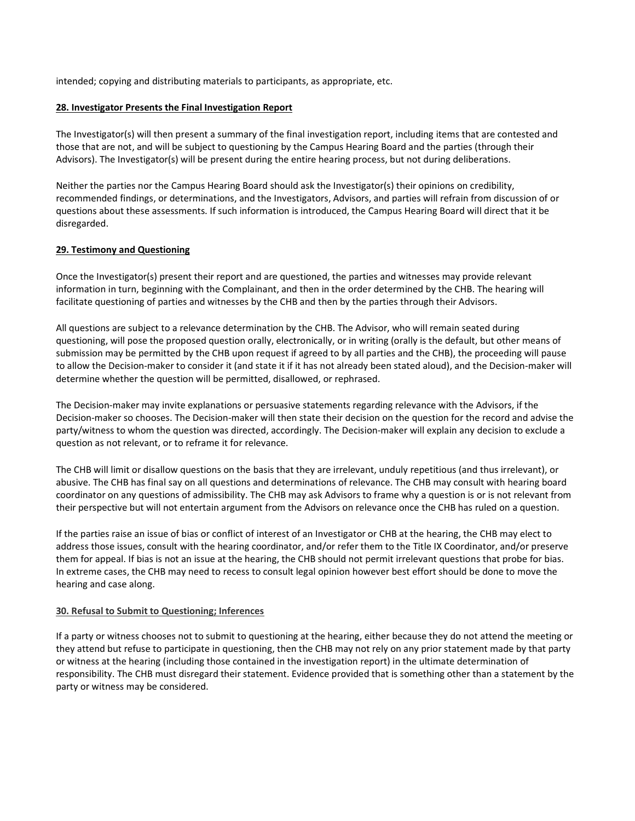intended; copying and distributing materials to participants, as appropriate, etc.

#### **28. Investigator Presents the Final Investigation Report**

The Investigator(s) will then present a summary of the final investigation report, including items that are contested and those that are not, and will be subject to questioning by the Campus Hearing Board and the parties (through their Advisors). The Investigator(s) will be present during the entire hearing process, but not during deliberations.

Neither the parties nor the Campus Hearing Board should ask the Investigator(s) their opinions on credibility, recommended findings, or determinations, and the Investigators, Advisors, and parties will refrain from discussion of or questions about these assessments. If such information is introduced, the Campus Hearing Board will direct that it be disregarded.

## **29. Testimony and Questioning**

Once the Investigator(s) present their report and are questioned, the parties and witnesses may provide relevant information in turn, beginning with the Complainant, and then in the order determined by the CHB. The hearing will facilitate questioning of parties and witnesses by the CHB and then by the parties through their Advisors.

All questions are subject to a relevance determination by the CHB. The Advisor, who will remain seated during questioning, will pose the proposed question orally, electronically, or in writing (orally is the default, but other means of submission may be permitted by the CHB upon request if agreed to by all parties and the CHB), the proceeding will pause to allow the Decision-maker to consider it (and state it if it has not already been stated aloud), and the Decision-maker will determine whether the question will be permitted, disallowed, or rephrased.

The Decision-maker may invite explanations or persuasive statements regarding relevance with the Advisors, if the Decision-maker so chooses. The Decision-maker will then state their decision on the question for the record and advise the party/witness to whom the question was directed, accordingly. The Decision-maker will explain any decision to exclude a question as not relevant, or to reframe it for relevance.

The CHB will limit or disallow questions on the basis that they are irrelevant, unduly repetitious (and thus irrelevant), or abusive. The CHB has final say on all questions and determinations of relevance. The CHB may consult with hearing board coordinator on any questions of admissibility. The CHB may ask Advisors to frame why a question is or is not relevant from their perspective but will not entertain argument from the Advisors on relevance once the CHB has ruled on a question.

If the parties raise an issue of bias or conflict of interest of an Investigator or CHB at the hearing, the CHB may elect to address those issues, consult with the hearing coordinator, and/or refer them to the Title IX Coordinator, and/or preserve them for appeal. If bias is not an issue at the hearing, the CHB should not permit irrelevant questions that probe for bias. In extreme cases, the CHB may need to recess to consult legal opinion however best effort should be done to move the hearing and case along.

#### **30. Refusal to Submit to Questioning; Inferences**

If a party or witness chooses not to submit to questioning at the hearing, either because they do not attend the meeting or they attend but refuse to participate in questioning, then the CHB may not rely on any prior statement made by that party or witness at the hearing (including those contained in the investigation report) in the ultimate determination of responsibility. The CHB must disregard their statement. Evidence provided that is something other than a statement by the party or witness may be considered.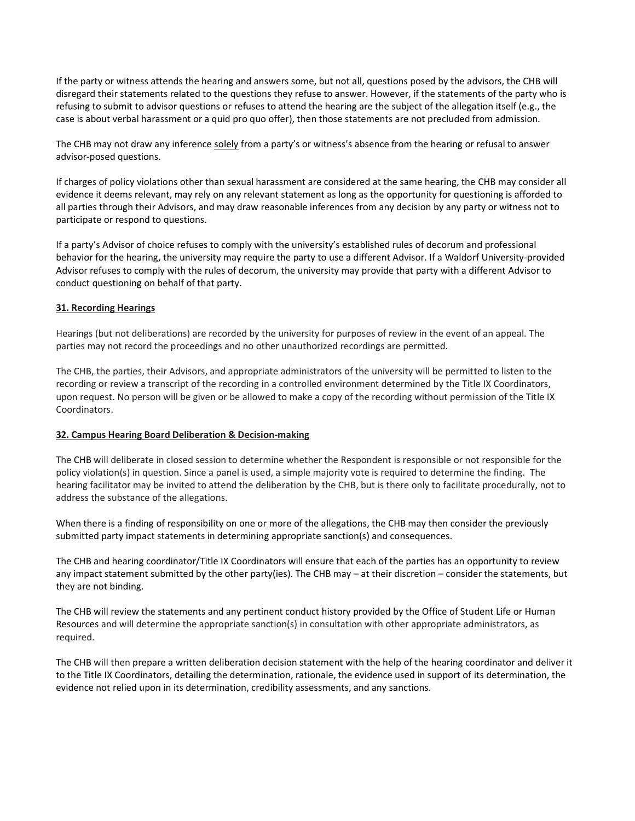If the party or witness attends the hearing and answers some, but not all, questions posed by the advisors, the CHB will disregard their statements related to the questions they refuse to answer. However, if the statements of the party who is refusing to submit to advisor questions or refuses to attend the hearing are the subject of the allegation itself (e.g., the case is about verbal harassment or a quid pro quo offer), then those statements are not precluded from admission.

The CHB may not draw any inference solely from a party's or witness's absence from the hearing or refusal to answer advisor-posed questions.

If charges of policy violations other than sexual harassment are considered at the same hearing, the CHB may consider all evidence it deems relevant, may rely on any relevant statement as long as the opportunity for questioning is afforded to all parties through their Advisors, and may draw reasonable inferences from any decision by any party or witness not to participate or respond to questions.

If a party's Advisor of choice refuses to comply with the university's established rules of decorum and professional behavior for the hearing, the university may require the party to use a different Advisor. If a Waldorf University-provided Advisor refuses to comply with the rules of decorum, the university may provide that party with a different Advisor to conduct questioning on behalf of that party.

#### **31. Recording Hearings**

Hearings (but not deliberations) are recorded by the university for purposes of review in the event of an appeal. The parties may not record the proceedings and no other unauthorized recordings are permitted.

The CHB, the parties, their Advisors, and appropriate administrators of the university will be permitted to listen to the recording or review a transcript of the recording in a controlled environment determined by the Title IX Coordinators, upon request. No person will be given or be allowed to make a copy of the recording without permission of the Title IX Coordinators.

#### **32. Campus Hearing Board Deliberation & Decision-making**

The CHB will deliberate in closed session to determine whether the Respondent is responsible or not responsible for the policy violation(s) in question. Since a panel is used, a simple majority vote is required to determine the finding. The hearing facilitator may be invited to attend the deliberation by the CHB, but is there only to facilitate procedurally, not to address the substance of the allegations.

When there is a finding of responsibility on one or more of the allegations, the CHB may then consider the previously submitted party impact statements in determining appropriate sanction(s) and consequences.

The CHB and hearing coordinator/Title IX Coordinators will ensure that each of the parties has an opportunity to review any impact statement submitted by the other party(ies). The CHB may – at their discretion – consider the statements, but they are not binding.

The CHB will review the statements and any pertinent conduct history provided by the Office of Student Life or Human Resources and will determine the appropriate sanction(s) in consultation with other appropriate administrators, as required.

The CHB will then prepare a written deliberation decision statement with the help of the hearing coordinator and deliver it to the Title IX Coordinators, detailing the determination, rationale, the evidence used in support of its determination, the evidence not relied upon in its determination, credibility assessments, and any sanctions.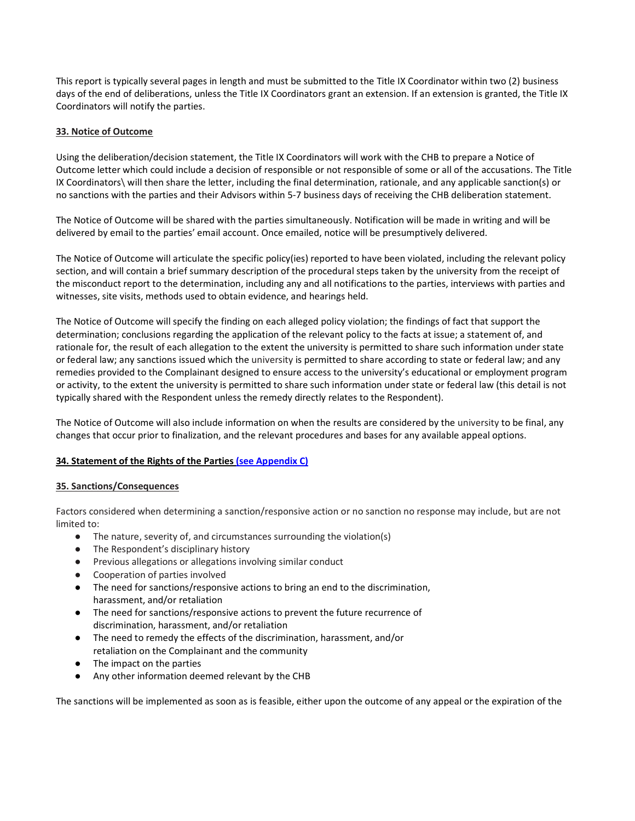This report is typically several pages in length and must be submitted to the Title IX Coordinator within two (2) business days of the end of deliberations, unless the Title IX Coordinators grant an extension. If an extension is granted, the Title IX Coordinators will notify the parties.

## **33. Notice of Outcome**

Using the deliberation/decision statement, the Title IX Coordinators will work with the CHB to prepare a Notice of Outcome letter which could include a decision of responsible or not responsible of some or all of the accusations. The Title IX Coordinators\ will then share the letter, including the final determination, rationale, and any applicable sanction(s) or no sanctions with the parties and their Advisors within 5-7 business days of receiving the CHB deliberation statement.

The Notice of Outcome will be shared with the parties simultaneously. Notification will be made in writing and will be delivered by email to the parties' email account. Once emailed, notice will be presumptively delivered.

The Notice of Outcome will articulate the specific policy(ies) reported to have been violated, including the relevant policy section, and will contain a brief summary description of the procedural steps taken by the university from the receipt of the misconduct report to the determination, including any and all notifications to the parties, interviews with parties and witnesses, site visits, methods used to obtain evidence, and hearings held.

The Notice of Outcome will specify the finding on each alleged policy violation; the findings of fact that support the determination; conclusions regarding the application of the relevant policy to the facts at issue; a statement of, and rationale for, the result of each allegation to the extent the university is permitted to share such information under state or federal law; any sanctions issued which the university is permitted to share according to state or federal law; and any remedies provided to the Complainant designed to ensure access to the university's educational or employment program or activity, to the extent the university is permitted to share such information under state or federal law (this detail is not typically shared with the Respondent unless the remedy directly relates to the Respondent).

The Notice of Outcome will also include information on when the results are considered by the university to be final, any changes that occur prior to finalization, and the relevant procedures and bases for any available appeal options.

## **34. Statement of the Rights of the Parties [\(see Appendix C\)](#page-50-0)**

## **35. Sanctions/Consequences**

Factors considered when determining a sanction/responsive action or no sanction no response may include, but are not limited to:

- The nature, severity of, and circumstances surrounding the violation(s)
- The Respondent's disciplinary history
- Previous allegations or allegations involving similar conduct
- Cooperation of parties involved
- The need for sanctions/responsive actions to bring an end to the discrimination, harassment, and/or retaliation
- The need for sanctions/responsive actions to prevent the future recurrence of discrimination, harassment, and/or retaliation
- The need to remedy the effects of the discrimination, harassment, and/or retaliation on the Complainant and the community
- The impact on the parties
- Any other information deemed relevant by the CHB

The sanctions will be implemented as soon as is feasible, either upon the outcome of any appeal or the expiration of the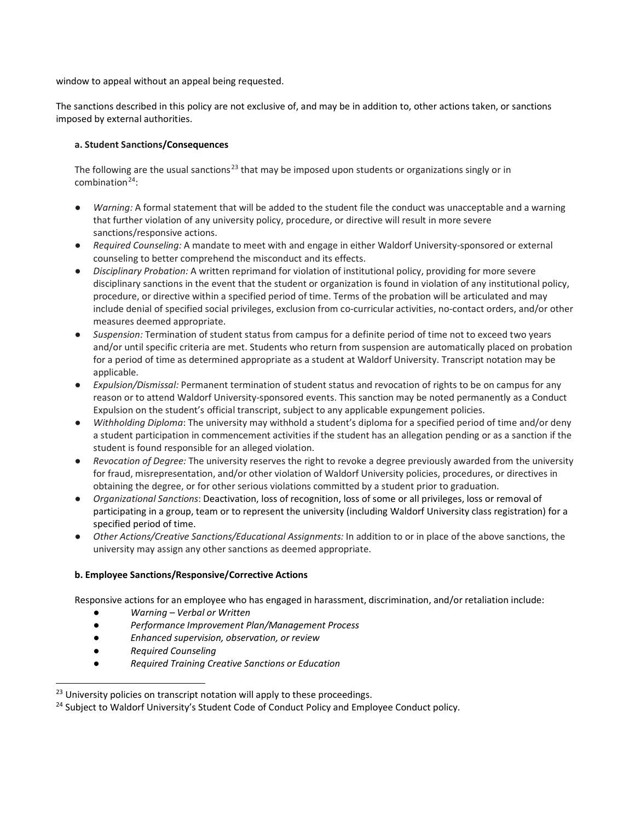window to appeal without an appeal being requested.

The sanctions described in this policy are not exclusive of, and may be in addition to, other actions taken, or sanctions imposed by external authorities.

# **a. Student Sanctions/Consequences**

The following are the usual sanctions<sup>[23](#page-41-0)</sup> that may be imposed upon students or organizations singly or in combination $24$ :

- Warning: A formal statement that will be added to the student file the conduct was unacceptable and a warning that further violation of any university policy, procedure, or directive will result in more severe sanctions/responsive actions.
- *Required Counseling:* A mandate to meet with and engage in either Waldorf University-sponsored or external counseling to better comprehend the misconduct and its effects.
- *Disciplinary Probation:* A written reprimand for violation of institutional policy, providing for more severe disciplinary sanctions in the event that the student or organization is found in violation of any institutional policy, procedure, or directive within a specified period of time. Terms of the probation will be articulated and may include denial of specified social privileges, exclusion from co-curricular activities, no-contact orders, and/or other measures deemed appropriate.
- *Suspension:* Termination of student status from campus for a definite period of time not to exceed two years and/or until specific criteria are met. Students who return from suspension are automatically placed on probation for a period of time as determined appropriate as a student at Waldorf University. Transcript notation may be applicable.
- *Expulsion/Dismissal:* Permanent termination of student status and revocation of rights to be on campus for any reason or to attend Waldorf University-sponsored events. This sanction may be noted permanently as a Conduct Expulsion on the student's official transcript, subject to any applicable expungement policies.
- *Withholding Diploma*: The university may withhold a student's diploma for a specified period of time and/or deny a student participation in commencement activities if the student has an allegation pending or as a sanction if the student is found responsible for an alleged violation.
- *Revocation of Degree:* The university reserves the right to revoke a degree previously awarded from the university for fraud, misrepresentation, and/or other violation of Waldorf University policies, procedures, or directives in obtaining the degree, or for other serious violations committed by a student prior to graduation.
- *Organizational Sanctions*: Deactivation, loss of recognition, loss of some or all privileges, loss or removal of participating in a group, team or to represent the university (including Waldorf University class registration) for a specified period of time.
- *Other Actions/Creative Sanctions/Educational Assignments:* In addition to or in place of the above sanctions, the university may assign any other sanctions as deemed appropriate.

# **b. Employee Sanctions/Responsive/Corrective Actions**

Responsive actions for an employee who has engaged in harassment, discrimination, and/or retaliation include:

- *Warning – Verbal or Written*
- *Performance Improvement Plan/Management Process*
- *Enhanced supervision, observation, or review*
- *Required Counseling*

-

● *Required Training Creative Sanctions or Education*

<span id="page-41-1"></span><span id="page-41-0"></span><sup>&</sup>lt;sup>23</sup> University policies on transcript notation will apply to these proceedings.<br><sup>24</sup> Subject to Waldorf University's Student Code of Conduct Policy and Employee Conduct policy.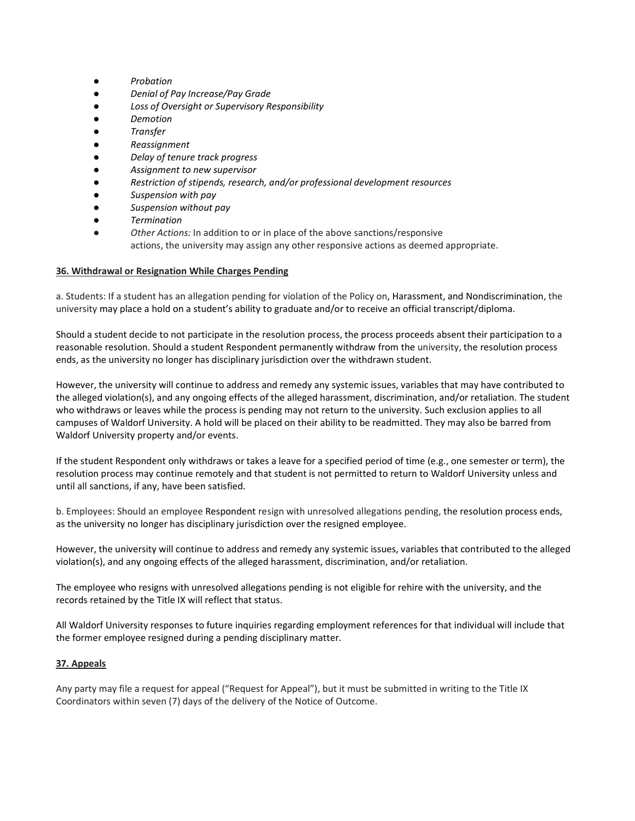- *Probation*
- *Denial of Pay Increase/Pay Grade*
- *Loss of Oversight or Supervisory Responsibility*
- *Demotion*
- *Transfer*
- *Reassignment*
- *Delay of tenure track progress*
- *Assignment to new supervisor*
- *Restriction of stipends, research, and/or professional development resources*
- *Suspension with pay*
- *Suspension without pay*
- *Termination*
- Other Actions: In addition to or in place of the above sanctions/responsive actions, the university may assign any other responsive actions as deemed appropriate.

#### **36. Withdrawal or Resignation While Charges Pending**

a. Students: If a student has an allegation pending for violation of the Policy on, Harassment, and Nondiscrimination, the university may place a hold on a student's ability to graduate and/or to receive an official transcript/diploma.

Should a student decide to not participate in the resolution process, the process proceeds absent their participation to a reasonable resolution. Should a student Respondent permanently withdraw from the university, the resolution process ends, as the university no longer has disciplinary jurisdiction over the withdrawn student.

However, the university will continue to address and remedy any systemic issues, variables that may have contributed to the alleged violation(s), and any ongoing effects of the alleged harassment, discrimination, and/or retaliation. The student who withdraws or leaves while the process is pending may not return to the university. Such exclusion applies to all campuses of Waldorf University. A hold will be placed on their ability to be readmitted. They may also be barred from Waldorf University property and/or events.

If the student Respondent only withdraws or takes a leave for a specified period of time (e.g., one semester or term), the resolution process may continue remotely and that student is not permitted to return to Waldorf University unless and until all sanctions, if any, have been satisfied.

b. Employees: Should an employee Respondent resign with unresolved allegations pending, the resolution process ends, as the university no longer has disciplinary jurisdiction over the resigned employee.

However, the university will continue to address and remedy any systemic issues, variables that contributed to the alleged violation(s), and any ongoing effects of the alleged harassment, discrimination, and/or retaliation.

The employee who resigns with unresolved allegations pending is not eligible for rehire with the university, and the records retained by the Title IX will reflect that status.

All Waldorf University responses to future inquiries regarding employment references for that individual will include that the former employee resigned during a pending disciplinary matter.

## **37. Appeals**

Any party may file a request for appeal ("Request for Appeal"), but it must be submitted in writing to the Title IX Coordinators within seven (7) days of the delivery of the Notice of Outcome.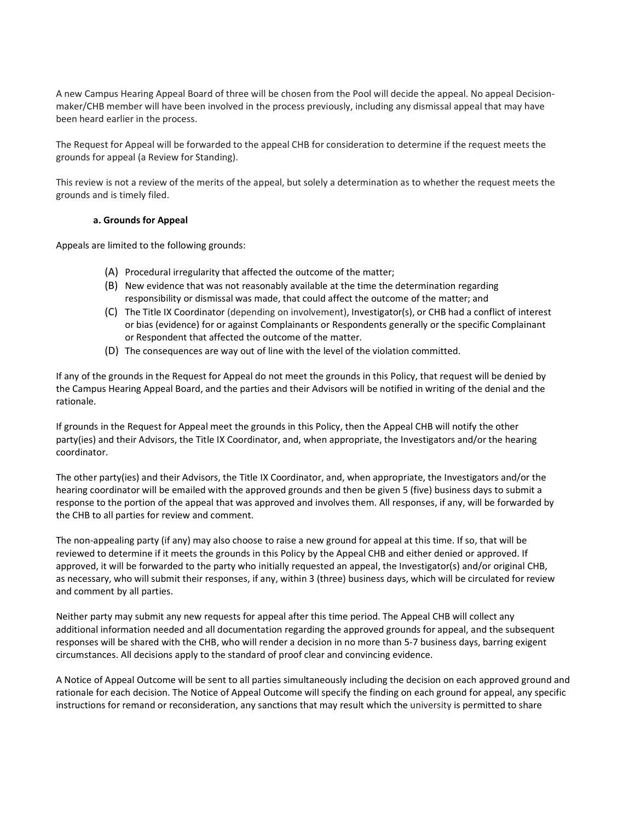A new Campus Hearing Appeal Board of three will be chosen from the Pool will decide the appeal. No appeal Decisionmaker/CHB member will have been involved in the process previously, including any dismissal appeal that may have been heard earlier in the process.

The Request for Appeal will be forwarded to the appeal CHB for consideration to determine if the request meets the grounds for appeal (a Review for Standing).

This review is not a review of the merits of the appeal, but solely a determination as to whether the request meets the grounds and is timely filed.

#### **a. Grounds for Appeal**

Appeals are limited to the following grounds:

- (A) Procedural irregularity that affected the outcome of the matter;
- (B) New evidence that was not reasonably available at the time the determination regarding responsibility or dismissal was made, that could affect the outcome of the matter; and
- (C) The Title IX Coordinator (depending on involvement), Investigator(s), or CHB had a conflict of interest or bias (evidence) for or against Complainants or Respondents generally or the specific Complainant or Respondent that affected the outcome of the matter.
- (D) The consequences are way out of line with the level of the violation committed.

If any of the grounds in the Request for Appeal do not meet the grounds in this Policy, that request will be denied by the Campus Hearing Appeal Board, and the parties and their Advisors will be notified in writing of the denial and the rationale.

If grounds in the Request for Appeal meet the grounds in this Policy, then the Appeal CHB will notify the other party(ies) and their Advisors, the Title IX Coordinator, and, when appropriate, the Investigators and/or the hearing coordinator.

The other party(ies) and their Advisors, the Title IX Coordinator, and, when appropriate, the Investigators and/or the hearing coordinator will be emailed with the approved grounds and then be given 5 (five) business days to submit a response to the portion of the appeal that was approved and involves them. All responses, if any, will be forwarded by the CHB to all parties for review and comment.

The non-appealing party (if any) may also choose to raise a new ground for appeal at this time. If so, that will be reviewed to determine if it meets the grounds in this Policy by the Appeal CHB and either denied or approved. If approved, it will be forwarded to the party who initially requested an appeal, the Investigator(s) and/or original CHB, as necessary, who will submit their responses, if any, within 3 (three) business days, which will be circulated for review and comment by all parties.

Neither party may submit any new requests for appeal after this time period. The Appeal CHB will collect any additional information needed and all documentation regarding the approved grounds for appeal, and the subsequent responses will be shared with the CHB, who will render a decision in no more than 5-7 business days, barring exigent circumstances. All decisions apply to the standard of proof clear and convincing evidence.

A Notice of Appeal Outcome will be sent to all parties simultaneously including the decision on each approved ground and rationale for each decision. The Notice of Appeal Outcome will specify the finding on each ground for appeal, any specific instructions for remand or reconsideration, any sanctions that may result which the university is permitted to share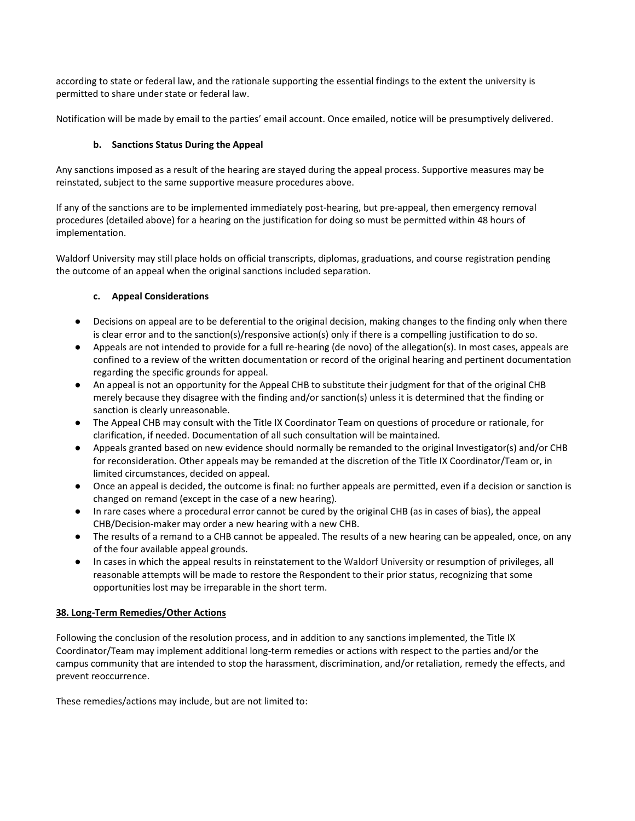according to state or federal law, and the rationale supporting the essential findings to the extent the university is permitted to share under state or federal law.

Notification will be made by email to the parties' email account. Once emailed, notice will be presumptively delivered.

# **b. Sanctions Status During the Appeal**

Any sanctions imposed as a result of the hearing are stayed during the appeal process. Supportive measures may be reinstated, subject to the same supportive measure procedures above.

If any of the sanctions are to be implemented immediately post-hearing, but pre-appeal, then emergency removal procedures (detailed above) for a hearing on the justification for doing so must be permitted within 48 hours of implementation.

Waldorf University may still place holds on official transcripts, diplomas, graduations, and course registration pending the outcome of an appeal when the original sanctions included separation.

# **c. Appeal Considerations**

- Decisions on appeal are to be deferential to the original decision, making changes to the finding only when there is clear error and to the sanction(s)/responsive action(s) only if there is a compelling justification to do so.
- Appeals are not intended to provide for a full re-hearing (de novo) of the allegation(s). In most cases, appeals are confined to a review of the written documentation or record of the original hearing and pertinent documentation regarding the specific grounds for appeal.
- An appeal is not an opportunity for the Appeal CHB to substitute their judgment for that of the original CHB merely because they disagree with the finding and/or sanction(s) unless it is determined that the finding or sanction is clearly unreasonable.
- The Appeal CHB may consult with the Title IX Coordinator Team on questions of procedure or rationale, for clarification, if needed. Documentation of all such consultation will be maintained.
- Appeals granted based on new evidence should normally be remanded to the original Investigator(s) and/or CHB for reconsideration. Other appeals may be remanded at the discretion of the Title IX Coordinator/Team or, in limited circumstances, decided on appeal.
- Once an appeal is decided, the outcome is final: no further appeals are permitted, even if a decision or sanction is changed on remand (except in the case of a new hearing).
- In rare cases where a procedural error cannot be cured by the original CHB (as in cases of bias), the appeal CHB/Decision-maker may order a new hearing with a new CHB.
- The results of a remand to a CHB cannot be appealed. The results of a new hearing can be appealed, once, on any of the four available appeal grounds.
- In cases in which the appeal results in reinstatement to the Waldorf University or resumption of privileges, all reasonable attempts will be made to restore the Respondent to their prior status, recognizing that some opportunities lost may be irreparable in the short term.

## **38. Long-Term Remedies/Other Actions**

Following the conclusion of the resolution process, and in addition to any sanctions implemented, the Title IX Coordinator/Team may implement additional long-term remedies or actions with respect to the parties and/or the campus community that are intended to stop the harassment, discrimination, and/or retaliation, remedy the effects, and prevent reoccurrence.

These remedies/actions may include, but are not limited to: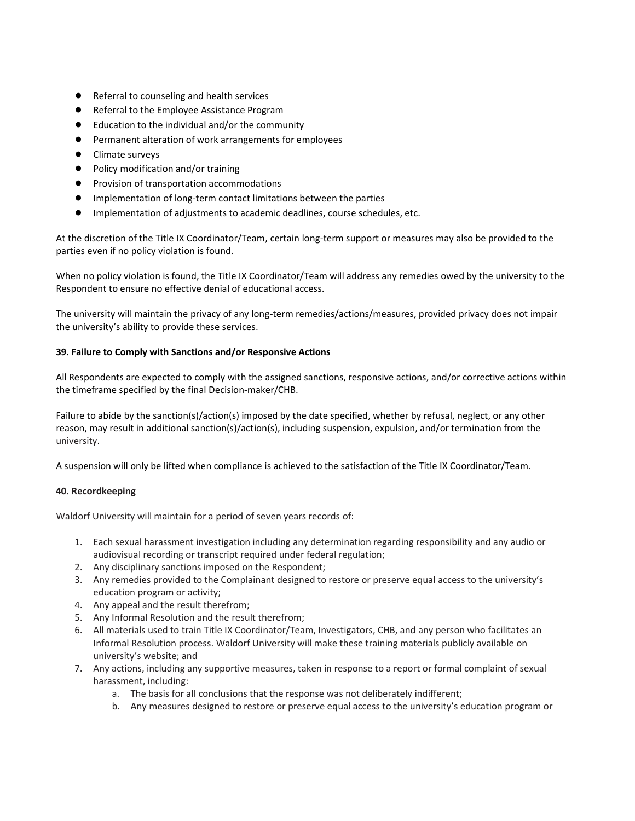- Referral to counseling and health services
- Referral to the Employee Assistance Program
- Education to the individual and/or the community
- Permanent alteration of work arrangements for employees
- Climate surveys
- Policy modification and/or training
- Provision of transportation accommodations
- Implementation of long-term contact limitations between the parties
- Implementation of adjustments to academic deadlines, course schedules, etc.

At the discretion of the Title IX Coordinator/Team, certain long-term support or measures may also be provided to the parties even if no policy violation is found.

When no policy violation is found, the Title IX Coordinator/Team will address any remedies owed by the university to the Respondent to ensure no effective denial of educational access.

The university will maintain the privacy of any long-term remedies/actions/measures, provided privacy does not impair the university's ability to provide these services.

## **39. Failure to Comply with Sanctions and/or Responsive Actions**

All Respondents are expected to comply with the assigned sanctions, responsive actions, and/or corrective actions within the timeframe specified by the final Decision-maker/CHB.

Failure to abide by the sanction(s)/action(s) imposed by the date specified, whether by refusal, neglect, or any other reason, may result in additional sanction(s)/action(s), including suspension, expulsion, and/or termination from the university.

A suspension will only be lifted when compliance is achieved to the satisfaction of the Title IX Coordinator/Team.

## **40. Recordkeeping**

Waldorf University will maintain for a period of seven years records of:

- 1. Each sexual harassment investigation including any determination regarding responsibility and any audio or audiovisual recording or transcript required under federal regulation;
- 2. Any disciplinary sanctions imposed on the Respondent;
- 3. Any remedies provided to the Complainant designed to restore or preserve equal access to the university's education program or activity;
- 4. Any appeal and the result therefrom;
- 5. Any Informal Resolution and the result therefrom;
- 6. All materials used to train Title IX Coordinator/Team, Investigators, CHB, and any person who facilitates an Informal Resolution process. Waldorf University will make these training materials publicly available on university's website; and
- 7. Any actions, including any supportive measures, taken in response to a report or formal complaint of sexual harassment, including:
	- a. The basis for all conclusions that the response was not deliberately indifferent;
	- b. Any measures designed to restore or preserve equal access to the university's education program or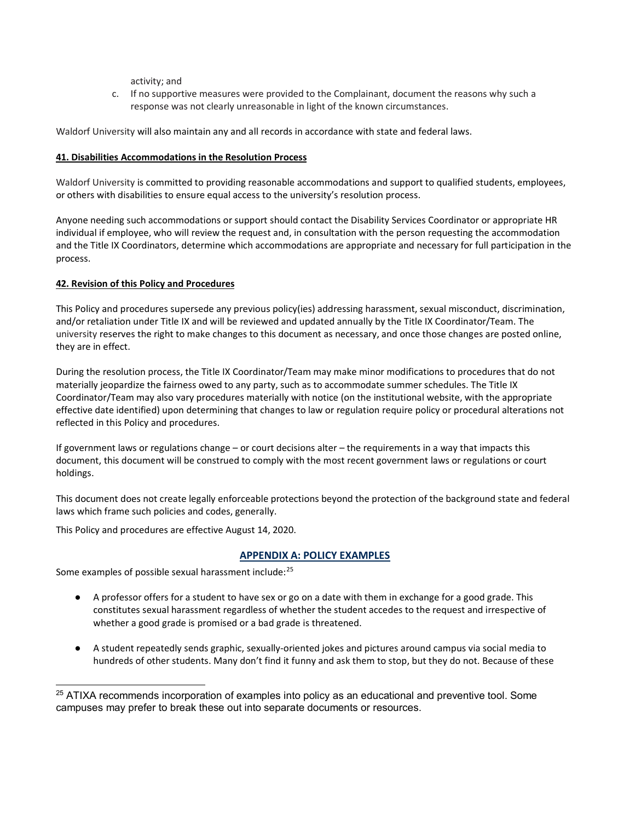activity; and

c. If no supportive measures were provided to the Complainant, document the reasons why such a response was not clearly unreasonable in light of the known circumstances.

Waldorf University will also maintain any and all records in accordance with state and federal laws.

## **41. Disabilities Accommodations in the Resolution Process**

Waldorf University is committed to providing reasonable accommodations and support to qualified students, employees, or others with disabilities to ensure equal access to the university's resolution process.

Anyone needing such accommodations or support should contact the Disability Services Coordinator or appropriate HR individual if employee, who will review the request and, in consultation with the person requesting the accommodation and the Title IX Coordinators, determine which accommodations are appropriate and necessary for full participation in the process.

# **42. Revision of this Policy and Procedures**

This Policy and procedures supersede any previous policy(ies) addressing harassment, sexual misconduct, discrimination, and/or retaliation under Title IX and will be reviewed and updated annually by the Title IX Coordinator/Team. The university reserves the right to make changes to this document as necessary, and once those changes are posted online, they are in effect.

During the resolution process, the Title IX Coordinator/Team may make minor modifications to procedures that do not materially jeopardize the fairness owed to any party, such as to accommodate summer schedules. The Title IX Coordinator/Team may also vary procedures materially with notice (on the institutional website, with the appropriate effective date identified) upon determining that changes to law or regulation require policy or procedural alterations not reflected in this Policy and procedures.

If government laws or regulations change – or court decisions alter – the requirements in a way that impacts this document, this document will be construed to comply with the most recent government laws or regulations or court holdings.

This document does not create legally enforceable protections beyond the protection of the background state and federal laws which frame such policies and codes, generally.

This Policy and procedures are effective August 14, 2020.

# **APPENDIX A: POLICY EXAMPLES**

Some examples of possible sexual harassment include:[25](#page-46-0)

- A professor offers for a student to have sex or go on a date with them in exchange for a good grade. This constitutes sexual harassment regardless of whether the student accedes to the request and irrespective of whether a good grade is promised or a bad grade is threatened.
- A student repeatedly sends graphic, sexually-oriented jokes and pictures around campus via social media to hundreds of other students. Many don't find it funny and ask them to stop, but they do not. Because of these

<span id="page-46-0"></span> $25$  ATIXA recommends incorporation of examples into policy as an educational and preventive tool. Some campuses may prefer to break these out into separate documents or resources.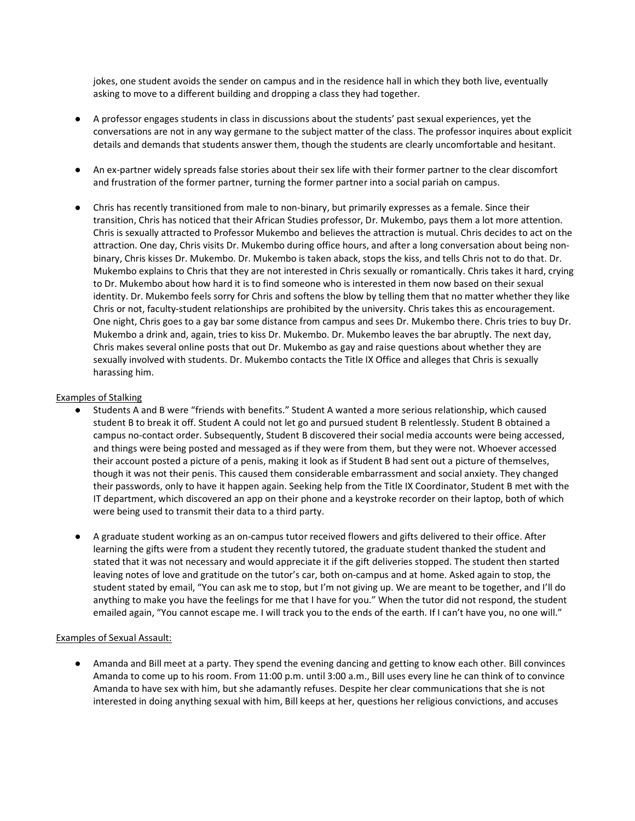jokes, one student avoids the sender on campus and in the residence hall in which they both live, eventually asking to move to a different building and dropping a class they had together.

- A professor engages students in class in discussions about the students' past sexual experiences, yet the conversations are not in any way germane to the subject matter of the class. The professor inquires about explicit details and demands that students answer them, though the students are clearly uncomfortable and hesitant.
- An ex-partner widely spreads false stories about their sex life with their former partner to the clear discomfort and frustration of the former partner, turning the former partner into a social pariah on campus.
- Chris has recently transitioned from male to non-binary, but primarily expresses as a female. Since their transition, Chris has noticed that their African Studies professor, Dr. Mukembo, pays them a lot more attention. Chris is sexually attracted to Professor Mukembo and believes the attraction is mutual. Chris decides to act on the attraction. One day, Chris visits Dr. Mukembo during office hours, and after a long conversation about being nonbinary, Chris kisses Dr. Mukembo. Dr. Mukembo is taken aback, stops the kiss, and tells Chris not to do that. Dr. Mukembo explains to Chris that they are not interested in Chris sexually or romantically. Chris takes it hard, crying to Dr. Mukembo about how hard it is to find someone who is interested in them now based on their sexual identity. Dr. Mukembo feels sorry for Chris and softens the blow by telling them that no matter whether they like Chris or not, faculty-student relationships are prohibited by the university. Chris takes this as encouragement. One night, Chris goes to a gay bar some distance from campus and sees Dr. Mukembo there. Chris tries to buy Dr. Mukembo a drink and, again, tries to kiss Dr. Mukembo. Dr. Mukembo leaves the bar abruptly. The next day, Chris makes several online posts that out Dr. Mukembo as gay and raise questions about whether they are sexually involved with students. Dr. Mukembo contacts the Title IX Office and alleges that Chris is sexually harassing him.

#### Examples of Stalking

- Students A and B were "friends with benefits." Student A wanted a more serious relationship, which caused student B to break it off. Student A could not let go and pursued student B relentlessly. Student B obtained a campus no-contact order. Subsequently, Student B discovered their social media accounts were being accessed, and things were being posted and messaged as if they were from them, but they were not. Whoever accessed their account posted a picture of a penis, making it look as if Student B had sent out a picture of themselves, though it was not their penis. This caused them considerable embarrassment and social anxiety. They changed their passwords, only to have it happen again. Seeking help from the Title IX Coordinator, Student B met with the IT department, which discovered an app on their phone and a keystroke recorder on their laptop, both of which were being used to transmit their data to a third party.
- A graduate student working as an on-campus tutor received flowers and gifts delivered to their office. After learning the gifts were from a student they recently tutored, the graduate student thanked the student and stated that it was not necessary and would appreciate it if the gift deliveries stopped. The student then started leaving notes of love and gratitude on the tutor's car, both on-campus and at home. Asked again to stop, the student stated by email, "You can ask me to stop, but I'm not giving up. We are meant to be together, and I'll do anything to make you have the feelings for me that I have for you." When the tutor did not respond, the student emailed again, "You cannot escape me. I will track you to the ends of the earth. If I can't have you, no one will."

#### Examples of Sexual Assault:

● Amanda and Bill meet at a party. They spend the evening dancing and getting to know each other. Bill convinces Amanda to come up to his room. From 11:00 p.m. until 3:00 a.m., Bill uses every line he can think of to convince Amanda to have sex with him, but she adamantly refuses. Despite her clear communications that she is not interested in doing anything sexual with him, Bill keeps at her, questions her religious convictions, and accuses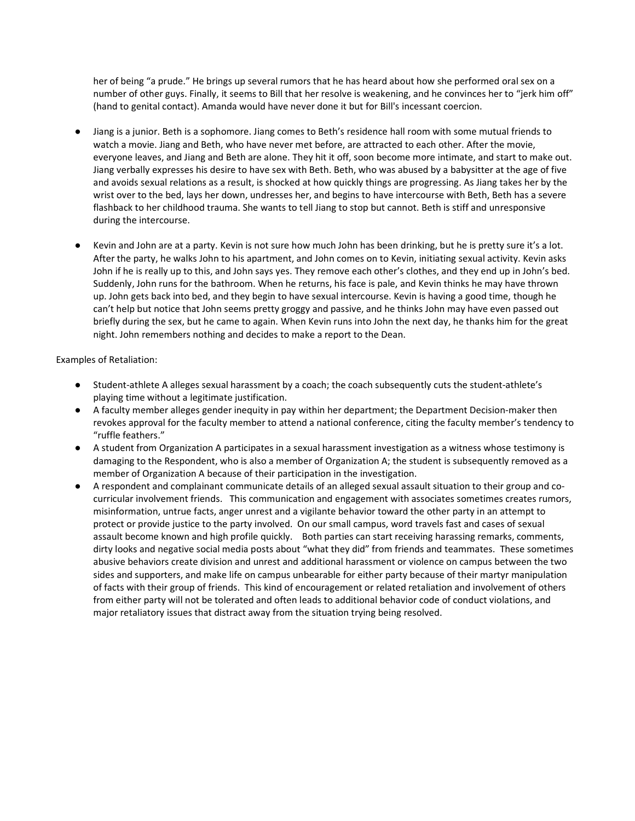her of being "a prude." He brings up several rumors that he has heard about how she performed oral sex on a number of other guys. Finally, it seems to Bill that her resolve is weakening, and he convinces her to "jerk him off" (hand to genital contact). Amanda would have never done it but for Bill's incessant coercion.

- Jiang is a junior. Beth is a sophomore. Jiang comes to Beth's residence hall room with some mutual friends to watch a movie. Jiang and Beth, who have never met before, are attracted to each other. After the movie, everyone leaves, and Jiang and Beth are alone. They hit it off, soon become more intimate, and start to make out. Jiang verbally expresses his desire to have sex with Beth. Beth, who was abused by a babysitter at the age of five and avoids sexual relations as a result, is shocked at how quickly things are progressing. As Jiang takes her by the wrist over to the bed, lays her down, undresses her, and begins to have intercourse with Beth, Beth has a severe flashback to her childhood trauma. She wants to tell Jiang to stop but cannot. Beth is stiff and unresponsive during the intercourse.
- Kevin and John are at a party. Kevin is not sure how much John has been drinking, but he is pretty sure it's a lot. After the party, he walks John to his apartment, and John comes on to Kevin, initiating sexual activity. Kevin asks John if he is really up to this, and John says yes. They remove each other's clothes, and they end up in John's bed. Suddenly, John runs for the bathroom. When he returns, his face is pale, and Kevin thinks he may have thrown up. John gets back into bed, and they begin to have sexual intercourse. Kevin is having a good time, though he can't help but notice that John seems pretty groggy and passive, and he thinks John may have even passed out briefly during the sex, but he came to again. When Kevin runs into John the next day, he thanks him for the great night. John remembers nothing and decides to make a report to the Dean.

Examples of Retaliation:

- Student-athlete A alleges sexual harassment by a coach; the coach subsequently cuts the student-athlete's playing time without a legitimate justification.
- A faculty member alleges gender inequity in pay within her department; the Department Decision-maker then revokes approval for the faculty member to attend a national conference, citing the faculty member's tendency to "ruffle feathers."
- A student from Organization A participates in a sexual harassment investigation as a witness whose testimony is damaging to the Respondent, who is also a member of Organization A; the student is subsequently removed as a member of Organization A because of their participation in the investigation.
- A respondent and complainant communicate details of an alleged sexual assault situation to their group and cocurricular involvement friends. This communication and engagement with associates sometimes creates rumors, misinformation, untrue facts, anger unrest and a vigilante behavior toward the other party in an attempt to protect or provide justice to the party involved. On our small campus, word travels fast and cases of sexual assault become known and high profile quickly. Both parties can start receiving harassing remarks, comments, dirty looks and negative social media posts about "what they did" from friends and teammates. These sometimes abusive behaviors create division and unrest and additional harassment or violence on campus between the two sides and supporters, and make life on campus unbearable for either party because of their martyr manipulation of facts with their group of friends. This kind of encouragement or related retaliation and involvement of others from either party will not be tolerated and often leads to additional behavior code of conduct violations, and major retaliatory issues that distract away from the situation trying being resolved.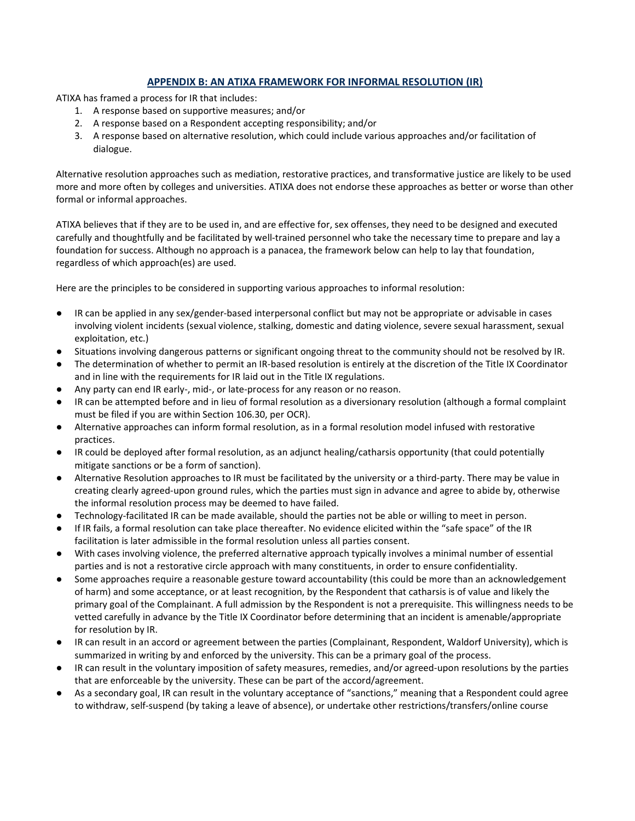# **APPENDIX B: AN ATIXA FRAMEWORK FOR INFORMAL RESOLUTION (IR)**

ATIXA has framed a process for IR that includes:

- 1. A response based on supportive measures; and/or
- 2. A response based on a Respondent accepting responsibility; and/or
- 3. A response based on alternative resolution, which could include various approaches and/or facilitation of dialogue.

Alternative resolution approaches such as mediation, restorative practices, and transformative justice are likely to be used more and more often by colleges and universities. ATIXA does not endorse these approaches as better or worse than other formal or informal approaches.

ATIXA believes that if they are to be used in, and are effective for, sex offenses, they need to be designed and executed carefully and thoughtfully and be facilitated by well-trained personnel who take the necessary time to prepare and lay a foundation for success. Although no approach is a panacea, the framework below can help to lay that foundation, regardless of which approach(es) are used.

Here are the principles to be considered in supporting various approaches to informal resolution:

- IR can be applied in any sex/gender-based interpersonal conflict but may not be appropriate or advisable in cases involving violent incidents (sexual violence, stalking, domestic and dating violence, severe sexual harassment, sexual exploitation, etc.)
- Situations involving dangerous patterns or significant ongoing threat to the community should not be resolved by IR.
- The determination of whether to permit an IR-based resolution is entirely at the discretion of the Title IX Coordinator and in line with the requirements for IR laid out in the Title IX regulations.
- Any party can end IR early-, mid-, or late-process for any reason or no reason.
- IR can be attempted before and in lieu of formal resolution as a diversionary resolution (although a formal complaint must be filed if you are within Section 106.30, per OCR).
- Alternative approaches can inform formal resolution, as in a formal resolution model infused with restorative practices.
- IR could be deployed after formal resolution, as an adjunct healing/catharsis opportunity (that could potentially mitigate sanctions or be a form of sanction).
- Alternative Resolution approaches to IR must be facilitated by the university or a third-party. There may be value in creating clearly agreed-upon ground rules, which the parties must sign in advance and agree to abide by, otherwise the informal resolution process may be deemed to have failed.
- Technology-facilitated IR can be made available, should the parties not be able or willing to meet in person.
- If IR fails, a formal resolution can take place thereafter. No evidence elicited within the "safe space" of the IR facilitation is later admissible in the formal resolution unless all parties consent.
- With cases involving violence, the preferred alternative approach typically involves a minimal number of essential parties and is not a restorative circle approach with many constituents, in order to ensure confidentiality.
- Some approaches require a reasonable gesture toward accountability (this could be more than an acknowledgement of harm) and some acceptance, or at least recognition, by the Respondent that catharsis is of value and likely the primary goal of the Complainant. A full admission by the Respondent is not a prerequisite. This willingness needs to be vetted carefully in advance by the Title IX Coordinator before determining that an incident is amenable/appropriate for resolution by IR.
- IR can result in an accord or agreement between the parties (Complainant, Respondent, Waldorf University), which is summarized in writing by and enforced by the university. This can be a primary goal of the process.
- IR can result in the voluntary imposition of safety measures, remedies, and/or agreed-upon resolutions by the parties that are enforceable by the university. These can be part of the accord/agreement.
- As a secondary goal, IR can result in the voluntary acceptance of "sanctions," meaning that a Respondent could agree to withdraw, self-suspend (by taking a leave of absence), or undertake other restrictions/transfers/online course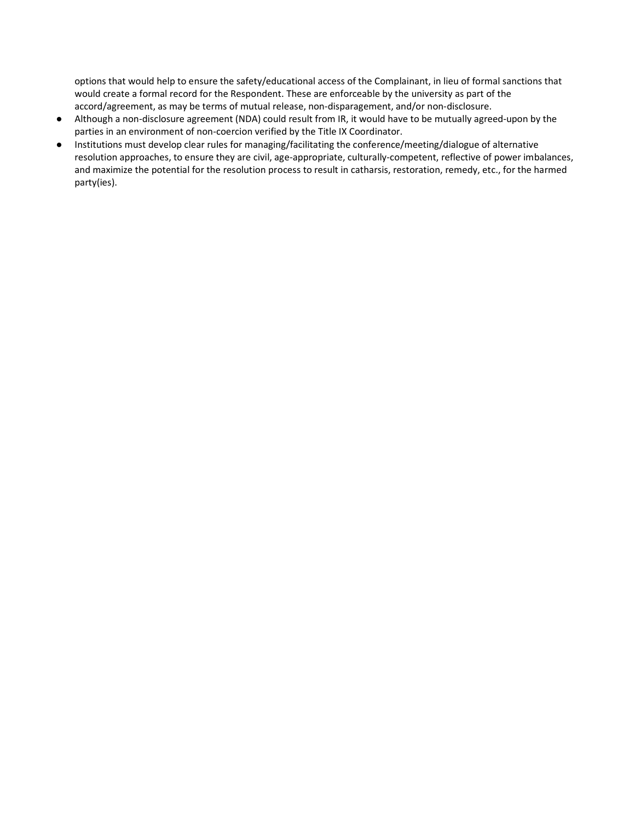options that would help to ensure the safety/educational access of the Complainant, in lieu of formal sanctions that would create a formal record for the Respondent. These are enforceable by the university as part of the accord/agreement, as may be terms of mutual release, non-disparagement, and/or non-disclosure.

- Although a non-disclosure agreement (NDA) could result from IR, it would have to be mutually agreed-upon by the parties in an environment of non-coercion verified by the Title IX Coordinator.
- <span id="page-50-0"></span>● Institutions must develop clear rules for managing/facilitating the conference/meeting/dialogue of alternative resolution approaches, to ensure they are civil, age-appropriate, culturally-competent, reflective of power imbalances, and maximize the potential for the resolution process to result in catharsis, restoration, remedy, etc., for the harmed party(ies).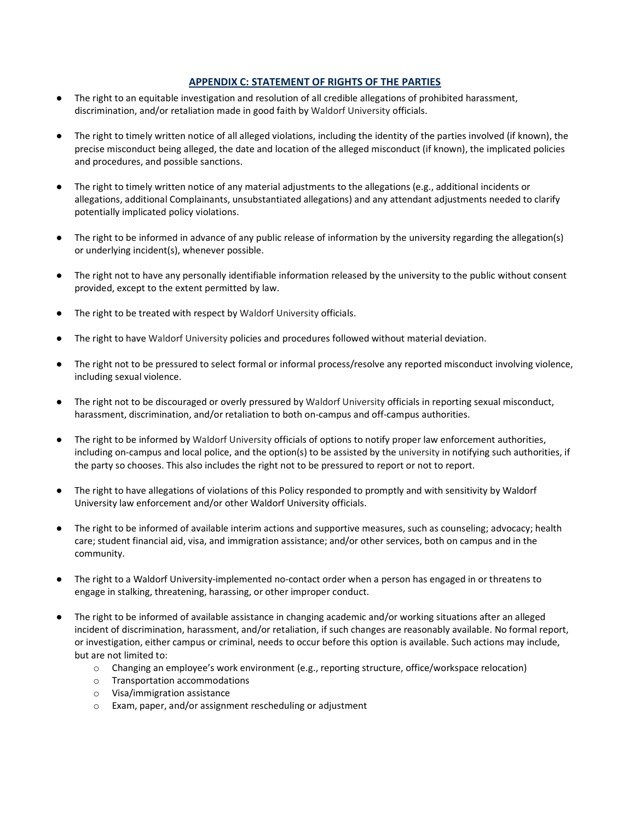# **APPENDIX C: STATEMENT OF RIGHTS OF THE PARTIES**

- The right to an equitable investigation and resolution of all credible allegations of prohibited harassment, discrimination, and/or retaliation made in good faith by Waldorf University officials.
- The right to timely written notice of all alleged violations, including the identity of the parties involved (if known), the precise misconduct being alleged, the date and location of the alleged misconduct (if known), the implicated policies and procedures, and possible sanctions.
- The right to timely written notice of any material adjustments to the allegations (e.g., additional incidents or allegations, additional Complainants, unsubstantiated allegations) and any attendant adjustments needed to clarify potentially implicated policy violations.
- The right to be informed in advance of any public release of information by the university regarding the allegation(s) or underlying incident(s), whenever possible.
- The right not to have any personally identifiable information released by the university to the public without consent provided, except to the extent permitted by law.
- The right to be treated with respect by Waldorf University officials.
- The right to have Waldorf University policies and procedures followed without material deviation.
- The right not to be pressured to select formal or informal process/resolve any reported misconduct involving violence, including sexual violence.
- The right not to be discouraged or overly pressured by Waldorf University officials in reporting sexual misconduct, harassment, discrimination, and/or retaliation to both on-campus and off-campus authorities.
- The right to be informed by Waldorf University officials of options to notify proper law enforcement authorities, including on-campus and local police, and the option(s) to be assisted by the university in notifying such authorities, if the party so chooses. This also includes the right not to be pressured to report or not to report.
- The right to have allegations of violations of this Policy responded to promptly and with sensitivity by Waldorf University law enforcement and/or other Waldorf University officials.
- The right to be informed of available interim actions and supportive measures, such as counseling; advocacy; health care; student financial aid, visa, and immigration assistance; and/or other services, both on campus and in the community.
- The right to a Waldorf University-implemented no-contact order when a person has engaged in or threatens to engage in stalking, threatening, harassing, or other improper conduct.
- The right to be informed of available assistance in changing academic and/or working situations after an alleged incident of discrimination, harassment, and/or retaliation, if such changes are reasonably available. No formal report, or investigation, either campus or criminal, needs to occur before this option is available. Such actions may include, but are not limited to:
	- o Changing an employee's work environment (e.g., reporting structure, office/workspace relocation)
	- o Transportation accommodations
	- o Visa/immigration assistance
	- o Exam, paper, and/or assignment rescheduling or adjustment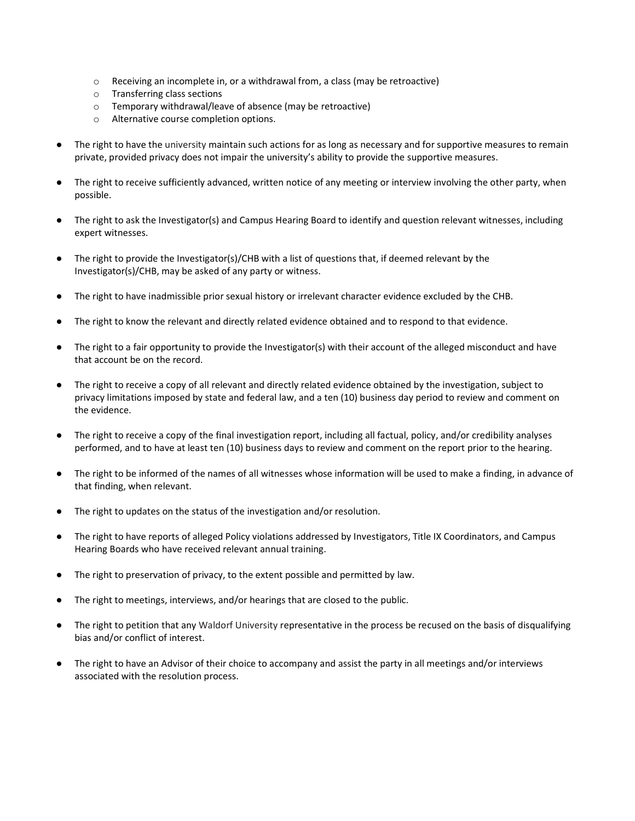- $\circ$  Receiving an incomplete in, or a withdrawal from, a class (may be retroactive)
- o Transferring class sections
- o Temporary withdrawal/leave of absence (may be retroactive)
- o Alternative course completion options.
- The right to have the university maintain such actions for as long as necessary and for supportive measures to remain private, provided privacy does not impair the university's ability to provide the supportive measures.
- The right to receive sufficiently advanced, written notice of any meeting or interview involving the other party, when possible.
- The right to ask the Investigator(s) and Campus Hearing Board to identify and question relevant witnesses, including expert witnesses.
- The right to provide the Investigator(s)/CHB with a list of questions that, if deemed relevant by the Investigator(s)/CHB, may be asked of any party or witness.
- The right to have inadmissible prior sexual history or irrelevant character evidence excluded by the CHB.
- The right to know the relevant and directly related evidence obtained and to respond to that evidence.
- The right to a fair opportunity to provide the Investigator(s) with their account of the alleged misconduct and have that account be on the record.
- The right to receive a copy of all relevant and directly related evidence obtained by the investigation, subject to privacy limitations imposed by state and federal law, and a ten (10) business day period to review and comment on the evidence.
- The right to receive a copy of the final investigation report, including all factual, policy, and/or credibility analyses performed, and to have at least ten (10) business days to review and comment on the report prior to the hearing.
- The right to be informed of the names of all witnesses whose information will be used to make a finding, in advance of that finding, when relevant.
- The right to updates on the status of the investigation and/or resolution.
- The right to have reports of alleged Policy violations addressed by Investigators, Title IX Coordinators, and Campus Hearing Boards who have received relevant annual training.
- The right to preservation of privacy, to the extent possible and permitted by law.
- The right to meetings, interviews, and/or hearings that are closed to the public.
- The right to petition that any Waldorf University representative in the process be recused on the basis of disqualifying bias and/or conflict of interest.
- The right to have an Advisor of their choice to accompany and assist the party in all meetings and/or interviews associated with the resolution process.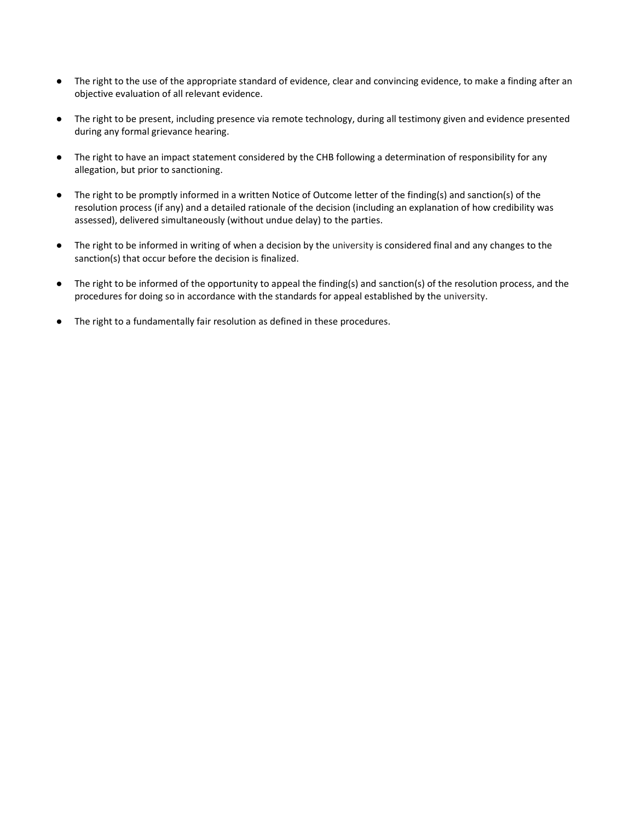- The right to the use of the appropriate standard of evidence, clear and convincing evidence, to make a finding after an objective evaluation of all relevant evidence.
- The right to be present, including presence via remote technology, during all testimony given and evidence presented during any formal grievance hearing.
- The right to have an impact statement considered by the CHB following a determination of responsibility for any allegation, but prior to sanctioning.
- The right to be promptly informed in a written Notice of Outcome letter of the finding(s) and sanction(s) of the resolution process (if any) and a detailed rationale of the decision (including an explanation of how credibility was assessed), delivered simultaneously (without undue delay) to the parties.
- The right to be informed in writing of when a decision by the university is considered final and any changes to the sanction(s) that occur before the decision is finalized.
- The right to be informed of the opportunity to appeal the finding(s) and sanction(s) of the resolution process, and the procedures for doing so in accordance with the standards for appeal established by the university.
- The right to a fundamentally fair resolution as defined in these procedures.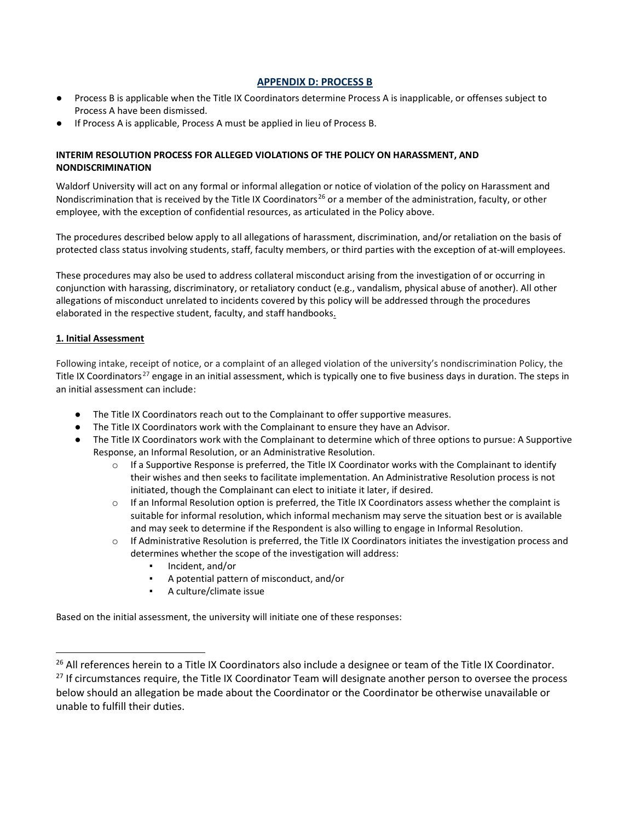## **APPENDIX D: PROCESS B**

- Process B is applicable when the Title IX Coordinators determine Process A is inapplicable, or offenses subject to Process A have been dismissed.
- If Process A is applicable, Process A must be applied in lieu of Process B.

## **INTERIM RESOLUTION PROCESS FOR ALLEGED VIOLATIONS OF THE POLICY ON HARASSMENT, AND NONDISCRIMINATION**

Waldorf University will act on any formal or informal allegation or notice of violation of the policy on Harassment and Nondiscrimination that is received by the Title IX Coordinators<sup>[26](#page-54-0)</sup> or a member of the administration, faculty, or other employee, with the exception of confidential resources, as articulated in the Policy above.

The procedures described below apply to all allegations of harassment, discrimination, and/or retaliation on the basis of protected class status involving students, staff, faculty members, or third parties with the exception of at-will employees.

These procedures may also be used to address collateral misconduct arising from the investigation of or occurring in conjunction with harassing, discriminatory, or retaliatory conduct (e.g., vandalism, physical abuse of another). All other allegations of misconduct unrelated to incidents covered by this policy will be addressed through the procedures elaborated in the respective student, faculty, and staff handbooks.

#### **1. Initial Assessment**

-

Following intake, receipt of notice, or a complaint of an alleged violation of the university's nondiscrimination Policy, the Title IX Coordinators<sup>[27](#page-54-1)</sup> engage in an initial assessment, which is typically one to five business days in duration. The steps in an initial assessment can include:

- The Title IX Coordinators reach out to the Complainant to offer supportive measures.
- The Title IX Coordinators work with the Complainant to ensure they have an Advisor.
- The Title IX Coordinators work with the Complainant to determine which of three options to pursue: A Supportive Response, an Informal Resolution, or an Administrative Resolution.
	- $\circ$  If a Supportive Response is preferred, the Title IX Coordinator works with the Complainant to identify their wishes and then seeks to facilitate implementation. An Administrative Resolution process is not initiated, though the Complainant can elect to initiate it later, if desired.
	- $\circ$  If an Informal Resolution option is preferred, the Title IX Coordinators assess whether the complaint is suitable for informal resolution, which informal mechanism may serve the situation best or is available and may seek to determine if the Respondent is also willing to engage in Informal Resolution.
	- o If Administrative Resolution is preferred, the Title IX Coordinators initiates the investigation process and determines whether the scope of the investigation will address:
		- Incident, and/or
		- A potential pattern of misconduct, and/or
		- A culture/climate issue

Based on the initial assessment, the university will initiate one of these responses:

<span id="page-54-1"></span><span id="page-54-0"></span><sup>&</sup>lt;sup>26</sup> All references herein to a Title IX Coordinators also include a designee or team of the Title IX Coordinator.  $27$  If circumstances require, the Title IX Coordinator Team will designate another person to oversee the process below should an allegation be made about the Coordinator or the Coordinator be otherwise unavailable or unable to fulfill their duties.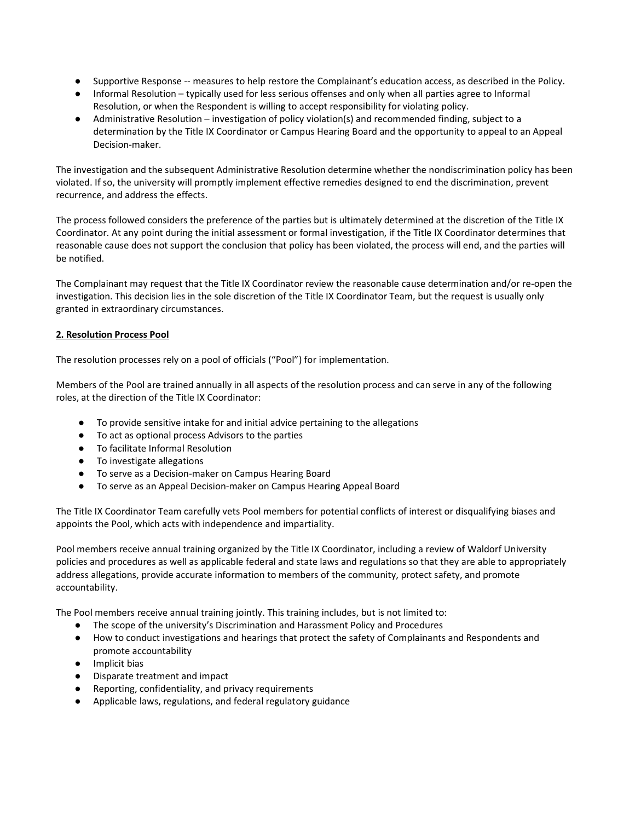- Supportive Response -- measures to help restore the Complainant's education access, as described in the Policy.
- Informal Resolution typically used for less serious offenses and only when all parties agree to Informal Resolution, or when the Respondent is willing to accept responsibility for violating policy.
- Administrative Resolution investigation of policy violation(s) and recommended finding, subject to a determination by the Title IX Coordinator or Campus Hearing Board and the opportunity to appeal to an Appeal Decision-maker.

The investigation and the subsequent Administrative Resolution determine whether the nondiscrimination policy has been violated. If so, the university will promptly implement effective remedies designed to end the discrimination, prevent recurrence, and address the effects.

The process followed considers the preference of the parties but is ultimately determined at the discretion of the Title IX Coordinator. At any point during the initial assessment or formal investigation, if the Title IX Coordinator determines that reasonable cause does not support the conclusion that policy has been violated, the process will end, and the parties will be notified.

The Complainant may request that the Title IX Coordinator review the reasonable cause determination and/or re-open the investigation. This decision lies in the sole discretion of the Title IX Coordinator Team, but the request is usually only granted in extraordinary circumstances.

# **2. Resolution Process Pool**

The resolution processes rely on a pool of officials ("Pool") for implementation.

Members of the Pool are trained annually in all aspects of the resolution process and can serve in any of the following roles, at the direction of the Title IX Coordinator:

- To provide sensitive intake for and initial advice pertaining to the allegations
- To act as optional process Advisors to the parties
- To facilitate Informal Resolution
- To investigate allegations
- To serve as a Decision-maker on Campus Hearing Board
- To serve as an Appeal Decision-maker on Campus Hearing Appeal Board

The Title IX Coordinator Team carefully vets Pool members for potential conflicts of interest or disqualifying biases and appoints the Pool, which acts with independence and impartiality.

Pool members receive annual training organized by the Title IX Coordinator, including a review of Waldorf University policies and procedures as well as applicable federal and state laws and regulations so that they are able to appropriately address allegations, provide accurate information to members of the community, protect safety, and promote accountability.

The Pool members receive annual training jointly. This training includes, but is not limited to:

- The scope of the university's Discrimination and Harassment Policy and Procedures
- How to conduct investigations and hearings that protect the safety of Complainants and Respondents and promote accountability
- Implicit bias
- Disparate treatment and impact
- Reporting, confidentiality, and privacy requirements
- Applicable laws, regulations, and federal regulatory guidance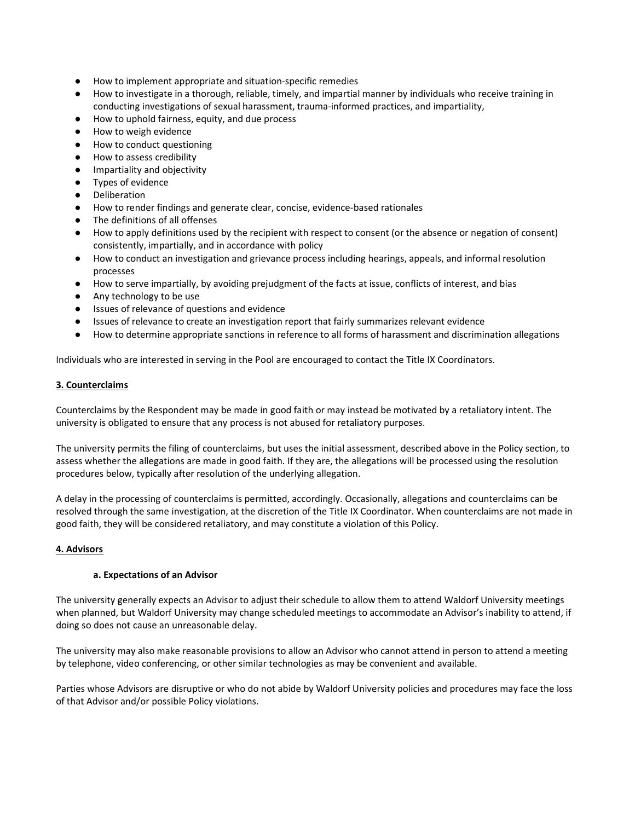- How to implement appropriate and situation-specific remedies
- How to investigate in a thorough, reliable, timely, and impartial manner by individuals who receive training in conducting investigations of sexual harassment, trauma-informed practices, and impartiality,
- How to uphold fairness, equity, and due process
- How to weigh evidence
- How to conduct questioning
- How to assess credibility
- Impartiality and objectivity
- Types of evidence
- Deliberation
- How to render findings and generate clear, concise, evidence-based rationales
- The definitions of all offenses
- How to apply definitions used by the recipient with respect to consent (or the absence or negation of consent) consistently, impartially, and in accordance with policy
- How to conduct an investigation and grievance process including hearings, appeals, and informal resolution processes
- How to serve impartially, by avoiding prejudgment of the facts at issue, conflicts of interest, and bias
- Any technology to be use
- Issues of relevance of questions and evidence
- Issues of relevance to create an investigation report that fairly summarizes relevant evidence
- How to determine appropriate sanctions in reference to all forms of harassment and discrimination allegations

Individuals who are interested in serving in the Pool are encouraged to contact the Title IX Coordinators.

#### **3. Counterclaims**

Counterclaims by the Respondent may be made in good faith or may instead be motivated by a retaliatory intent. The university is obligated to ensure that any process is not abused for retaliatory purposes.

The university permits the filing of counterclaims, but uses the initial assessment, described above in the Policy section, to assess whether the allegations are made in good faith. If they are, the allegations will be processed using the resolution procedures below, typically after resolution of the underlying allegation.

A delay in the processing of counterclaims is permitted, accordingly. Occasionally, allegations and counterclaims can be resolved through the same investigation, at the discretion of the Title IX Coordinator. When counterclaims are not made in good faith, they will be considered retaliatory, and may constitute a violation of this Policy.

#### **4. Advisors**

#### **a. Expectations of an Advisor**

The university generally expects an Advisor to adjust their schedule to allow them to attend Waldorf University meetings when planned, but Waldorf University may change scheduled meetings to accommodate an Advisor's inability to attend, if doing so does not cause an unreasonable delay.

The university may also make reasonable provisions to allow an Advisor who cannot attend in person to attend a meeting by telephone, video conferencing, or other similar technologies as may be convenient and available.

Parties whose Advisors are disruptive or who do not abide by Waldorf University policies and procedures may face the loss of that Advisor and/or possible Policy violations.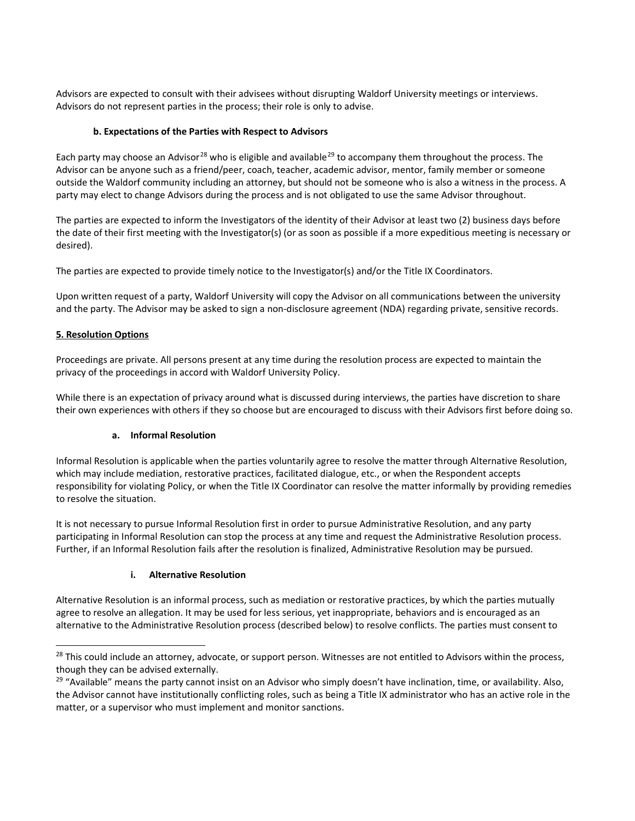Advisors are expected to consult with their advisees without disrupting Waldorf University meetings or interviews. Advisors do not represent parties in the process; their role is only to advise.

# **b. Expectations of the Parties with Respect to Advisors**

Each party may choose an Advisor<sup>[28](#page-57-0)</sup> who is eligible and available<sup>[29](#page-57-1)</sup> to accompany them throughout the process. The Advisor can be anyone such as a friend/peer, coach, teacher, academic advisor, mentor, family member or someone outside the Waldorf community including an attorney, but should not be someone who is also a witness in the process. A party may elect to change Advisors during the process and is not obligated to use the same Advisor throughout.

The parties are expected to inform the Investigators of the identity of their Advisor at least two (2) business days before the date of their first meeting with the Investigator(s) (or as soon as possible if a more expeditious meeting is necessary or desired).

The parties are expected to provide timely notice to the Investigator(s) and/or the Title IX Coordinators.

Upon written request of a party, Waldorf University will copy the Advisor on all communications between the university and the party. The Advisor may be asked to sign a non-disclosure agreement (NDA) regarding private, sensitive records.

# **5. Resolution Options**

-

Proceedings are private. All persons present at any time during the resolution process are expected to maintain the privacy of the proceedings in accord with Waldorf University Policy.

While there is an expectation of privacy around what is discussed during interviews, the parties have discretion to share their own experiences with others if they so choose but are encouraged to discuss with their Advisors first before doing so.

## **a. Informal Resolution**

Informal Resolution is applicable when the parties voluntarily agree to resolve the matter through Alternative Resolution, which may include mediation, restorative practices, facilitated dialogue, etc., or when the Respondent accepts responsibility for violating Policy, or when the Title IX Coordinator can resolve the matter informally by providing remedies to resolve the situation.

It is not necessary to pursue Informal Resolution first in order to pursue Administrative Resolution, and any party participating in Informal Resolution can stop the process at any time and request the Administrative Resolution process. Further, if an Informal Resolution fails after the resolution is finalized, Administrative Resolution may be pursued.

## **i. Alternative Resolution**

Alternative Resolution is an informal process, such as mediation or restorative practices, by which the parties mutually agree to resolve an allegation. It may be used for less serious, yet inappropriate, behaviors and is encouraged as an alternative to the Administrative Resolution process (described below) to resolve conflicts. The parties must consent to

<span id="page-57-0"></span><sup>&</sup>lt;sup>28</sup> This could include an attorney, advocate, or support person. Witnesses are not entitled to Advisors within the process, though they can be advised externally.

<span id="page-57-1"></span><sup>&</sup>lt;sup>29</sup> "Available" means the party cannot insist on an Advisor who simply doesn't have inclination, time, or availability. Also, the Advisor cannot have institutionally conflicting roles, such as being a Title IX administrator who has an active role in the matter, or a supervisor who must implement and monitor sanctions.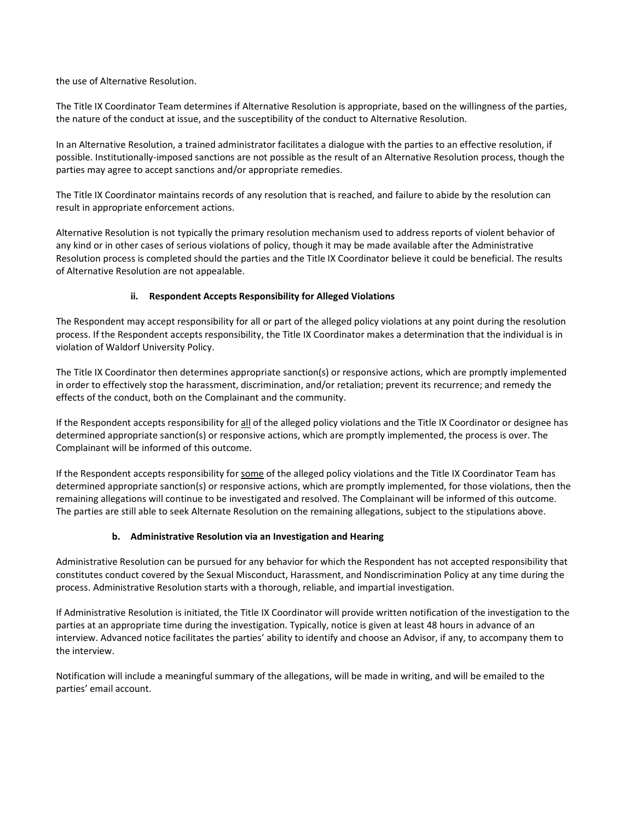the use of Alternative Resolution.

The Title IX Coordinator Team determines if Alternative Resolution is appropriate, based on the willingness of the parties, the nature of the conduct at issue, and the susceptibility of the conduct to Alternative Resolution.

In an Alternative Resolution, a trained administrator facilitates a dialogue with the parties to an effective resolution, if possible. Institutionally-imposed sanctions are not possible as the result of an Alternative Resolution process, though the parties may agree to accept sanctions and/or appropriate remedies.

The Title IX Coordinator maintains records of any resolution that is reached, and failure to abide by the resolution can result in appropriate enforcement actions.

Alternative Resolution is not typically the primary resolution mechanism used to address reports of violent behavior of any kind or in other cases of serious violations of policy, though it may be made available after the Administrative Resolution process is completed should the parties and the Title IX Coordinator believe it could be beneficial. The results of Alternative Resolution are not appealable.

# **ii. Respondent Accepts Responsibility for Alleged Violations**

The Respondent may accept responsibility for all or part of the alleged policy violations at any point during the resolution process. If the Respondent accepts responsibility, the Title IX Coordinator makes a determination that the individual is in violation of Waldorf University Policy.

The Title IX Coordinator then determines appropriate sanction(s) or responsive actions, which are promptly implemented in order to effectively stop the harassment, discrimination, and/or retaliation; prevent its recurrence; and remedy the effects of the conduct, both on the Complainant and the community.

If the Respondent accepts responsibility for all of the alleged policy violations and the Title IX Coordinator or designee has determined appropriate sanction(s) or responsive actions, which are promptly implemented, the process is over. The Complainant will be informed of this outcome.

If the Respondent accepts responsibility for some of the alleged policy violations and the Title IX Coordinator Team has determined appropriate sanction(s) or responsive actions, which are promptly implemented, for those violations, then the remaining allegations will continue to be investigated and resolved. The Complainant will be informed of this outcome. The parties are still able to seek Alternate Resolution on the remaining allegations, subject to the stipulations above.

## **b. Administrative Resolution via an Investigation and Hearing**

Administrative Resolution can be pursued for any behavior for which the Respondent has not accepted responsibility that constitutes conduct covered by the Sexual Misconduct, Harassment, and Nondiscrimination Policy at any time during the process. Administrative Resolution starts with a thorough, reliable, and impartial investigation.

If Administrative Resolution is initiated, the Title IX Coordinator will provide written notification of the investigation to the parties at an appropriate time during the investigation. Typically, notice is given at least 48 hours in advance of an interview. Advanced notice facilitates the parties' ability to identify and choose an Advisor, if any, to accompany them to the interview.

Notification will include a meaningful summary of the allegations, will be made in writing, and will be emailed to the parties' email account.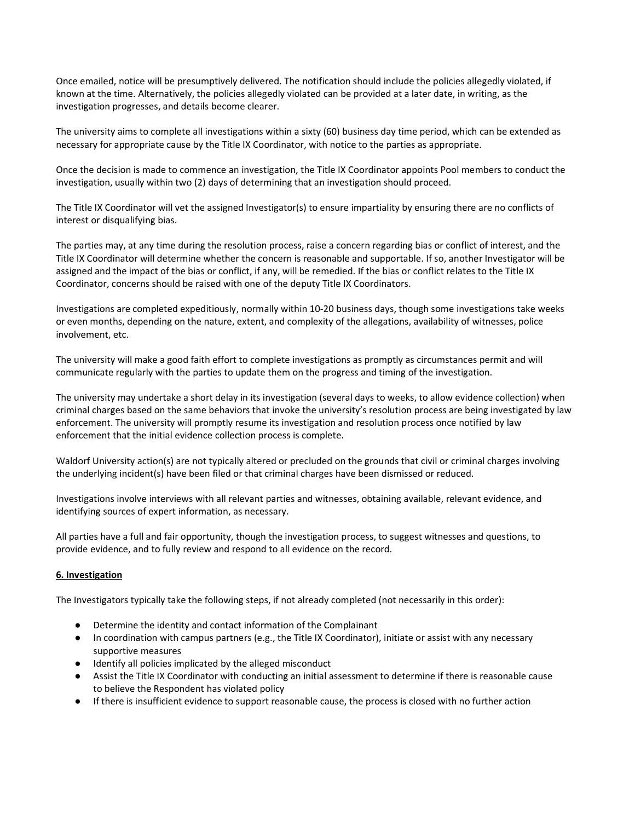Once emailed, notice will be presumptively delivered. The notification should include the policies allegedly violated, if known at the time. Alternatively, the policies allegedly violated can be provided at a later date, in writing, as the investigation progresses, and details become clearer.

The university aims to complete all investigations within a sixty (60) business day time period, which can be extended as necessary for appropriate cause by the Title IX Coordinator, with notice to the parties as appropriate.

Once the decision is made to commence an investigation, the Title IX Coordinator appoints Pool members to conduct the investigation, usually within two (2) days of determining that an investigation should proceed.

The Title IX Coordinator will vet the assigned Investigator(s) to ensure impartiality by ensuring there are no conflicts of interest or disqualifying bias.

The parties may, at any time during the resolution process, raise a concern regarding bias or conflict of interest, and the Title IX Coordinator will determine whether the concern is reasonable and supportable. If so, another Investigator will be assigned and the impact of the bias or conflict, if any, will be remedied. If the bias or conflict relates to the Title IX Coordinator, concerns should be raised with one of the deputy Title IX Coordinators.

Investigations are completed expeditiously, normally within 10-20 business days, though some investigations take weeks or even months, depending on the nature, extent, and complexity of the allegations, availability of witnesses, police involvement, etc.

The university will make a good faith effort to complete investigations as promptly as circumstances permit and will communicate regularly with the parties to update them on the progress and timing of the investigation.

The university may undertake a short delay in its investigation (several days to weeks, to allow evidence collection) when criminal charges based on the same behaviors that invoke the university's resolution process are being investigated by law enforcement. The university will promptly resume its investigation and resolution process once notified by law enforcement that the initial evidence collection process is complete.

Waldorf University action(s) are not typically altered or precluded on the grounds that civil or criminal charges involving the underlying incident(s) have been filed or that criminal charges have been dismissed or reduced.

Investigations involve interviews with all relevant parties and witnesses, obtaining available, relevant evidence, and identifying sources of expert information, as necessary.

All parties have a full and fair opportunity, though the investigation process, to suggest witnesses and questions, to provide evidence, and to fully review and respond to all evidence on the record.

## **6. Investigation**

The Investigators typically take the following steps, if not already completed (not necessarily in this order):

- Determine the identity and contact information of the Complainant
- In coordination with campus partners (e.g., the Title IX Coordinator), initiate or assist with any necessary supportive measures
- Identify all policies implicated by the alleged misconduct
- Assist the Title IX Coordinator with conducting an initial assessment to determine if there is reasonable cause to believe the Respondent has violated policy
- If there is insufficient evidence to support reasonable cause, the process is closed with no further action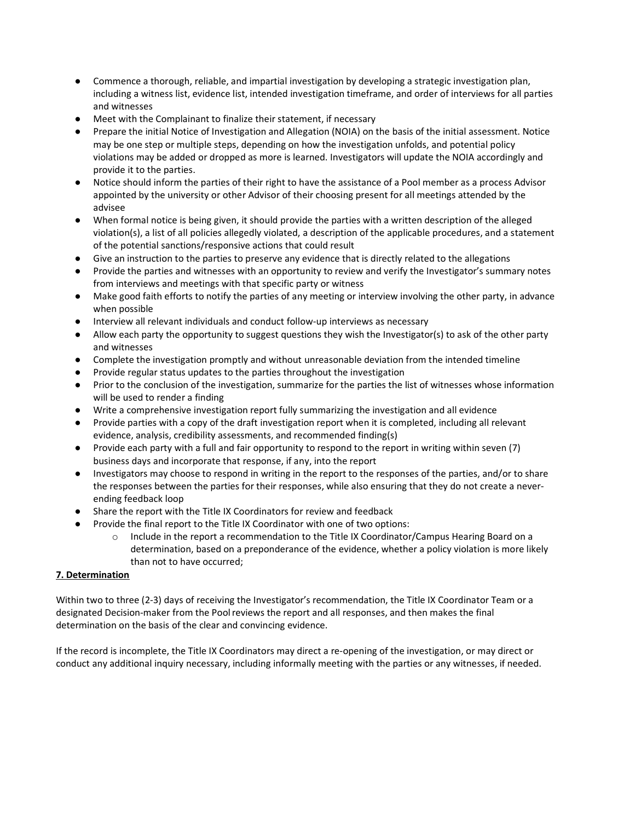- Commence a thorough, reliable, and impartial investigation by developing a strategic investigation plan, including a witness list, evidence list, intended investigation timeframe, and order of interviews for all parties and witnesses
- Meet with the Complainant to finalize their statement, if necessary
- Prepare the initial Notice of Investigation and Allegation (NOIA) on the basis of the initial assessment. Notice may be one step or multiple steps, depending on how the investigation unfolds, and potential policy violations may be added or dropped as more is learned. Investigators will update the NOIA accordingly and provide it to the parties.
- Notice should inform the parties of their right to have the assistance of a Pool member as a process Advisor appointed by the university or other Advisor of their choosing present for all meetings attended by the advisee
- When formal notice is being given, it should provide the parties with a written description of the alleged violation(s), a list of all policies allegedly violated, a description of the applicable procedures, and a statement of the potential sanctions/responsive actions that could result
- Give an instruction to the parties to preserve any evidence that is directly related to the allegations
- Provide the parties and witnesses with an opportunity to review and verify the Investigator's summary notes from interviews and meetings with that specific party or witness
- Make good faith efforts to notify the parties of any meeting or interview involving the other party, in advance when possible
- Interview all relevant individuals and conduct follow-up interviews as necessary
- Allow each party the opportunity to suggest questions they wish the Investigator(s) to ask of the other party and witnesses
- Complete the investigation promptly and without unreasonable deviation from the intended timeline
- Provide regular status updates to the parties throughout the investigation
- Prior to the conclusion of the investigation, summarize for the parties the list of witnesses whose information will be used to render a finding
- Write a comprehensive investigation report fully summarizing the investigation and all evidence
- Provide parties with a copy of the draft investigation report when it is completed, including all relevant evidence, analysis, credibility assessments, and recommended finding(s)
- Provide each party with a full and fair opportunity to respond to the report in writing within seven (7) business days and incorporate that response, if any, into the report
- Investigators may choose to respond in writing in the report to the responses of the parties, and/or to share the responses between the parties for their responses, while also ensuring that they do not create a neverending feedback loop
- Share the report with the Title IX Coordinators for review and feedback
- Provide the final report to the Title IX Coordinator with one of two options:
	- o Include in the report a recommendation to the Title IX Coordinator/Campus Hearing Board on a determination, based on a preponderance of the evidence, whether a policy violation is more likely than not to have occurred;

## **7. Determination**

Within two to three (2-3) days of receiving the Investigator's recommendation, the Title IX Coordinator Team or a designated Decision-maker from the Poolreviews the report and all responses, and then makes the final determination on the basis of the clear and convincing evidence.

If the record is incomplete, the Title IX Coordinators may direct a re-opening of the investigation, or may direct or conduct any additional inquiry necessary, including informally meeting with the parties or any witnesses, if needed.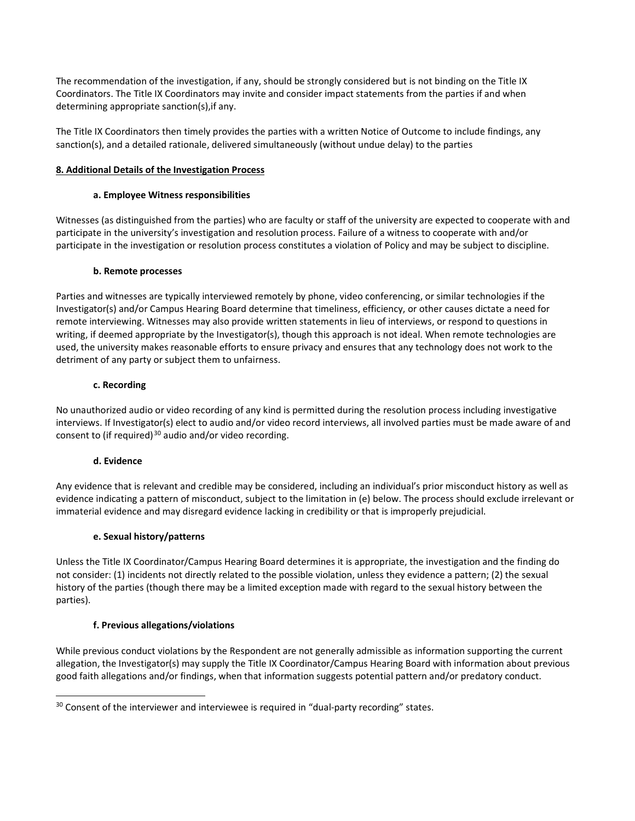The recommendation of the investigation, if any, should be strongly considered but is not binding on the Title IX Coordinators. The Title IX Coordinators may invite and consider impact statements from the parties if and when determining appropriate sanction(s),if any.

The Title IX Coordinators then timely provides the parties with a written Notice of Outcome to include findings, any sanction(s), and a detailed rationale, delivered simultaneously (without undue delay) to the parties

## **8. Additional Details of the Investigation Process**

#### **a. Employee Witness responsibilities**

Witnesses (as distinguished from the parties) who are faculty or staff of the university are expected to cooperate with and participate in the university's investigation and resolution process. Failure of a witness to cooperate with and/or participate in the investigation or resolution process constitutes a violation of Policy and may be subject to discipline.

#### **b. Remote processes**

Parties and witnesses are typically interviewed remotely by phone, video conferencing, or similar technologies if the Investigator(s) and/or Campus Hearing Board determine that timeliness, efficiency, or other causes dictate a need for remote interviewing. Witnesses may also provide written statements in lieu of interviews, or respond to questions in writing, if deemed appropriate by the Investigator(s), though this approach is not ideal. When remote technologies are used, the university makes reasonable efforts to ensure privacy and ensures that any technology does not work to the detriment of any party or subject them to unfairness.

#### **c. Recording**

No unauthorized audio or video recording of any kind is permitted during the resolution process including investigative interviews. If Investigator(s) elect to audio and/or video record interviews, all involved parties must be made aware of and consent to (if required) $30$  audio and/or video recording.

## **d. Evidence**

-

Any evidence that is relevant and credible may be considered, including an individual's prior misconduct history as well as evidence indicating a pattern of misconduct, subject to the limitation in (e) below. The process should exclude irrelevant or immaterial evidence and may disregard evidence lacking in credibility or that is improperly prejudicial.

## **e. Sexual history/patterns**

Unless the Title IX Coordinator/Campus Hearing Board determines it is appropriate, the investigation and the finding do not consider: (1) incidents not directly related to the possible violation, unless they evidence a pattern; (2) the sexual history of the parties (though there may be a limited exception made with regard to the sexual history between the parties).

## **f. Previous allegations/violations**

While previous conduct violations by the Respondent are not generally admissible as information supporting the current allegation, the Investigator(s) may supply the Title IX Coordinator/Campus Hearing Board with information about previous good faith allegations and/or findings, when that information suggests potential pattern and/or predatory conduct.

<span id="page-61-0"></span><sup>&</sup>lt;sup>30</sup> Consent of the interviewer and interviewee is required in "dual-party recording" states.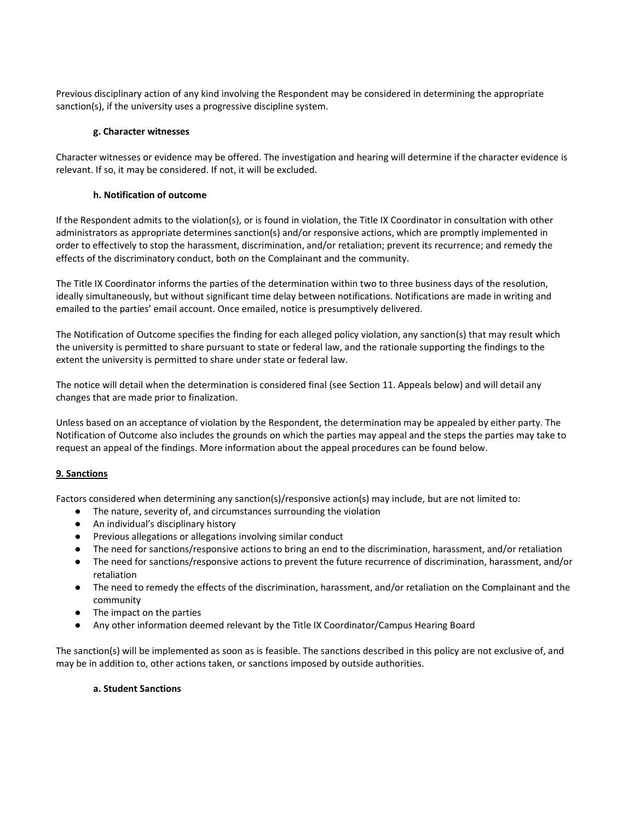Previous disciplinary action of any kind involving the Respondent may be considered in determining the appropriate sanction(s), if the university uses a progressive discipline system.

## **g. Character witnesses**

Character witnesses or evidence may be offered. The investigation and hearing will determine if the character evidence is relevant. If so, it may be considered. If not, it will be excluded.

#### **h. Notification of outcome**

If the Respondent admits to the violation(s), or is found in violation, the Title IX Coordinator in consultation with other administrators as appropriate determines sanction(s) and/or responsive actions, which are promptly implemented in order to effectively to stop the harassment, discrimination, and/or retaliation; prevent its recurrence; and remedy the effects of the discriminatory conduct, both on the Complainant and the community.

The Title IX Coordinator informs the parties of the determination within two to three business days of the resolution, ideally simultaneously, but without significant time delay between notifications. Notifications are made in writing and emailed to the parties' email account. Once emailed, notice is presumptively delivered.

The Notification of Outcome specifies the finding for each alleged policy violation, any sanction(s) that may result which the university is permitted to share pursuant to state or federal law, and the rationale supporting the findings to the extent the university is permitted to share under state or federal law.

The notice will detail when the determination is considered final (see Section 11. Appeals below) and will detail any changes that are made prior to finalization.

Unless based on an acceptance of violation by the Respondent, the determination may be appealed by either party. The Notification of Outcome also includes the grounds on which the parties may appeal and the steps the parties may take to request an appeal of the findings. More information about the appeal procedures can be found below.

## **9. Sanctions**

Factors considered when determining any sanction(s)/responsive action(s) may include, but are not limited to:

- The nature, severity of, and circumstances surrounding the violation
- An individual's disciplinary history
- Previous allegations or allegations involving similar conduct
- The need for sanctions/responsive actions to bring an end to the discrimination, harassment, and/or retaliation
- The need for sanctions/responsive actions to prevent the future recurrence of discrimination, harassment, and/or retaliation
- The need to remedy the effects of the discrimination, harassment, and/or retaliation on the Complainant and the community
- The impact on the parties
- Any other information deemed relevant by the Title IX Coordinator/Campus Hearing Board

The sanction(s) will be implemented as soon as is feasible. The sanctions described in this policy are not exclusive of, and may be in addition to, other actions taken, or sanctions imposed by outside authorities.

#### **a. Student Sanctions**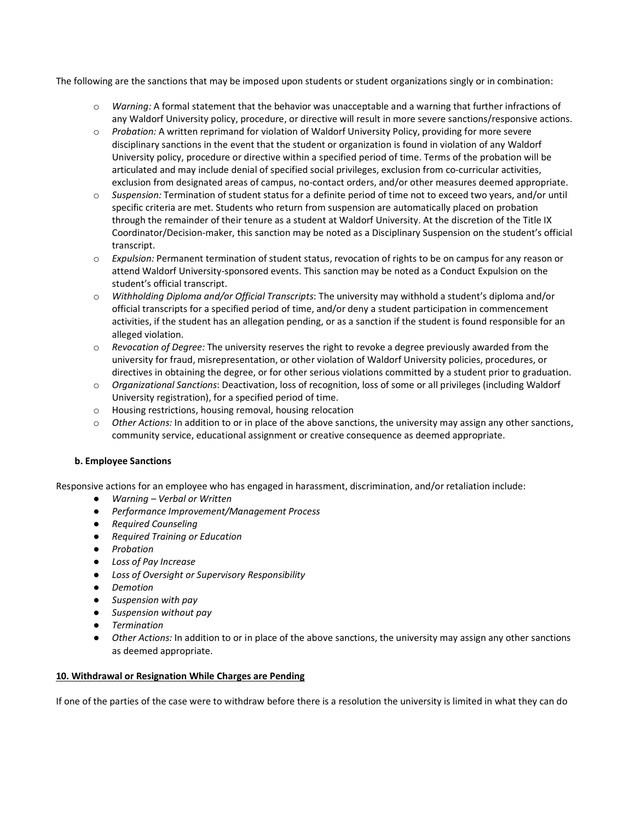The following are the sanctions that may be imposed upon students or student organizations singly or in combination:

- o *Warning:* A formal statement that the behavior was unacceptable and a warning that further infractions of any Waldorf University policy, procedure, or directive will result in more severe sanctions/responsive actions.
- o *Probation:* A written reprimand for violation of Waldorf University Policy, providing for more severe disciplinary sanctions in the event that the student or organization is found in violation of any Waldorf University policy, procedure or directive within a specified period of time. Terms of the probation will be articulated and may include denial of specified social privileges, exclusion from co-curricular activities, exclusion from designated areas of campus, no-contact orders, and/or other measures deemed appropriate.
- o *Suspension:* Termination of student status for a definite period of time not to exceed two years, and/or until specific criteria are met. Students who return from suspension are automatically placed on probation through the remainder of their tenure as a student at Waldorf University. At the discretion of the Title IX Coordinator/Decision-maker, this sanction may be noted as a Disciplinary Suspension on the student's official transcript.
- o *Expulsion:* Permanent termination of student status, revocation of rights to be on campus for any reason or attend Waldorf University-sponsored events. This sanction may be noted as a Conduct Expulsion on the student's official transcript.
- o *Withholding Diploma and/or Official Transcripts*: The university may withhold a student's diploma and/or official transcripts for a specified period of time, and/or deny a student participation in commencement activities, if the student has an allegation pending, or as a sanction if the student is found responsible for an alleged violation.
- o *Revocation of Degree:* The university reserves the right to revoke a degree previously awarded from the university for fraud, misrepresentation, or other violation of Waldorf University policies, procedures, or directives in obtaining the degree, or for other serious violations committed by a student prior to graduation.
- o *Organizational Sanctions*: Deactivation, loss of recognition, loss of some or all privileges (including Waldorf University registration), for a specified period of time.
- o Housing restrictions, housing removal, housing relocation
- o *Other Actions:* In addition to or in place of the above sanctions, the university may assign any other sanctions, community service, educational assignment or creative consequence as deemed appropriate.

## **b. Employee Sanctions**

Responsive actions for an employee who has engaged in harassment, discrimination, and/or retaliation include:

- *Warning – Verbal or Written*
- *Performance Improvement/Management Process*
- *Required Counseling*
- *Required Training or Education*
- *Probation*
- *Loss of Pay Increase*
- *Loss of Oversight or Supervisory Responsibility*
- *Demotion*
- *Suspension with pay*
- *Suspension without pay*
- *Termination*
- *Other Actions:* In addition to or in place of the above sanctions, the university may assign any other sanctions as deemed appropriate.

#### **10. Withdrawal or Resignation While Charges are Pending**

If one of the parties of the case were to withdraw before there is a resolution the university is limited in what they can do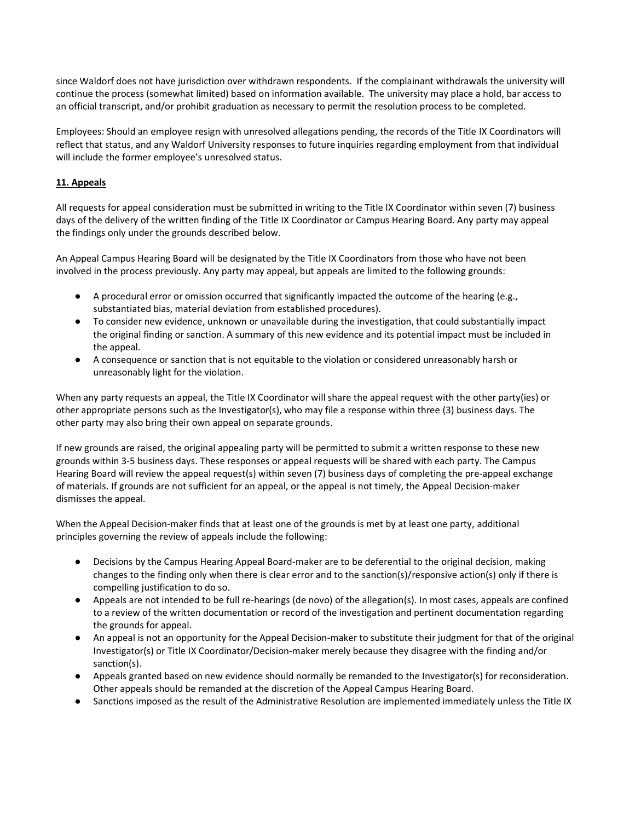since Waldorf does not have jurisdiction over withdrawn respondents. If the complainant withdrawals the university will continue the process (somewhat limited) based on information available. The university may place a hold, bar access to an official transcript, and/or prohibit graduation as necessary to permit the resolution process to be completed.

Employees: Should an employee resign with unresolved allegations pending, the records of the Title IX Coordinators will reflect that status, and any Waldorf University responses to future inquiries regarding employment from that individual will include the former employee's unresolved status.

# **11. Appeals**

All requests for appeal consideration must be submitted in writing to the Title IX Coordinator within seven (7) business days of the delivery of the written finding of the Title IX Coordinator or Campus Hearing Board. Any party may appeal the findings only under the grounds described below.

An Appeal Campus Hearing Board will be designated by the Title IX Coordinators from those who have not been involved in the process previously. Any party may appeal, but appeals are limited to the following grounds:

- A procedural error or omission occurred that significantly impacted the outcome of the hearing (e.g., substantiated bias, material deviation from established procedures).
- To consider new evidence, unknown or unavailable during the investigation, that could substantially impact the original finding or sanction. A summary of this new evidence and its potential impact must be included in the appeal.
- A consequence or sanction that is not equitable to the violation or considered unreasonably harsh or unreasonably light for the violation.

When any party requests an appeal, the Title IX Coordinator will share the appeal request with the other party(ies) or other appropriate persons such as the Investigator(s), who may file a response within three (3) business days. The other party may also bring their own appeal on separate grounds.

If new grounds are raised, the original appealing party will be permitted to submit a written response to these new grounds within 3-5 business days. These responses or appeal requests will be shared with each party. The Campus Hearing Board will review the appeal request(s) within seven (7) business days of completing the pre-appeal exchange of materials. If grounds are not sufficient for an appeal, or the appeal is not timely, the Appeal Decision-maker dismisses the appeal.

When the Appeal Decision-maker finds that at least one of the grounds is met by at least one party, additional principles governing the review of appeals include the following:

- Decisions by the Campus Hearing Appeal Board-maker are to be deferential to the original decision, making changes to the finding only when there is clear error and to the sanction(s)/responsive action(s) only if there is compelling justification to do so.
- Appeals are not intended to be full re-hearings (de novo) of the allegation(s). In most cases, appeals are confined to a review of the written documentation or record of the investigation and pertinent documentation regarding the grounds for appeal.
- An appeal is not an opportunity for the Appeal Decision-maker to substitute their judgment for that of the original Investigator(s) or Title IX Coordinator/Decision-maker merely because they disagree with the finding and/or sanction(s).
- Appeals granted based on new evidence should normally be remanded to the Investigator(s) for reconsideration. Other appeals should be remanded at the discretion of the Appeal Campus Hearing Board.
- Sanctions imposed as the result of the Administrative Resolution are implemented immediately unless the Title IX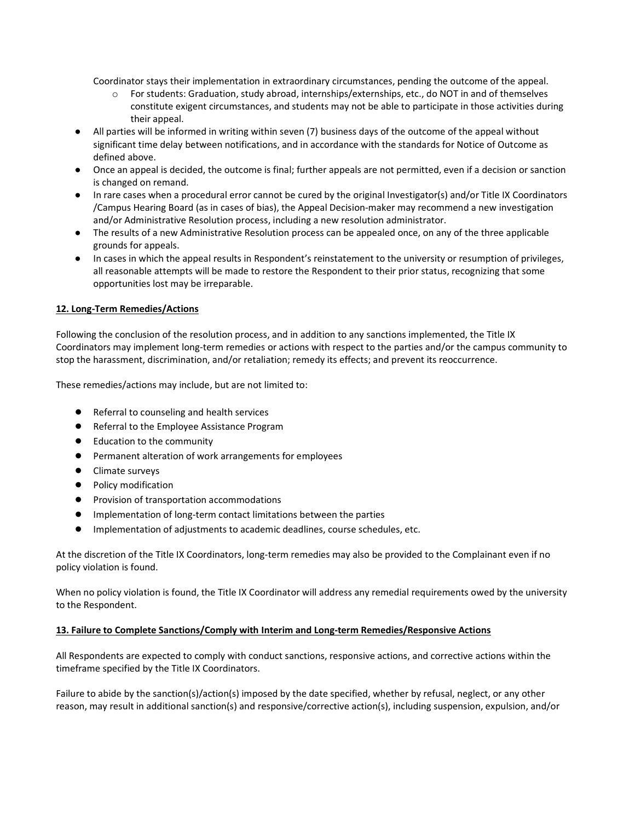Coordinator stays their implementation in extraordinary circumstances, pending the outcome of the appeal.

- o For students: Graduation, study abroad, internships/externships, etc., do NOT in and of themselves constitute exigent circumstances, and students may not be able to participate in those activities during their appeal.
- All parties will be informed in writing within seven (7) business days of the outcome of the appeal without significant time delay between notifications, and in accordance with the standards for Notice of Outcome as defined above.
- Once an appeal is decided, the outcome is final; further appeals are not permitted, even if a decision or sanction is changed on remand.
- In rare cases when a procedural error cannot be cured by the original Investigator(s) and/or Title IX Coordinators /Campus Hearing Board (as in cases of bias), the Appeal Decision-maker may recommend a new investigation and/or Administrative Resolution process, including a new resolution administrator.
- The results of a new Administrative Resolution process can be appealed once, on any of the three applicable grounds for appeals.
- In cases in which the appeal results in Respondent's reinstatement to the university or resumption of privileges, all reasonable attempts will be made to restore the Respondent to their prior status, recognizing that some opportunities lost may be irreparable.

## **12. Long-Term Remedies/Actions**

Following the conclusion of the resolution process, and in addition to any sanctions implemented, the Title IX Coordinators may implement long-term remedies or actions with respect to the parties and/or the campus community to stop the harassment, discrimination, and/or retaliation; remedy its effects; and prevent its reoccurrence.

These remedies/actions may include, but are not limited to:

- Referral to counseling and health services
- Referral to the Employee Assistance Program
- Education to the community
- Permanent alteration of work arrangements for employees
- Climate surveys
- Policy modification
- Provision of transportation accommodations
- Implementation of long-term contact limitations between the parties
- Implementation of adjustments to academic deadlines, course schedules, etc.

At the discretion of the Title IX Coordinators, long-term remedies may also be provided to the Complainant even if no policy violation is found.

When no policy violation is found, the Title IX Coordinator will address any remedial requirements owed by the university to the Respondent.

## **13. Failure to Complete Sanctions/Comply with Interim and Long-term Remedies/Responsive Actions**

All Respondents are expected to comply with conduct sanctions, responsive actions, and corrective actions within the timeframe specified by the Title IX Coordinators.

Failure to abide by the sanction(s)/action(s) imposed by the date specified, whether by refusal, neglect, or any other reason, may result in additional sanction(s) and responsive/corrective action(s), including suspension, expulsion, and/or